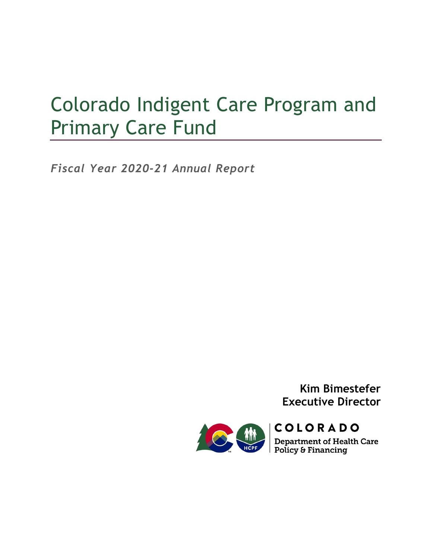# Colorado Indigent Care Program and Primary Care Fund

*Fiscal Year 2020-21 Annual Report*

**Kim Bimestefer Executive Director**

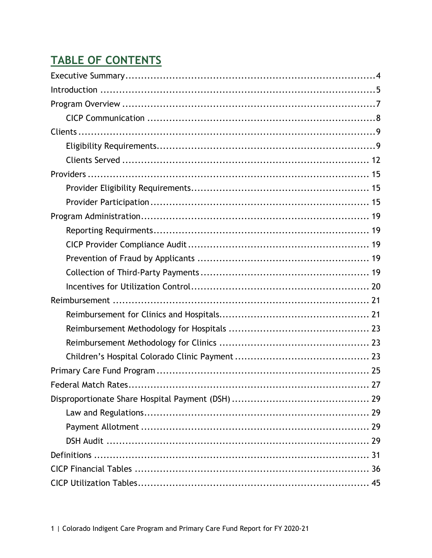# TABLE OF CONTENTS

| Federal Match Rates<br>.27 |
|----------------------------|
|                            |
|                            |
|                            |
|                            |
|                            |
|                            |
|                            |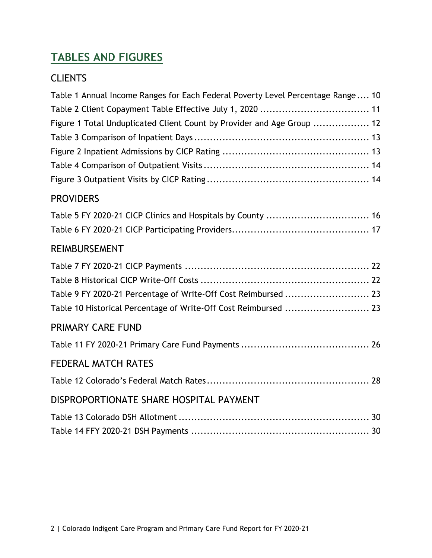## **TABLES AND FIGURES**

### **CLIENTS**

| Table 1 Annual Income Ranges for Each Federal Poverty Level Percentage Range 10 |  |
|---------------------------------------------------------------------------------|--|
|                                                                                 |  |
| Figure 1 Total Unduplicated Client Count by Provider and Age Group  12          |  |
|                                                                                 |  |
|                                                                                 |  |
|                                                                                 |  |
|                                                                                 |  |
| <b>PROVIDERS</b>                                                                |  |
| Table 5 FY 2020-21 CICP Clinics and Hospitals by County  16                     |  |
|                                                                                 |  |
| <b>REIMBURSEMENT</b>                                                            |  |
|                                                                                 |  |
|                                                                                 |  |
| Table 9 FY 2020-21 Percentage of Write-Off Cost Reimbursed  23                  |  |
| Table 10 Historical Percentage of Write-Off Cost Reimbursed  23                 |  |
| <b>PRIMARY CARE FUND</b>                                                        |  |
|                                                                                 |  |
| <b>FEDERAL MATCH RATES</b>                                                      |  |
|                                                                                 |  |
| DISPROPORTIONATE SHARE HOSPITAL PAYMENT                                         |  |
|                                                                                 |  |
|                                                                                 |  |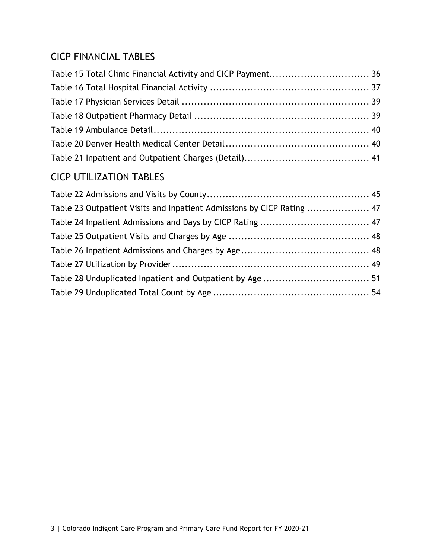### CICP FINANCIAL TABLES

| Table 15 Total Clinic Financial Activity and CICP Payment 36 |  |
|--------------------------------------------------------------|--|
|                                                              |  |
|                                                              |  |
|                                                              |  |
|                                                              |  |
|                                                              |  |
|                                                              |  |

### CICP UTILIZATION TABLES

| Table 23 Outpatient Visits and Inpatient Admissions by CICP Rating  47 |  |
|------------------------------------------------------------------------|--|
|                                                                        |  |
|                                                                        |  |
|                                                                        |  |
|                                                                        |  |
|                                                                        |  |
|                                                                        |  |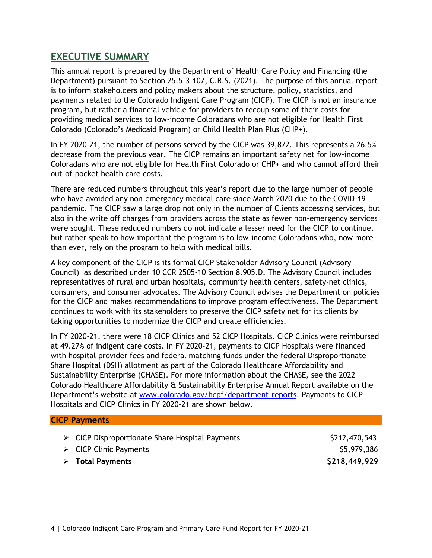### <span id="page-4-0"></span>**EXECUTIVE SUMMARY**

This annual report is prepared by the Department of Health Care Policy and Financing (the Department) pursuant to Section 25.5-3-107, C.R.S. (2021). The purpose of this annual report is to inform stakeholders and policy makers about the structure, policy, statistics, and payments related to the Colorado Indigent Care Program (CICP). The CICP is not an insurance program, but rather a financial vehicle for providers to recoup some of their costs for providing medical services to low-income Coloradans who are not eligible for Health First Colorado (Colorado's Medicaid Program) or Child Health Plan Plus (CHP+).

In FY 2020-21, the number of persons served by the CICP was 39,872. This represents a 26.5% decrease from the previous year. The CICP remains an important safety net for low-income Coloradans who are not eligible for Health First Colorado or CHP+ and who cannot afford their out-of-pocket health care costs.

There are reduced numbers throughout this year's report due to the large number of people who have avoided any non-emergency medical care since March 2020 due to the COVID-19 pandemic. The CICP saw a large drop not only in the number of Clients accessing services, but also in the write off charges from providers across the state as fewer non-emergency services were sought. These reduced numbers do not indicate a lesser need for the CICP to continue, but rather speak to how important the program is to low-income Coloradans who, now more than ever, rely on the program to help with medical bills.

A key component of the CICP is its formal CICP Stakeholder Advisory Council (Advisory Council) as described under 10 CCR 2505-10 Section 8.905.D. The Advisory Council includes representatives of rural and urban hospitals, community health centers, safety-net clinics, consumers, and consumer advocates. The Advisory Council advises the Department on policies for the CICP and makes recommendations to improve program effectiveness. The Department continues to work with its stakeholders to preserve the CICP safety net for its clients by taking opportunities to modernize the CICP and create efficiencies.

In FY 2020-21, there were 18 CICP Clinics and 52 CICP Hospitals. CICP Clinics were reimbursed at 49.27% of indigent care costs. In FY 2020-21, payments to CICP Hospitals were financed with hospital provider fees and federal matching funds under the federal Disproportionate Share Hospital (DSH) allotment as part of the Colorado Healthcare Affordability and Sustainability Enterprise (CHASE). For more information about the CHASE, see the 2022 Colorado Healthcare Affordability & Sustainability Enterprise Annual Report available on the Department's website at [www.colorado.gov/hcpf/department-reports.](http://www.colorado.gov/hcpf/department-reports) Payments to CICP Hospitals and CICP Clinics in FY 2020-21 are shown below.

#### **CICP Payments**

|  |  | $\triangleright$ CICP Disproportionate Share Hospital Payments |  |  |  |  |
|--|--|----------------------------------------------------------------|--|--|--|--|
|--|--|----------------------------------------------------------------|--|--|--|--|

 CICP Disproportionate Share Hospital Payments \$212,470,543  $\triangleright$  CICP Clinic Payments  $$5,979,386$ 

**Total Payments \$218,449,929**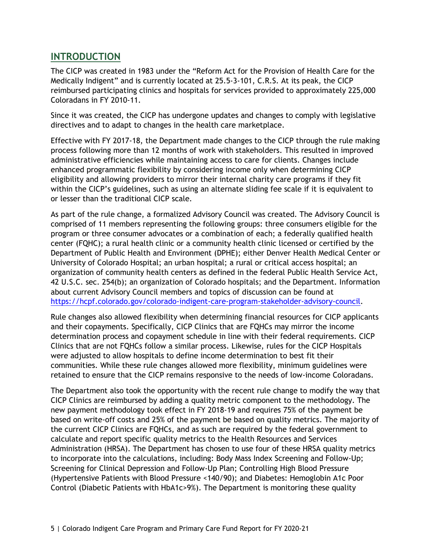### <span id="page-5-0"></span>**INTRODUCTION**

The CICP was created in 1983 under the "Reform Act for the Provision of Health Care for the Medically Indigent" and is currently located at 25.5-3-101, C.R.S. At its peak, the CICP reimbursed participating clinics and hospitals for services provided to approximately 225,000 Coloradans in FY 2010-11.

Since it was created, the CICP has undergone updates and changes to comply with legislative directives and to adapt to changes in the health care marketplace.

Effective with FY 2017-18, the Department made changes to the CICP through the rule making process following more than 12 months of work with stakeholders. This resulted in improved administrative efficiencies while maintaining access to care for clients. Changes include enhanced programmatic flexibility by considering income only when determining CICP eligibility and allowing providers to mirror their internal charity care programs if they fit within the CICP's guidelines, such as using an alternate sliding fee scale if it is equivalent to or lesser than the traditional CICP scale.

As part of the rule change, a formalized Advisory Council was created. The Advisory Council is comprised of 11 members representing the following groups: three consumers eligible for the program or three consumer advocates or a combination of each; a federally qualified health center (FQHC); a rural health clinic or a community health clinic licensed or certified by the Department of Public Health and Environment (DPHE); either Denver Health Medical Center or University of Colorado Hospital; an urban hospital; a rural or critical access hospital; an organization of community health centers as defined in the federal Public Health Service Act, 42 U.S.C. sec. 254(b); an organization of Colorado hospitals; and the Department. Information about current Advisory Council members and topics of discussion can be found at [https://hcpf.colorado.gov/colorado-indigent-care-program-stakeholder-advisory-council.](https://hcpf.colorado.gov/colorado-indigent-care-program-stakeholder-advisory-council)

Rule changes also allowed flexibility when determining financial resources for CICP applicants and their copayments. Specifically, CICP Clinics that are FQHCs may mirror the income determination process and copayment schedule in line with their federal requirements. CICP Clinics that are not FQHCs follow a similar process. Likewise, rules for the CICP Hospitals were adjusted to allow hospitals to define income determination to best fit their communities. While these rule changes allowed more flexibility, minimum guidelines were retained to ensure that the CICP remains responsive to the needs of low-income Coloradans.

The Department also took the opportunity with the recent rule change to modify the way that CICP Clinics are reimbursed by adding a quality metric component to the methodology. The new payment methodology took effect in FY 2018-19 and requires 75% of the payment be based on write-off costs and 25% of the payment be based on quality metrics. The majority of the current CICP Clinics are FQHCs, and as such are required by the federal government to calculate and report specific quality metrics to the Health Resources and Services Administration (HRSA). The Department has chosen to use four of these HRSA quality metrics to incorporate into the calculations, including: Body Mass Index Screening and Follow-Up; Screening for Clinical Depression and Follow-Up Plan; Controlling High Blood Pressure (Hypertensive Patients with Blood Pressure <140/90); and Diabetes: Hemoglobin A1c Poor Control (Diabetic Patients with HbA1c>9%). The Department is monitoring these quality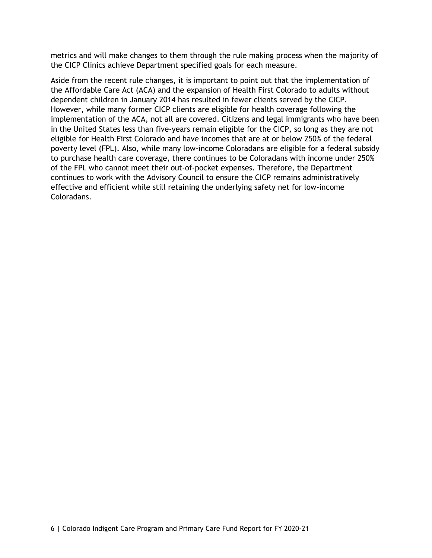metrics and will make changes to them through the rule making process when the majority of the CICP Clinics achieve Department specified goals for each measure.

Aside from the recent rule changes, it is important to point out that the implementation of the Affordable Care Act (ACA) and the expansion of Health First Colorado to adults without dependent children in January 2014 has resulted in fewer clients served by the CICP. However, while many former CICP clients are eligible for health coverage following the implementation of the ACA, not all are covered. Citizens and legal immigrants who have been in the United States less than five-years remain eligible for the CICP, so long as they are not eligible for Health First Colorado and have incomes that are at or below 250% of the federal poverty level (FPL). Also, while many low-income Coloradans are eligible for a federal subsidy to purchase health care coverage, there continues to be Coloradans with income under 250% of the FPL who cannot meet their out-of-pocket expenses. Therefore, the Department continues to work with the Advisory Council to ensure the CICP remains administratively effective and efficient while still retaining the underlying safety net for low-income Coloradans.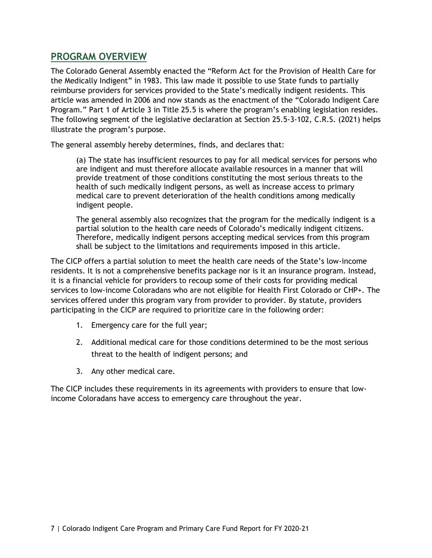### <span id="page-7-0"></span>**PROGRAM OVERVIEW**

The Colorado General Assembly enacted the "Reform Act for the Provision of Health Care for the Medically Indigent" in 1983. This law made it possible to use State funds to partially reimburse providers for services provided to the State's medically indigent residents. This article was amended in 2006 and now stands as the enactment of the "Colorado Indigent Care Program." Part 1 of Article 3 in Title 25.5 is where the program's enabling legislation resides. The following segment of the legislative declaration at Section 25.5-3-102, C.R.S. (2021) helps illustrate the program's purpose.

The general assembly hereby determines, finds, and declares that:

(a) The state has insufficient resources to pay for all medical services for persons who are indigent and must therefore allocate available resources in a manner that will provide treatment of those conditions constituting the most serious threats to the health of such medically indigent persons, as well as increase access to primary medical care to prevent deterioration of the health conditions among medically indigent people.

The general assembly also recognizes that the program for the medically indigent is a partial solution to the health care needs of Colorado's medically indigent citizens. Therefore, medically indigent persons accepting medical services from this program shall be subject to the limitations and requirements imposed in this article.

The CICP offers a partial solution to meet the health care needs of the State's low-income residents. It is not a comprehensive benefits package nor is it an insurance program. Instead, it is a financial vehicle for providers to recoup some of their costs for providing medical services to low-income Coloradans who are not eligible for Health First Colorado or CHP+. The services offered under this program vary from provider to provider. By statute, providers participating in the CICP are required to prioritize care in the following order:

- 1. Emergency care for the full year;
- 2. Additional medical care for those conditions determined to be the most serious threat to the health of indigent persons; and
- 3. Any other medical care.

The CICP includes these requirements in its agreements with providers to ensure that lowincome Coloradans have access to emergency care throughout the year.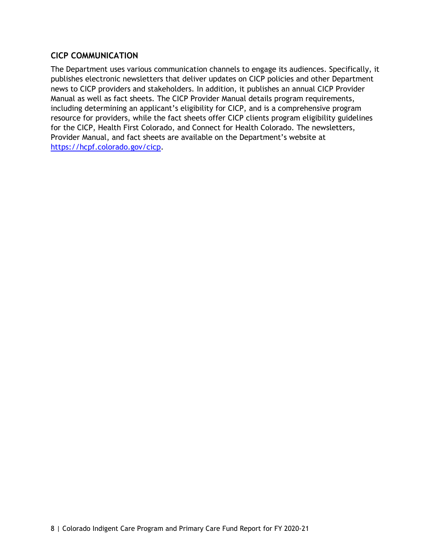#### <span id="page-8-0"></span>**CICP COMMUNICATION**

The Department uses various communication channels to engage its audiences. Specifically, it publishes electronic newsletters that deliver updates on CICP policies and other Department news to CICP providers and stakeholders. In addition, it publishes an annual CICP Provider Manual as well as fact sheets. The CICP Provider Manual details program requirements, including determining an applicant's eligibility for CICP, and is a comprehensive program resource for providers, while the fact sheets offer CICP clients program eligibility guidelines for the CICP, Health First Colorado, and Connect for Health Colorado. The newsletters, Provider Manual, and fact sheets are available on the Department's website at [https://hcpf.colorado.gov/cicp.](https://hcpf.colorado.gov/cicp)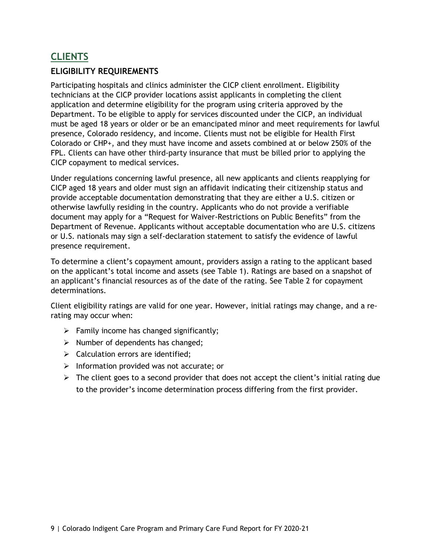### <span id="page-9-0"></span>**CLIENTS**

#### <span id="page-9-1"></span>**ELIGIBILITY REQUIREMENTS**

Participating hospitals and clinics administer the CICP client enrollment. Eligibility technicians at the CICP provider locations assist applicants in completing the client application and determine eligibility for the program using criteria approved by the Department. To be eligible to apply for services discounted under the CICP, an individual must be aged 18 years or older or be an emancipated minor and meet requirements for lawful presence, Colorado residency, and income. Clients must not be eligible for Health First Colorado or CHP+, and they must have income and assets combined at or below 250% of the FPL. Clients can have other third-party insurance that must be billed prior to applying the CICP copayment to medical services.

Under regulations concerning lawful presence, all new applicants and clients reapplying for CICP aged 18 years and older must sign an affidavit indicating their citizenship status and provide acceptable documentation demonstrating that they are either a U.S. citizen or otherwise lawfully residing in the country. Applicants who do not provide a verifiable document may apply for a "Request for Waiver-Restrictions on Public Benefits" from the Department of Revenue. Applicants without acceptable documentation who are U.S. citizens or U.S. nationals may sign a self-declaration statement to satisfy the evidence of lawful presence requirement.

To determine a client's copayment amount, providers assign a rating to the applicant based on the applicant's total income and assets (see Table 1). Ratings are based on a snapshot of an applicant's financial resources as of the date of the rating. See Table 2 for copayment determinations.

Client eligibility ratings are valid for one year. However, initial ratings may change, and a rerating may occur when:

- $\triangleright$  Family income has changed significantly;
- $\triangleright$  Number of dependents has changed;
- $\triangleright$  Calculation errors are identified;
- $\triangleright$  Information provided was not accurate; or
- $\triangleright$  The client goes to a second provider that does not accept the client's initial rating due to the provider's income determination process differing from the first provider.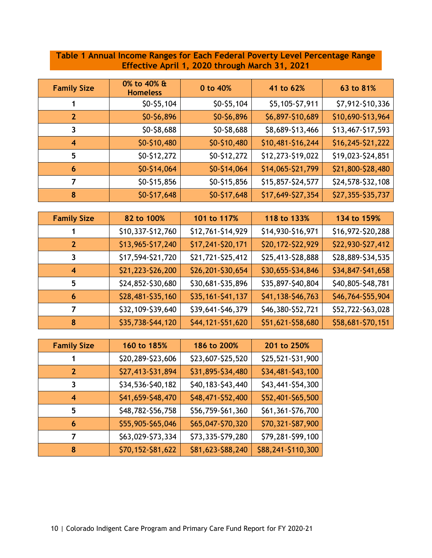### <span id="page-10-0"></span>**Table 1 Annual Income Ranges for Each Federal Poverty Level Percentage Range Effective April 1, 2020 through March 31, 2021**

| <b>Family Size</b> | 0% to 40% &<br><b>Homeless</b> | 0 to 40%     | 41 to 62%         | 63 to 81%         |
|--------------------|--------------------------------|--------------|-------------------|-------------------|
|                    | $$0-$5,104$                    | $$0-$5,104$  | \$5,105-\$7,911   | \$7,912-\$10,336  |
| 2                  | \$0-\$6,896                    | \$0-\$6,896  | \$6,897-\$10,689  | \$10,690-\$13,964 |
| 3                  | \$0-\$8,688                    | \$0-\$8,688  | \$8,689-\$13,466  | \$13,467-\$17,593 |
| 4                  | \$0-\$10,480                   | \$0-\$10,480 | \$10,481-\$16,244 | \$16,245-\$21,222 |
| 5                  | \$0-\$12,272                   | \$0-\$12,272 | \$12,273-\$19,022 | \$19,023-\$24,851 |
| 6                  | $$0-$14,064$                   | \$0-\$14,064 | \$14,065-\$21,799 | \$21,800-\$28,480 |
|                    | \$0-\$15,856                   | \$0-\$15,856 | \$15,857-\$24,577 | \$24,578-\$32,108 |
| 8                  | \$0-\$17,648                   | \$0-\$17,648 | \$17,649-\$27,354 | \$27,355-\$35,737 |

| <b>Family Size</b> | 82 to 100%        | 101 to 117%       | 118 to 133%       | 134 to 159%       |
|--------------------|-------------------|-------------------|-------------------|-------------------|
|                    | \$10,337-\$12,760 | \$12,761-\$14,929 | \$14,930-\$16,971 | \$16,972-\$20,288 |
| 2                  | \$13,965-\$17,240 | \$17,241-\$20,171 | \$20,172-\$22,929 | \$22,930-\$27,412 |
| 3                  | \$17,594-\$21,720 | \$21,721-\$25,412 | \$25,413-\$28,888 | \$28,889-\$34,535 |
| 4                  | \$21,223-\$26,200 | \$26,201-\$30,654 | \$30,655-\$34,846 | \$34,847-\$41,658 |
| 5                  | \$24,852-\$30,680 | \$30,681-\$35,896 | \$35,897-\$40,804 | \$40,805-\$48,781 |
| 6                  | \$28,481-\$35,160 | \$35,161-\$41,137 | \$41,138-\$46,763 | \$46,764-\$55,904 |
|                    | \$32,109-\$39,640 | \$39,641-\$46,379 | \$46,380-\$52,721 | \$52,722-\$63,028 |
| 8                  | \$35,738-\$44,120 | \$44,121-\$51,620 | \$51,621-\$58,680 | \$58,681-\$70,151 |

| <b>Family Size</b>      | 160 to 185%       | 186 to 200%       | 201 to 250%        |
|-------------------------|-------------------|-------------------|--------------------|
|                         | \$20,289-\$23,606 | \$23,607-\$25,520 | \$25,521-\$31,900  |
| $\overline{\mathbf{z}}$ | \$27,413-\$31,894 | \$31,895-\$34,480 | \$34,481-\$43,100  |
| 3                       | \$34,536-\$40,182 | \$40,183-\$43,440 | \$43,441-\$54,300  |
| 4                       | \$41,659-\$48,470 | \$48,471-\$52,400 | \$52,401-\$65,500  |
| 5                       | \$48,782-\$56,758 | \$56,759-\$61,360 | \$61,361-\$76,700  |
| 6                       | \$55,905-\$65,046 | \$65,047-\$70,320 | \$70,321-\$87,900  |
| 7                       | \$63,029-\$73,334 | \$73,335-\$79,280 | \$79,281-\$99,100  |
| 8                       | \$70,152-\$81,622 | \$81,623-\$88,240 | \$88,241-\$110,300 |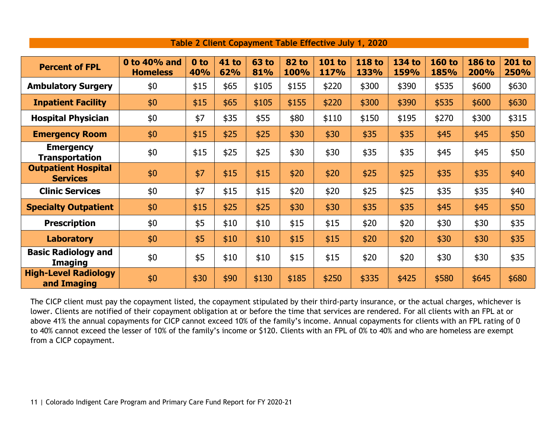<span id="page-11-0"></span>

| <b>Percent of FPL</b>                         | 0 to 40% and<br><b>Homeless</b> | 0 to<br>40% | <b>41 to</b><br>62% | <b>63 to</b><br>81% | <b>82 to</b><br>100% | <b>101 to</b><br>117% | <b>118 to</b><br>133% | <b>134 to</b><br>159% | <b>160 to</b><br>185% | <b>186 to</b><br>200% | <b>201 to</b><br>250% |
|-----------------------------------------------|---------------------------------|-------------|---------------------|---------------------|----------------------|-----------------------|-----------------------|-----------------------|-----------------------|-----------------------|-----------------------|
| <b>Ambulatory Surgery</b>                     | \$0                             | \$15        | \$65                | \$105               | \$155                | \$220                 | \$300                 | \$390                 | \$535                 | \$600                 | \$630                 |
| <b>Inpatient Facility</b>                     | \$0                             | \$15        | \$65                | \$105               | \$155                | \$220                 | \$300                 | \$390                 | \$535                 | \$600                 | \$630                 |
| <b>Hospital Physician</b>                     | \$0                             | \$7         | \$35                | \$55                | \$80                 | \$110                 | \$150                 | \$195                 | \$270                 | \$300                 | \$315                 |
| <b>Emergency Room</b>                         | \$0                             | \$15        | \$25                | \$25                | \$30                 | \$30                  | \$35                  | \$35                  | \$45                  | \$45                  | \$50                  |
| <b>Emergency</b><br><b>Transportation</b>     | \$0                             | \$15        | \$25                | \$25                | \$30                 | \$30                  | \$35                  | \$35                  | \$45                  | \$45                  | \$50                  |
| <b>Outpatient Hospital</b><br><b>Services</b> | \$0                             | \$7         | \$15                | \$15                | \$20                 | \$20                  | \$25                  | \$25                  | \$35                  | \$35                  | \$40                  |
| <b>Clinic Services</b>                        | \$0                             | \$7         | \$15                | \$15                | \$20                 | \$20                  | \$25                  | \$25                  | \$35                  | \$35                  | \$40                  |
| <b>Specialty Outpatient</b>                   | \$0                             | \$15        | \$25                | \$25                | \$30                 | \$30                  | \$35                  | \$35                  | \$45                  | \$45                  | \$50                  |
| <b>Prescription</b>                           | \$0                             | \$5         | \$10                | \$10                | \$15                 | \$15                  | \$20                  | \$20                  | \$30                  | \$30                  | \$35                  |
| <b>Laboratory</b>                             | \$0                             | \$5         | \$10                | \$10                | \$15                 | \$15                  | \$20                  | \$20                  | \$30                  | \$30                  | \$35                  |
| <b>Basic Radiology and</b><br><b>Imaging</b>  | \$0                             | \$5         | \$10                | \$10                | \$15                 | \$15                  | \$20                  | \$20                  | \$30                  | \$30                  | \$35                  |
| <b>High-Level Radiology</b><br>and Imaging    | \$0                             | \$30        | \$90                | \$130               | \$185                | \$250                 | \$335                 | \$425                 | \$580                 | \$645                 | \$680                 |

#### **Table 2 Client Copayment Table Effective July 1, 2020**

The CICP client must pay the copayment listed, the copayment stipulated by their third-party insurance, or the actual charges, whichever is lower. Clients are notified of their copayment obligation at or before the time that services are rendered. For all clients with an FPL at or above 41% the annual copayments for CICP cannot exceed 10% of the family's income. Annual copayments for clients with an FPL rating of 0 to 40% cannot exceed the lesser of 10% of the family's income or \$120. Clients with an FPL of 0% to 40% and who are homeless are exempt from a CICP copayment.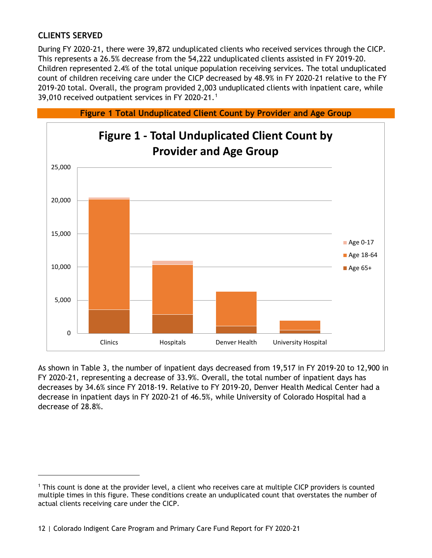### <span id="page-12-0"></span>**CLIENTS SERVED**

During FY 2020-21, there were 39,872 unduplicated clients who received services through the CICP. This represents a 26.5% decrease from the 54,222 unduplicated clients assisted in FY 2019-20. Children represented 2.4% of the total unique population receiving services. The total unduplicated count of children receiving care under the CICP decreased by 48.9% in FY 2020-21 relative to the FY 2019-20 total. Overall, the program provided 2,003 unduplicated clients with inpatient care, while 39,0[1](#page-12-2)0 received outpatient services in FY 2020-21.<sup>1</sup>

<span id="page-12-1"></span>

As shown in Table 3, the number of inpatient days decreased from 19,517 in FY 2019-20 to 12,900 in FY 2020-21, representing a decrease of 33.9%. Overall, the total number of inpatient days has decreases by 34.6% since FY 2018-19. Relative to FY 2019-20, Denver Health Medical Center had a decrease in inpatient days in FY 2020-21 of 46.5%, while University of Colorado Hospital had a decrease of 28.8%.

<span id="page-12-2"></span><sup>1</sup> This count is done at the provider level, a client who receives care at multiple CICP providers is counted multiple times in this figure. These conditions create an unduplicated count that overstates the number of actual clients receiving care under the CICP.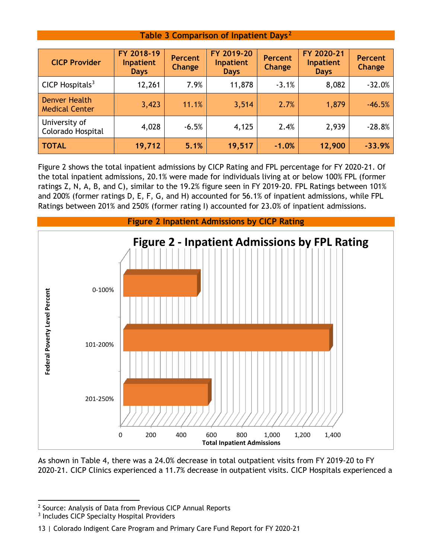#### **Table 3 Comparison of Inpatient Days[2](#page-13-2)**

<span id="page-13-0"></span>

| <b>CICP Provider</b>                   | FY 2018-19<br>Inpatient<br><b>Days</b> | <b>Percent</b><br>Change | FY 2019-20<br>Inpatient<br><b>Days</b> | <b>Percent</b><br>Change | FY 2020-21<br>Inpatient<br><b>Days</b> | <b>Percent</b><br>Change |
|----------------------------------------|----------------------------------------|--------------------------|----------------------------------------|--------------------------|----------------------------------------|--------------------------|
| CICP Hospitals $3$                     | 12,261                                 | 7.9%                     | 11,878                                 | $-3.1%$                  | 8,082                                  | $-32.0%$                 |
| Denver Health<br><b>Medical Center</b> | 3,423                                  | 11.1%                    | 3,514                                  | 2.7%                     | 1,879                                  | $-46.5%$                 |
| University of<br>Colorado Hospital     | 4,028                                  | $-6.5%$                  | 4,125                                  | 2.4%                     | 2,939                                  | $-28.8%$                 |
| <b>TOTAL</b>                           | 19,712                                 | 5.1%                     | 19,517                                 | $-1.0%$                  | 12,900                                 | $-33.9%$                 |

Figure 2 shows the total inpatient admissions by CICP Rating and FPL percentage for FY 2020-21. Of the total inpatient admissions, 20.1% were made for individuals living at or below 100% FPL (former ratings Z, N, A, B, and C), similar to the 19.2% figure seen in FY 2019-20. FPL Ratings between 101% and 200% (former ratings D, E, F, G, and H) accounted for 56.1% of inpatient admissions, while FPL Ratings between 201% and 250% (former rating I) accounted for 23.0% of inpatient admissions.

<span id="page-13-1"></span>

As shown in Table 4, there was a 24.0% decrease in total outpatient visits from FY 2019-20 to FY 2020-21. CICP Clinics experienced a 11.7% decrease in outpatient visits. CICP Hospitals experienced a

<span id="page-13-2"></span><sup>2</sup> Source: Analysis of Data from Previous CICP Annual Reports

<span id="page-13-3"></span><sup>3</sup> Includes CICP Specialty Hospital Providers

<sup>13</sup> | Colorado Indigent Care Program and Primary Care Fund Report for FY 2020-21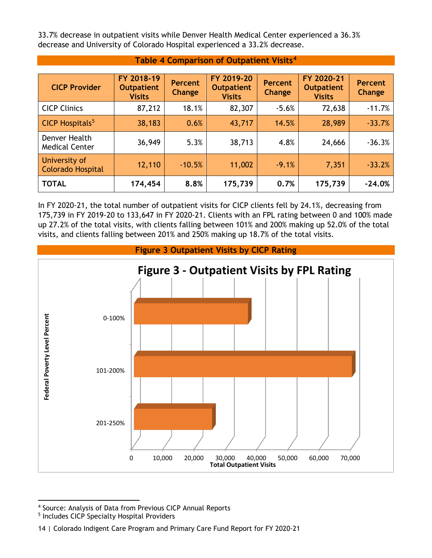33.7% decrease in outpatient visits while Denver Health Medical Center experienced a 36.3% decrease and University of Colorado Hospital experienced a 33.2% decrease.

<span id="page-14-0"></span>

| <b>CICP Provider</b>                      | FY 2018-19<br><b>Outpatient</b><br><b>Visits</b> | <b>Percent</b><br>Change | FY 2019-20<br><b>Outpatient</b><br><b>Visits</b> | <b>Percent</b><br>Change | FY 2020-21<br><b>Outpatient</b><br><b>Visits</b> | <b>Percent</b><br>Change |  |  |
|-------------------------------------------|--------------------------------------------------|--------------------------|--------------------------------------------------|--------------------------|--------------------------------------------------|--------------------------|--|--|
| <b>CICP Clinics</b>                       | 87,212                                           | 18.1%                    | 82,307                                           | $-5.6%$                  | 72,638                                           | $-11.7%$                 |  |  |
| CICP Hospitals <sup>5</sup>               | 38,183                                           | 0.6%                     | 43,717                                           | 14.5%                    | 28,989                                           | $-33.7%$                 |  |  |
| Denver Health<br><b>Medical Center</b>    | 36,949                                           | 5.3%                     | 38,713                                           | 4.8%                     | 24,666                                           | $-36.3%$                 |  |  |
| University of<br><b>Colorado Hospital</b> | 12,110                                           | $-10.5%$                 | 11,002                                           | $-9.1%$                  | 7,351                                            | $-33.2%$                 |  |  |
| <b>TOTAL</b>                              | 174,454                                          | 8.8%                     | 175,739                                          | 0.7%                     | 175,739                                          | $-24.0%$                 |  |  |

**Table 4 Comparison of Outpatient Visits[4](#page-14-2)**

In FY 2020-21, the total number of outpatient visits for CICP clients fell by 24.1%, decreasing from 175,739 in FY 2019-20 to 133,647 in FY 2020-21. Clients with an FPL rating between 0 and 100% made up 27.2% of the total visits, with clients falling between 101% and 200% making up 52.0% of the total visits, and clients falling between 201% and 250% making up 18.7% of the total visits.

<span id="page-14-1"></span>

<span id="page-14-2"></span><sup>4</sup> Source: Analysis of Data from Previous CICP Annual Reports

<span id="page-14-3"></span><sup>5</sup> Includes CICP Specialty Hospital Providers

<sup>14</sup> | Colorado Indigent Care Program and Primary Care Fund Report for FY 2020-21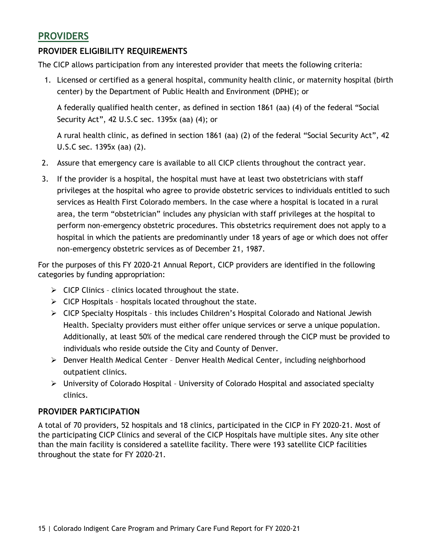### <span id="page-15-0"></span>**PROVIDERS**

#### <span id="page-15-1"></span>**PROVIDER ELIGIBILITY REQUIREMENTS**

The CICP allows participation from any interested provider that meets the following criteria:

1. Licensed or certified as a general hospital, community health clinic, or maternity hospital (birth center) by the Department of Public Health and Environment (DPHE); or

A federally qualified health center, as defined in section 1861 (aa) (4) of the federal "Social Security Act", 42 U.S.C sec. 1395x (aa) (4); or

A rural health clinic, as defined in section 1861 (aa) (2) of the federal "Social Security Act", 42 U.S.C sec. 1395x (aa) (2).

- 2. Assure that emergency care is available to all CICP clients throughout the contract year.
- 3. If the provider is a hospital, the hospital must have at least two obstetricians with staff privileges at the hospital who agree to provide obstetric services to individuals entitled to such services as Health First Colorado members. In the case where a hospital is located in a rural area, the term "obstetrician" includes any physician with staff privileges at the hospital to perform non-emergency obstetric procedures. This obstetrics requirement does not apply to a hospital in which the patients are predominantly under 18 years of age or which does not offer non-emergency obstetric services as of December 21, 1987.

For the purposes of this FY 2020-21 Annual Report, CICP providers are identified in the following categories by funding appropriation:

- $\triangleright$  CICP Clinics clinics located throughout the state.
- $\triangleright$  CICP Hospitals hospitals located throughout the state.
- CICP Specialty Hospitals this includes Children's Hospital Colorado and National Jewish Health. Specialty providers must either offer unique services or serve a unique population. Additionally, at least 50% of the medical care rendered through the CICP must be provided to individuals who reside outside the City and County of Denver.
- Denver Health Medical Center Denver Health Medical Center, including neighborhood outpatient clinics.
- University of Colorado Hospital University of Colorado Hospital and associated specialty clinics.

#### <span id="page-15-2"></span>**PROVIDER PARTICIPATION**

A total of 70 providers, 52 hospitals and 18 clinics, participated in the CICP in FY 2020-21. Most of the participating CICP Clinics and several of the CICP Hospitals have multiple sites. Any site other than the main facility is considered a satellite facility. There were 193 satellite CICP facilities throughout the state for FY 2020-21.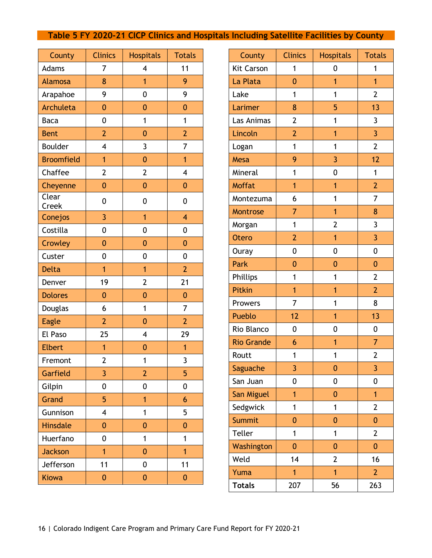### <span id="page-16-0"></span>**Table 5 FY 2020-21 CICP Clinics and Hospitals Including Satellite Facilities by County**

| County            | <b>Clinics</b>          | <b>Hospitals</b> | <b>Totals</b>            |
|-------------------|-------------------------|------------------|--------------------------|
| Adams             | 7                       | 4                | 11                       |
| Alamosa           | 8                       | $\overline{1}$   | 9                        |
| Arapahoe          | 9                       | 0                | 9                        |
| <b>Archuleta</b>  | 0                       | 0                | 0                        |
| <b>Baca</b>       | 0                       | 1                | $\mathbf{1}$             |
| <b>Bent</b>       | $\overline{2}$          | $\mathbf{0}$     | $\overline{2}$           |
| Boulder           | 4                       | 3                | 7                        |
| <b>Broomfield</b> | $\overline{1}$          | $\overline{0}$   | $\overline{1}$           |
| Chaffee           | $\overline{2}$          | $\overline{2}$   | $\overline{\mathcal{A}}$ |
| Cheyenne          | 0                       | 0                | 0                        |
| Clear<br>Creek    | 0                       | 0                | 0                        |
| Conejos           | 3                       | $\overline{1}$   | $\overline{\mathbf{4}}$  |
| Costilla          | 0                       | 0                | 0                        |
| Crowley           | $\mathbf{0}$            | $\overline{0}$   | $\mathbf{0}$             |
| Custer            | 0                       | 0                | 0                        |
| <b>Delta</b>      | $\overline{1}$          | $\overline{1}$   | $\overline{2}$           |
| Denver            | 19                      | $\overline{2}$   | 21                       |
| <b>Dolores</b>    | $\overline{0}$          | $\overline{0}$   | $\overline{0}$           |
| Douglas           | 6                       | 1                | 7                        |
| <b>Eagle</b>      | $\overline{2}$          | $\overline{0}$   | $\overline{2}$           |
| El Paso           | 25                      | 4                | 29                       |
| <b>Elbert</b>     | 1                       | $\mathbf{0}$     | 1                        |
| Fremont           | $\overline{2}$          | 1                | 3                        |
| Garfield          | 3                       | $\overline{2}$   | 5                        |
| Gilpin            | 0                       | 0                | 0                        |
| Grand             | 5                       | $\overline{1}$   | 6                        |
| Gunnison          | $\overline{\mathbf{4}}$ | 1                | 5                        |
| <b>Hinsdale</b>   | $\bf{0}$                | $\mathbf{0}$     | $\mathbf{0}$             |
| Huerfano          | 0                       | 1                | $\mathbf{1}$             |
| <b>Jackson</b>    | $\overline{1}$          | $\mathbf{0}$     | $\overline{1}$           |
| Jefferson         | 11                      | 0                | 11                       |
| <b>Kiowa</b>      | 0                       | $\mathbf{0}$     | 0                        |

| County            | <b>Clinics</b> | <b>Hospitals</b> | <b>Totals</b>  |
|-------------------|----------------|------------------|----------------|
| <b>Kit Carson</b> | 1              | 0                | 1              |
| La Plata          | 0              | $\overline{1}$   | $\overline{1}$ |
| Lake              | 1              | 1                | $\overline{2}$ |
| Larimer           | 8              | 5                | 13             |
| Las Animas        | $\overline{2}$ | 1                | 3              |
| Lincoln           | $\overline{2}$ | 1                | 3              |
| Logan             | 1              | 1                | $\overline{2}$ |
| Mesa              | 9              | 3                | 12             |
| Mineral           | 1              | 0                | $\mathbf{1}$   |
| <b>Moffat</b>     | 1              | 1                | $\overline{2}$ |
| Montezuma         | 6              | 1                | 7              |
| Montrose          | 7              | 1                | 8              |
| Morgan            | 1              | $\overline{2}$   | 3              |
| <b>Otero</b>      | $\overline{2}$ | 1                | 3              |
| Ouray             | 0              | 0                | 0              |
| Park              | 0              | 0                | $\overline{0}$ |
| Phillips          | 1              | 1                | $\overline{2}$ |
| Pitkin            | 1              | 1                | $\overline{2}$ |
| Prowers           | $\overline{7}$ | 1                | 8              |
| Pueblo            | 12             | 1                | 13             |
| Rio Blanco        | 0              | 0                | 0              |
| <b>Rio Grande</b> | 6              | 1                | 7              |
| Routt             | 1              | 1                | $\overline{2}$ |
| Saguache          | 3              | 0                | 3              |
| San Juan          | 0              | 0                | 0              |
| San Miguel        | $\overline{1}$ | 0                | $\overline{1}$ |
| Sedgwick          | 1              | 1                | $\overline{2}$ |
| Summit            | $\mathbf{0}$   | 0                | $\mathbf{0}$   |
| <b>Teller</b>     | 1              | 1                | 2              |
| Washington        | $\overline{0}$ | 0                | $\overline{0}$ |
| Weld              | 14             | $\overline{2}$   | 16             |
| Yuma              | $\overline{1}$ | $\overline{1}$   | $\overline{2}$ |
| <b>Totals</b>     | 207            | 56               | 263            |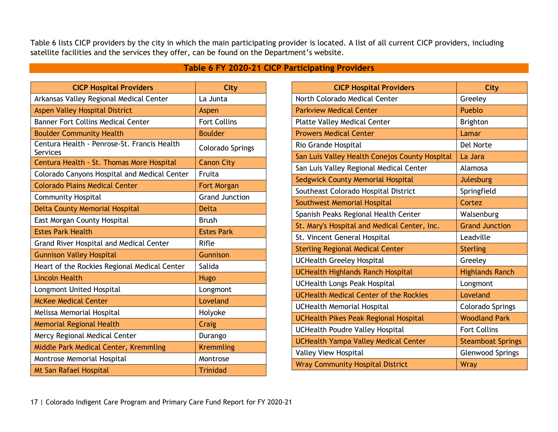Table 6 lists CICP providers by the city in which the main participating provider is located. A list of all current CICP providers, including satellite facilities and the services they offer, can be found on the Department's website.

### **Table 6 FY 2020-21 CICP Participating Providers**

<span id="page-17-0"></span>

| <b>CICP Hospital Providers</b>                          | <b>City</b>           |
|---------------------------------------------------------|-----------------------|
| Arkansas Valley Regional Medical Center                 | La Junta              |
| <b>Aspen Valley Hospital District</b>                   | Aspen                 |
| <b>Banner Fort Collins Medical Center</b>               | <b>Fort Collins</b>   |
| <b>Boulder Community Health</b>                         | <b>Boulder</b>        |
| Centura Health - Penrose-St. Francis Health<br>Services | Colorado Springs      |
| Centura Health - St. Thomas More Hospital               | <b>Canon City</b>     |
| Colorado Canyons Hospital and Medical Center            | Fruita                |
| <b>Colorado Plains Medical Center</b>                   | Fort Morgan           |
| <b>Community Hospital</b>                               | <b>Grand Junction</b> |
| <b>Delta County Memorial Hospital</b>                   | <b>Delta</b>          |
| East Morgan County Hospital                             | <b>Brush</b>          |
| <b>Estes Park Health</b>                                | <b>Estes Park</b>     |
| <b>Grand River Hospital and Medical Center</b>          | Rifle                 |
| <b>Gunnison Valley Hospital</b>                         | <b>Gunnison</b>       |
| Heart of the Rockies Regional Medical Center            | Salida                |
| <b>Lincoln Health</b>                                   | <b>Hugo</b>           |
| Longmont United Hospital                                | Longmont              |
| <b>McKee Medical Center</b>                             | Loveland              |
| Melissa Memorial Hospital                               | Holyoke               |
| <b>Memorial Regional Health</b>                         | Craig                 |
| Mercy Regional Medical Center                           | Durango               |
| Middle Park Medical Center, Kremmling                   | <b>Kremmling</b>      |
| Montrose Memorial Hospital                              | Montrose              |
| <b>Mt San Rafael Hospital</b>                           | <b>Trinidad</b>       |

| <b>CICP Hospital Providers</b>                 | <b>City</b>              |
|------------------------------------------------|--------------------------|
| North Colorado Medical Center                  | Greeley                  |
| <b>Parkview Medical Center</b>                 | Pueblo                   |
| <b>Platte Valley Medical Center</b>            | <b>Brighton</b>          |
| <b>Prowers Medical Center</b>                  | Lamar                    |
| Rio Grande Hospital                            | Del Norte                |
| San Luis Valley Health Conejos County Hospital | La Jara                  |
| San Luis Valley Regional Medical Center        | Alamosa                  |
| Sedgwick County Memorial Hospital              | Julesburg                |
| Southeast Colorado Hospital District           | Springfield              |
| Southwest Memorial Hospital                    | Cortez                   |
| Spanish Peaks Regional Health Center           | Walsenburg               |
| St. Mary's Hospital and Medical Center, Inc.   | <b>Grand Junction</b>    |
| St. Vincent General Hospital                   | Leadville                |
| <b>Sterling Regional Medical Center</b>        | <b>Sterling</b>          |
| <b>UCHealth Greeley Hospital</b>               | Greeley                  |
| <b>UCHealth Highlands Ranch Hospital</b>       | <b>Highlands Ranch</b>   |
| <b>UCHealth Longs Peak Hospital</b>            | Longmont                 |
| <b>UCHealth Medical Center of the Rockies</b>  | Loveland                 |
| <b>UCHealth Memorial Hospital</b>              | <b>Colorado Springs</b>  |
| <b>UCHealth Pikes Peak Regional Hospital</b>   | <b>Woodland Park</b>     |
| <b>UCHealth Poudre Valley Hospital</b>         | <b>Fort Collins</b>      |
| <b>UCHealth Yampa Valley Medical Center</b>    | <b>Steamboat Springs</b> |
| <b>Valley View Hospital</b>                    | <b>Glenwood Springs</b>  |
| <b>Wray Community Hospital District</b>        | <b>Wray</b>              |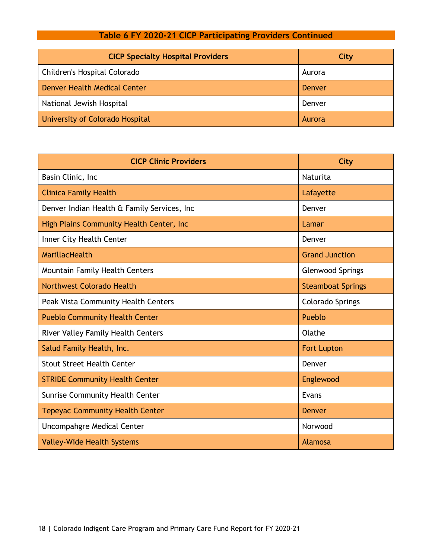### **Table 6 FY 2020-21 CICP Participating Providers Continued**

| <b>CICP Specialty Hospital Providers</b> | City          |
|------------------------------------------|---------------|
| Children's Hospital Colorado             | Aurora        |
| Denver Health Medical Center             | Denver        |
| National Jewish Hospital                 | Denver        |
| University of Colorado Hospital          | <b>Aurora</b> |

| <b>CICP Clinic Providers</b>                | City                     |
|---------------------------------------------|--------------------------|
| Basin Clinic, Inc                           | Naturita                 |
| <b>Clinica Family Health</b>                | Lafayette                |
| Denver Indian Health & Family Services, Inc | Denver                   |
| High Plains Community Health Center, Inc    | Lamar                    |
| Inner City Health Center                    | Denver                   |
| MarillacHealth                              | <b>Grand Junction</b>    |
| <b>Mountain Family Health Centers</b>       | <b>Glenwood Springs</b>  |
| Northwest Colorado Health                   | <b>Steamboat Springs</b> |
| Peak Vista Community Health Centers         | <b>Colorado Springs</b>  |
| <b>Pueblo Community Health Center</b>       | Pueblo                   |
| <b>River Valley Family Health Centers</b>   | Olathe                   |
| Salud Family Health, Inc.                   | <b>Fort Lupton</b>       |
| <b>Stout Street Health Center</b>           | Denver                   |
| <b>STRIDE Community Health Center</b>       | Englewood                |
| <b>Sunrise Community Health Center</b>      | Evans                    |
| <b>Tepeyac Community Health Center</b>      | Denver                   |
| Uncompahgre Medical Center                  | Norwood                  |
| <b>Valley-Wide Health Systems</b>           | Alamosa                  |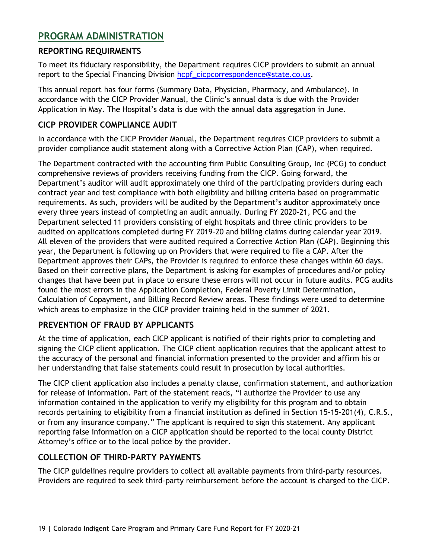### <span id="page-19-0"></span>**PROGRAM ADMINISTRATION**

#### <span id="page-19-1"></span>**REPORTING REQUIRMENTS**

To meet its fiduciary responsibility, the Department requires CICP providers to submit an annual report to the Special Financing Division [hcpf\\_cicpcorrespondence@state.co.us.](mailto:hcpf_cicpcorrespondence@state.co.us)

This annual report has four forms (Summary Data, Physician, Pharmacy, and Ambulance). In accordance with the CICP Provider Manual, the Clinic's annual data is due with the Provider Application in May. The Hospital's data is due with the annual data aggregation in June.

#### <span id="page-19-2"></span>**CICP PROVIDER COMPLIANCE AUDIT**

In accordance with the CICP Provider Manual, the Department requires CICP providers to submit a provider compliance audit statement along with a Corrective Action Plan (CAP), when required.

The Department contracted with the accounting firm Public Consulting Group, Inc (PCG) to conduct comprehensive reviews of providers receiving funding from the CICP. Going forward, the Department's auditor will audit approximately one third of the participating providers during each contract year and test compliance with both eligibility and billing criteria based on programmatic requirements. As such, providers will be audited by the Department's auditor approximately once every three years instead of completing an audit annually. During FY 2020-21, PCG and the Department selected 11 providers consisting of eight hospitals and three clinic providers to be audited on applications completed during FY 2019-20 and billing claims during calendar year 2019. All eleven of the providers that were audited required a Corrective Action Plan (CAP). Beginning this year, the Department is following up on Providers that were required to file a CAP. After the Department approves their CAPs, the Provider is required to enforce these changes within 60 days. Based on their corrective plans, the Department is asking for examples of procedures and/or policy changes that have been put in place to ensure these errors will not occur in future audits. PCG audits found the most errors in the Application Completion, Federal Poverty Limit Determination, Calculation of Copayment, and Billing Record Review areas. These findings were used to determine which areas to emphasize in the CICP provider training held in the summer of 2021.

### <span id="page-19-3"></span>**PREVENTION OF FRAUD BY APPLICANTS**

At the time of application, each CICP applicant is notified of their rights prior to completing and signing the CICP client application. The CICP client application requires that the applicant attest to the accuracy of the personal and financial information presented to the provider and affirm his or her understanding that false statements could result in prosecution by local authorities.

The CICP client application also includes a penalty clause, confirmation statement, and authorization for release of information. Part of the statement reads, "I authorize the Provider to use any information contained in the application to verify my eligibility for this program and to obtain records pertaining to eligibility from a financial institution as defined in Section 15-15-201(4), C.R.S., or from any insurance company." The applicant is required to sign this statement. Any applicant reporting false information on a CICP application should be reported to the local county District Attorney's office or to the local police by the provider.

#### <span id="page-19-4"></span>**COLLECTION OF THIRD-PARTY PAYMENTS**

The CICP guidelines require providers to collect all available payments from third-party resources. Providers are required to seek third-party reimbursement before the account is charged to the CICP.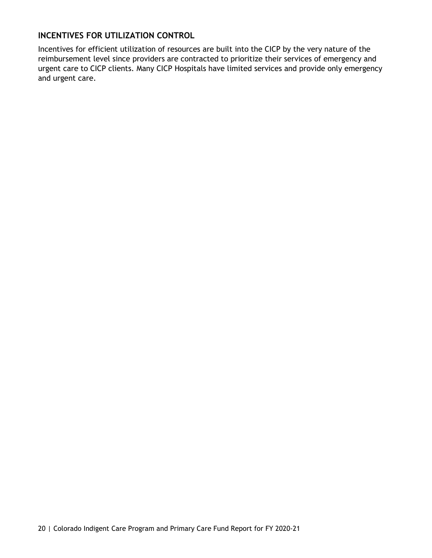#### <span id="page-20-0"></span>**INCENTIVES FOR UTILIZATION CONTROL**

Incentives for efficient utilization of resources are built into the CICP by the very nature of the reimbursement level since providers are contracted to prioritize their services of emergency and urgent care to CICP clients. Many CICP Hospitals have limited services and provide only emergency and urgent care.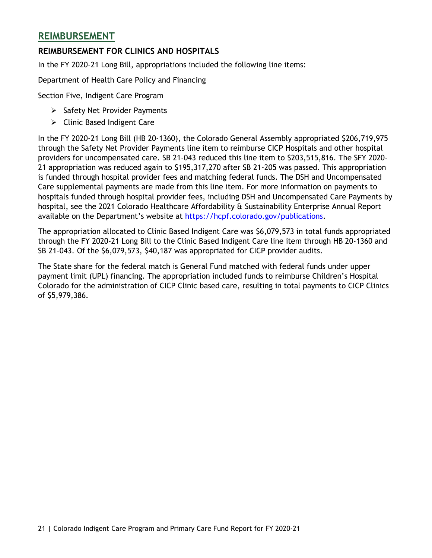### <span id="page-21-0"></span>**REIMBURSEMENT**

#### <span id="page-21-1"></span>**REIMBURSEMENT FOR CLINICS AND HOSPITALS**

In the FY 2020-21 Long Bill, appropriations included the following line items:

Department of Health Care Policy and Financing

Section Five, Indigent Care Program

- $\triangleright$  Safety Net Provider Payments
- Clinic Based Indigent Care

In the FY 2020-21 Long Bill (HB 20-1360), the Colorado General Assembly appropriated \$206,719,975 through the Safety Net Provider Payments line item to reimburse CICP Hospitals and other hospital providers for uncompensated care. SB 21-043 reduced this line item to \$203,515,816. The SFY 2020- 21 appropriation was reduced again to \$195,317,270 after SB 21-205 was passed. This appropriation is funded through hospital provider fees and matching federal funds. The DSH and Uncompensated Care supplemental payments are made from this line item. For more information on payments to hospitals funded through hospital provider fees, including DSH and Uncompensated Care Payments by hospital, see the 2021 Colorado Healthcare Affordability & Sustainability Enterprise Annual Report available on the Department's website at [https://hcpf.colorado.gov/publications.](https://hcpf.colorado.gov/publications)

The appropriation allocated to Clinic Based Indigent Care was \$6,079,573 in total funds appropriated through the FY 2020-21 Long Bill to the Clinic Based Indigent Care line item through HB 20-1360 and SB 21-043. Of the \$6,079,573, \$40,187 was appropriated for CICP provider audits.

The State share for the federal match is General Fund matched with federal funds under upper payment limit (UPL) financing. The appropriation included funds to reimburse Children's Hospital Colorado for the administration of CICP Clinic based care, resulting in total payments to CICP Clinics of \$5,979,386.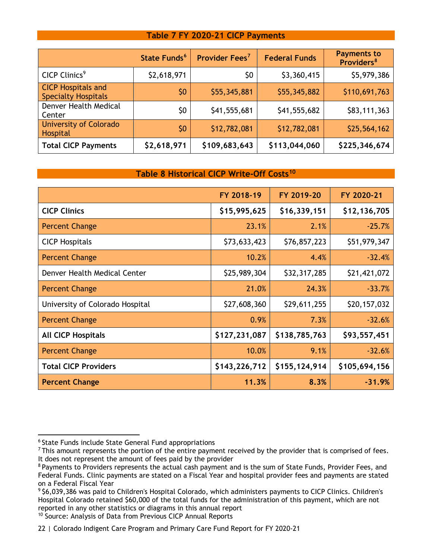#### **Table 7 FY 2020-21 CICP Payments**

<span id="page-22-0"></span>

|                                                         | State Funds <sup>6</sup> | Provider Fees <sup>7</sup> | <b>Federal Funds</b> | <b>Payments to</b><br>Providers <sup>8</sup> |
|---------------------------------------------------------|--------------------------|----------------------------|----------------------|----------------------------------------------|
| CICP Clinics <sup>9</sup>                               | \$2,618,971              | \$0                        | \$3,360,415          | \$5,979,386                                  |
| <b>CICP Hospitals and</b><br><b>Specialty Hospitals</b> | \$0                      | \$55,345,881               | \$55,345,882         | \$110,691,763                                |
| Denver Health Medical<br>Center                         | \$0                      | \$41,555,681               | \$41,555,682         | \$83,111,363                                 |
| University of Colorado<br><b>Hospital</b>               | 50                       | \$12,782,081               | \$12,782,081         | \$25,564,162                                 |
| <b>Total CICP Payments</b>                              | \$2,618,971              | \$109,683,643              | \$113,044,060        | \$225,346,674                                |

#### **Table 8 Historical CICP Write-Off Costs[10](#page-22-6)**

<span id="page-22-1"></span>

|                                 | FY 2018-19    | FY 2019-20    | FY 2020-21    |
|---------------------------------|---------------|---------------|---------------|
| <b>CICP Clinics</b>             | \$15,995,625  | \$16,339,151  | \$12,136,705  |
| Percent Change                  | 23.1%         | 2.1%          | $-25.7%$      |
| <b>CICP Hospitals</b>           | \$73,633,423  | \$76,857,223  | \$51,979,347  |
| Percent Change                  | 10.2%         | 4.4%          | $-32.4%$      |
| Denver Health Medical Center    | \$25,989,304  | \$32,317,285  | \$21,421,072  |
| <b>Percent Change</b>           | 21.0%         | 24.3%         | $-33.7%$      |
| University of Colorado Hospital | \$27,608,360  | \$29,611,255  | \$20,157,032  |
| Percent Change                  | 0.9%          | 7.3%          | $-32.6%$      |
| <b>All CICP Hospitals</b>       | \$127,231,087 | \$138,785,763 | \$93,557,451  |
| Percent Change                  | 10.0%         | 9.1%          | $-32.6%$      |
| <b>Total CICP Providers</b>     | \$143,226,712 | \$155,124,914 | \$105,694,156 |
| <b>Percent Change</b>           | 11.3%         | 8.3%          | $-31.9%$      |

<span id="page-22-2"></span><sup>6</sup> State Funds include State General Fund appropriations

<span id="page-22-3"></span><sup>&</sup>lt;sup>7</sup> This amount represents the portion of the entire payment received by the provider that is comprised of fees. It does not represent the amount of fees paid by the provider

<span id="page-22-4"></span><sup>&</sup>lt;sup>8</sup> Payments to Providers represents the actual cash payment and is the sum of State Funds, Provider Fees, and Federal Funds. Clinic payments are stated on a Fiscal Year and hospital provider fees and payments are stated on a Federal Fiscal Year

<span id="page-22-5"></span><sup>9</sup> \$6,039,386 was paid to Children's Hospital Colorado, which administers payments to CICP Clinics. Children's Hospital Colorado retained \$60,000 of the total funds for the administration of this payment, which are not reported in any other statistics or diagrams in this annual report

<span id="page-22-6"></span><sup>10</sup> Source: Analysis of Data from Previous CICP Annual Reports

<sup>22 |</sup> Colorado Indigent Care Program and Primary Care Fund Report for FY 2020-21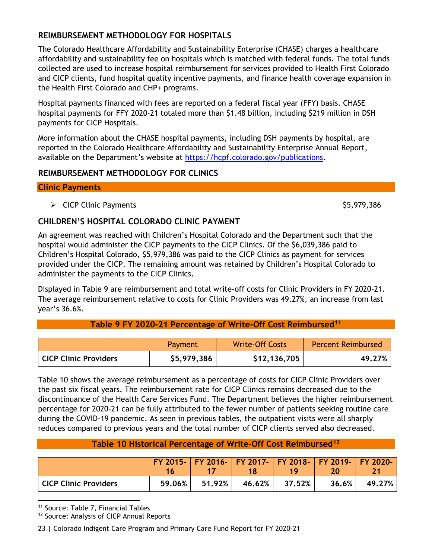#### <span id="page-23-0"></span>**REIMBURSEMENT METHODOLOGY FOR HOSPITALS**

The Colorado Healthcare Affordability and Sustainability Enterprise (CHASE) charges a healthcare affordability and sustainability fee on hospitals which is matched with federal funds. The total funds collected are used to increase hospital reimbursement for services provided to Health First Colorado and CICP clients, fund hospital quality incentive payments, and finance health coverage expansion in the Health First Colorado and CHP+ programs.

Hospital payments financed with fees are reported on a federal fiscal year (FFY) basis. CHASE hospital payments for FFY 2020-21 totaled more than \$1.48 billion, including \$219 million in DSH payments for CICP Hospitals.

More information about the CHASE hospital payments, including DSH payments by hospital, are reported in the Colorado Healthcare Affordability and Sustainability Enterprise Annual Report, available on the Department's website at [https://hcpf.colorado.gov/publications.](https://hcpf.colorado.gov/publications)

#### <span id="page-23-1"></span>**REIMBURSEMENT METHODOLOGY FOR CLINICS**

#### **Clinic Payments**

 $\triangleright$  CICP Clinic Payments  $$5,979,386$ 

### <span id="page-23-2"></span>**CHILDREN'S HOSPITAL COLORADO CLINIC PAYMENT**

An agreement was reached with Children's Hospital Colorado and the Department such that the hospital would administer the CICP payments to the CICP Clinics. Of the \$6,039,386 paid to Children's Hospital Colorado, \$5,979,386 was paid to the CICP Clinics as payment for services provided under the CICP. The remaining amount was retained by Children's Hospital Colorado to administer the payments to the CICP Clinics.

Displayed in Table 9 are reimbursement and total write-off costs for Clinic Providers in FY 2020-21. The average reimbursement relative to costs for Clinic Providers was 49.27%, an increase from last year's 36.6%.

#### **Table 9 FY 2020-21 Percentage of Write-Off Cost Reimburse[d11](#page-23-5)**

<span id="page-23-3"></span>

|                              | Payment     | <b>Write-Off Costs</b> | <b>Percent Reimbursed</b> |
|------------------------------|-------------|------------------------|---------------------------|
| <b>CICP Clinic Providers</b> | \$5,979,386 | \$12,136,705           | 49.27%                    |

Table 10 shows the average reimbursement as a percentage of costs for CICP Clinic Providers over the past six fiscal years. The reimbursement rate for CICP Clinics remains decreased due to the discontinuance of the Health Care Services Fund. The Department believes the higher reimbursement percentage for 2020-21 can be fully attributed to the fewer number of patients seeking routine care during the COVID-19 pandemic. As seen in previous tables, the outpatient visits were all sharply reduces compared to previous years and the total number of CICP clients served also decreased.

#### **Table 10 Historical Percentage of Write-Off Cost Reimbursed[12](#page-23-6)**

<span id="page-23-4"></span>

|                       |        |        |        | 1 Q    | FY 2015-   FY 2016-   FY 2017-   FY 2018-   FY 2019-   FY 2020- |          |
|-----------------------|--------|--------|--------|--------|-----------------------------------------------------------------|----------|
| CICP Clinic Providers | 59.06% | 51.92% | 46.62% | 37.52% | 36.6%                                                           | 49.27% l |

<span id="page-23-5"></span><sup>11</sup> Source: Table 7, Financial Tables

<span id="page-23-6"></span><sup>12</sup> Source: Analysis of CICP Annual Reports

23 | Colorado Indigent Care Program and Primary Care Fund Report for FY 2020-21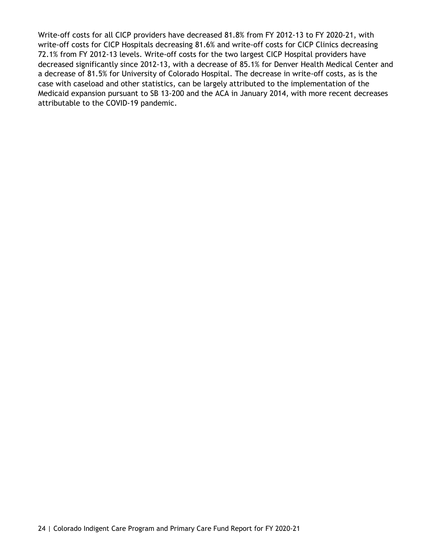Write-off costs for all CICP providers have decreased 81.8% from FY 2012-13 to FY 2020-21, with write-off costs for CICP Hospitals decreasing 81.6% and write-off costs for CICP Clinics decreasing 72.1% from FY 2012-13 levels. Write-off costs for the two largest CICP Hospital providers have decreased significantly since 2012-13, with a decrease of 85.1% for Denver Health Medical Center and a decrease of 81.5% for University of Colorado Hospital. The decrease in write-off costs, as is the case with caseload and other statistics, can be largely attributed to the implementation of the Medicaid expansion pursuant to SB 13-200 and the ACA in January 2014, with more recent decreases attributable to the COVID-19 pandemic.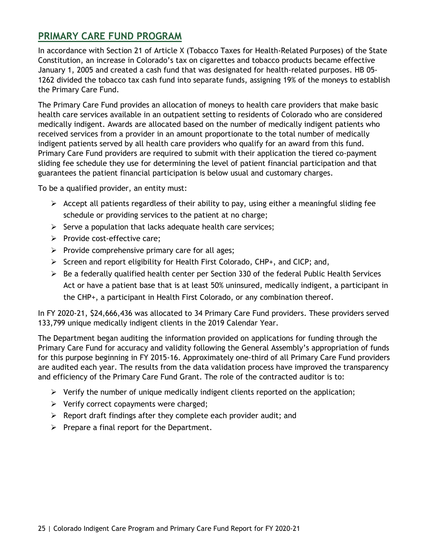### <span id="page-25-0"></span>**PRIMARY CARE FUND PROGRAM**

In accordance with Section 21 of Article X (Tobacco Taxes for Health-Related Purposes) of the State Constitution, an increase in Colorado's tax on cigarettes and tobacco products became effective January 1, 2005 and created a cash fund that was designated for health-related purposes. HB 05- 1262 divided the tobacco tax cash fund into separate funds, assigning 19% of the moneys to establish the Primary Care Fund.

The Primary Care Fund provides an allocation of moneys to health care providers that make basic health care services available in an outpatient setting to residents of Colorado who are considered medically indigent. Awards are allocated based on the number of medically indigent patients who received services from a provider in an amount proportionate to the total number of medically indigent patients served by all health care providers who qualify for an award from this fund. Primary Care Fund providers are required to submit with their application the tiered co-payment sliding fee schedule they use for determining the level of patient financial participation and that guarantees the patient financial participation is below usual and customary charges.

To be a qualified provider, an entity must:

- $\triangleright$  Accept all patients regardless of their ability to pay, using either a meaningful sliding fee schedule or providing services to the patient at no charge;
- $\triangleright$  Serve a population that lacks adequate health care services;
- $\triangleright$  Provide cost-effective care;
- $\triangleright$  Provide comprehensive primary care for all ages;
- $\triangleright$  Screen and report eligibility for Health First Colorado, CHP+, and CICP; and,
- $\triangleright$  Be a federally qualified health center per Section 330 of the federal Public Health Services Act or have a patient base that is at least 50% uninsured, medically indigent, a participant in the CHP+, a participant in Health First Colorado, or any combination thereof.

In FY 2020-21, \$24,666,436 was allocated to 34 Primary Care Fund providers. These providers served 133,799 unique medically indigent clients in the 2019 Calendar Year.

The Department began auditing the information provided on applications for funding through the Primary Care Fund for accuracy and validity following the General Assembly's appropriation of funds for this purpose beginning in FY 2015-16. Approximately one-third of all Primary Care Fund providers are audited each year. The results from the data validation process have improved the transparency and efficiency of the Primary Care Fund Grant. The role of the contracted auditor is to:

- $\triangleright$  Verify the number of unique medically indigent clients reported on the application;
- $\triangleright$  Verify correct copayments were charged;
- $\triangleright$  Report draft findings after they complete each provider audit; and
- $\triangleright$  Prepare a final report for the Department.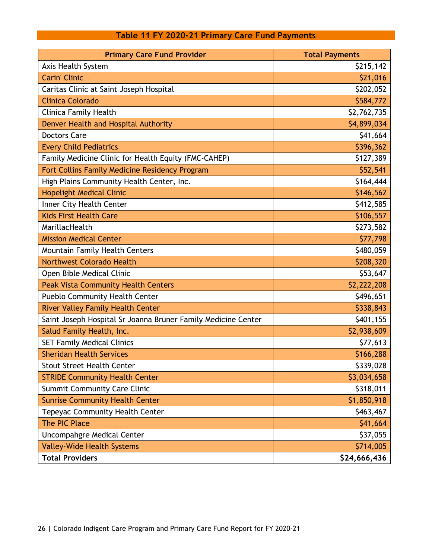### **Table 11 FY 2020-21 Primary Care Fund Payments**

<span id="page-26-0"></span>

| <b>Primary Care Fund Provider</b>                             | <b>Total Payments</b> |
|---------------------------------------------------------------|-----------------------|
| Axis Health System                                            | \$215,142             |
| <b>Carin' Clinic</b>                                          | \$21,016              |
| Caritas Clinic at Saint Joseph Hospital                       | \$202,052             |
| <b>Clinica Colorado</b>                                       | \$584,772             |
| <b>Clinica Family Health</b>                                  | \$2,762,735           |
| Denver Health and Hospital Authority                          | \$4,899,034           |
| <b>Doctors Care</b>                                           | \$41,664              |
| <b>Every Child Pediatrics</b>                                 | \$396,362             |
| Family Medicine Clinic for Health Equity (FMC-CAHEP)          | \$127,389             |
| Fort Collins Family Medicine Residency Program                | \$52,541              |
| High Plains Community Health Center, Inc.                     | \$164,444             |
| <b>Hopelight Medical Clinic</b>                               | \$146,562             |
| Inner City Health Center                                      | \$412,585             |
| <b>Kids First Health Care</b>                                 | \$106,557             |
| MarillacHealth                                                | \$273,582             |
| <b>Mission Medical Center</b>                                 | \$77,798              |
| Mountain Family Health Centers                                | \$480,059             |
| <b>Northwest Colorado Health</b>                              | \$208,320             |
| Open Bible Medical Clinic                                     | \$53,647              |
| <b>Peak Vista Community Health Centers</b>                    | \$2,222,208           |
| Pueblo Community Health Center                                | \$496,651             |
| <b>River Valley Family Health Center</b>                      | \$338,843             |
| Saint Joseph Hospital Sr Joanna Bruner Family Medicine Center | \$401,155             |
| Salud Family Health, Inc.                                     | \$2,938,609           |
| <b>SET Family Medical Clinics</b>                             | \$77,613              |
| <b>Sheridan Health Services</b>                               | \$166,288             |
| <b>Stout Street Health Center</b>                             | \$339,028             |
| <b>STRIDE Community Health Center</b>                         | \$3,034,658           |
| <b>Summit Community Care Clinic</b>                           | \$318,011             |
| <b>Sunrise Community Health Center</b>                        | \$1,850,918           |
| Tepeyac Community Health Center                               | \$463,467             |
| The PIC Place                                                 | \$41,664              |
| Uncompahgre Medical Center                                    | \$37,055              |
| <b>Valley-Wide Health Systems</b>                             | \$714,005             |
| <b>Total Providers</b>                                        | \$24,666,436          |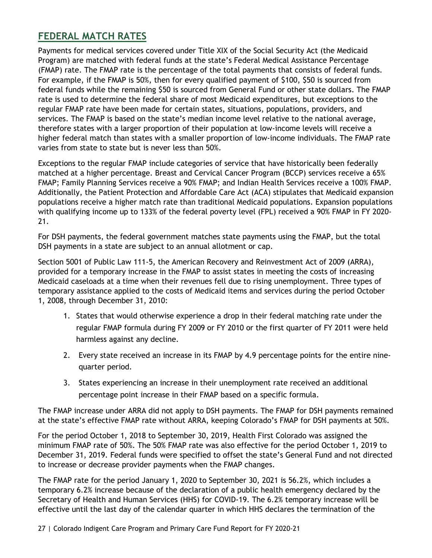### <span id="page-27-0"></span>**FEDERAL MATCH RATES**

Payments for medical services covered under Title XIX of the Social Security Act (the Medicaid Program) are matched with federal funds at the state's Federal Medical Assistance Percentage (FMAP) rate. The FMAP rate is the percentage of the total payments that consists of federal funds. For example, if the FMAP is 50%, then for every qualified payment of \$100, \$50 is sourced from federal funds while the remaining \$50 is sourced from General Fund or other state dollars. The FMAP rate is used to determine the federal share of most Medicaid expenditures, but exceptions to the regular FMAP rate have been made for certain states, situations, populations, providers, and services. The FMAP is based on the state's median income level relative to the national average, therefore states with a larger proportion of their population at low-income levels will receive a higher federal match than states with a smaller proportion of low-income individuals. The FMAP rate varies from state to state but is never less than 50%.

Exceptions to the regular FMAP include categories of service that have historically been federally matched at a higher percentage. Breast and Cervical Cancer Program (BCCP) services receive a 65% FMAP; Family Planning Services receive a 90% FMAP; and Indian Health Services receive a 100% FMAP. Additionally, the Patient Protection and Affordable Care Act (ACA) stipulates that Medicaid expansion populations receive a higher match rate than traditional Medicaid populations. Expansion populations with qualifying income up to 133% of the federal poverty level (FPL) received a 90% FMAP in FY 2020- 21.

For DSH payments, the federal government matches state payments using the FMAP, but the total DSH payments in a state are subject to an annual allotment or cap.

Section 5001 of Public Law 111-5, the American Recovery and Reinvestment Act of 2009 (ARRA), provided for a temporary increase in the FMAP to assist states in meeting the costs of increasing Medicaid caseloads at a time when their revenues fell due to rising unemployment. Three types of temporary assistance applied to the costs of Medicaid items and services during the period October 1, 2008, through December 31, 2010:

- 1. States that would otherwise experience a drop in their federal matching rate under the regular FMAP formula during FY 2009 or FY 2010 or the first quarter of FY 2011 were held harmless against any decline.
- 2. Every state received an increase in its FMAP by 4.9 percentage points for the entire ninequarter period.
- 3. States experiencing an increase in their unemployment rate received an additional percentage point increase in their FMAP based on a specific formula.

The FMAP increase under ARRA did not apply to DSH payments. The FMAP for DSH payments remained at the state's effective FMAP rate without ARRA, keeping Colorado's FMAP for DSH payments at 50%.

For the period October 1, 2018 to September 30, 2019, Health First Colorado was assigned the minimum FMAP rate of 50%. The 50% FMAP rate was also effective for the period October 1, 2019 to December 31, 2019. Federal funds were specified to offset the state's General Fund and not directed to increase or decrease provider payments when the FMAP changes.

The FMAP rate for the period January 1, 2020 to September 30, 2021 is 56.2%, which includes a temporary 6.2% increase because of the declaration of a public health emergency declared by the Secretary of Health and Human Services (HHS) for COVID-19. The 6.2% temporary increase will be effective until the last day of the calendar quarter in which HHS declares the termination of the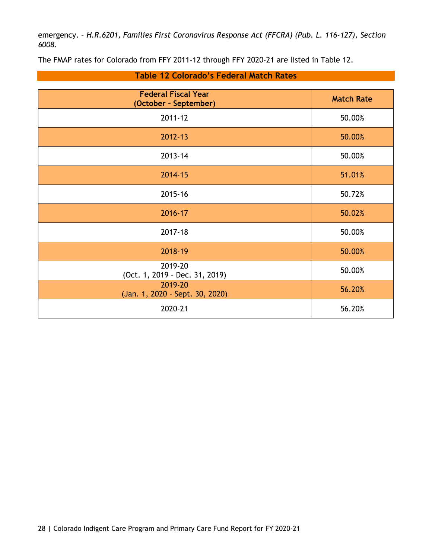emergency. – *H.R.6201, Families First Coronavirus Response Act (FFCRA) (Pub. L. 116-127), Section 6008.*

The FMAP rates for Colorado from FFY 2011-12 through FFY 2020-21 are listed in Table 12.

<span id="page-28-0"></span>

| <b>Federal Fiscal Year</b><br>(October - September) | <b>Match Rate</b> |
|-----------------------------------------------------|-------------------|
| 2011-12                                             | 50.00%            |
| 2012-13                                             | 50.00%            |
| 2013-14                                             | 50.00%            |
| 2014-15                                             | 51.01%            |
| 2015-16                                             | 50.72%            |
| 2016-17                                             | 50.02%            |
| 2017-18                                             | 50.00%            |
| 2018-19                                             | 50.00%            |
| 2019-20<br>(Oct. 1, 2019 - Dec. 31, 2019)           | 50.00%            |
| 2019-20<br>(Jan. 1, 2020 - Sept. 30, 2020)          | 56.20%            |
| 2020-21                                             | 56.20%            |

#### **Table 12 Colorado's Federal Match Rates**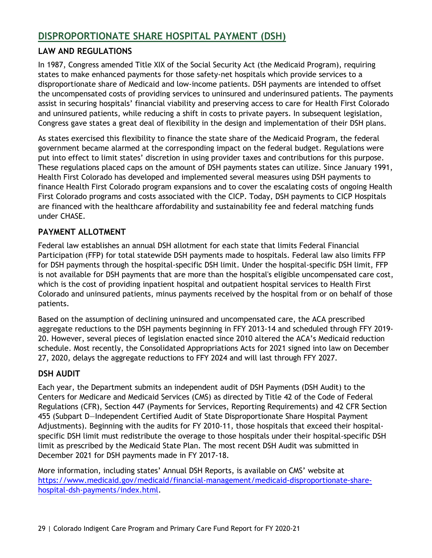### <span id="page-29-0"></span>**DISPROPORTIONATE SHARE HOSPITAL PAYMENT (DSH)**

### <span id="page-29-1"></span>**LAW AND REGULATIONS**

In 1987, Congress amended Title XIX of the Social Security Act (the Medicaid Program), requiring states to make enhanced payments for those safety-net hospitals which provide services to a disproportionate share of Medicaid and low-income patients. DSH payments are intended to offset the uncompensated costs of providing services to uninsured and underinsured patients. The payments assist in securing hospitals' financial viability and preserving access to care for Health First Colorado and uninsured patients, while reducing a shift in costs to private payers. In subsequent legislation, Congress gave states a great deal of flexibility in the design and implementation of their DSH plans.

As states exercised this flexibility to finance the state share of the Medicaid Program, the federal government became alarmed at the corresponding impact on the federal budget. Regulations were put into effect to limit states' discretion in using provider taxes and contributions for this purpose. These regulations placed caps on the amount of DSH payments states can utilize. Since January 1991, Health First Colorado has developed and implemented several measures using DSH payments to finance Health First Colorado program expansions and to cover the escalating costs of ongoing Health First Colorado programs and costs associated with the CICP. Today, DSH payments to CICP Hospitals are financed with the healthcare affordability and sustainability fee and federal matching funds under CHASE.

### <span id="page-29-2"></span>**PAYMENT ALLOTMENT**

Federal law establishes an annual DSH allotment for each state that limits Federal Financial Participation (FFP) for total statewide DSH payments made to hospitals. Federal law also limits FFP for DSH payments through the hospital-specific DSH limit. Under the hospital-specific DSH limit, FFP is not available for DSH payments that are more than the hospital's eligible uncompensated care cost, which is the cost of providing inpatient hospital and outpatient hospital services to Health First Colorado and uninsured patients, minus payments received by the hospital from or on behalf of those patients.

Based on the assumption of declining uninsured and uncompensated care, the ACA prescribed aggregate reductions to the DSH payments beginning in FFY 2013-14 and scheduled through FFY 2019- 20. However, several pieces of legislation enacted since 2010 altered the ACA's Medicaid reduction schedule. Most recently, the Consolidated Appropriations Acts for 2021 signed into law on December 27, 2020, delays the aggregate reductions to FFY 2024 and will last through FFY 2027.

### <span id="page-29-3"></span>**DSH AUDIT**

Each year, the Department submits an independent audit of DSH Payments (DSH Audit) to the Centers for Medicare and Medicaid Services (CMS) as directed by Title 42 of the Code of Federal Regulations (CFR), Section 447 (Payments for Services, Reporting Requirements) and 42 CFR Section 455 (Subpart D—Independent Certified Audit of State Disproportionate Share Hospital Payment Adjustments). Beginning with the audits for FY 2010-11, those hospitals that exceed their hospitalspecific DSH limit must redistribute the overage to those hospitals under their hospital-specific DSH limit as prescribed by the Medicaid State Plan. The most recent DSH Audit was submitted in December 2021 for DSH payments made in FY 2017-18.

More information, including states' Annual DSH Reports, is available on CMS' website at [https://www.medicaid.gov/medicaid/financial-management/medicaid-disproportionate-share](https://www.medicaid.gov/medicaid/financial-management/medicaid-disproportionate-share-hospital-dsh-payments/index.html)[hospital-dsh-payments/index.html.](https://www.medicaid.gov/medicaid/financial-management/medicaid-disproportionate-share-hospital-dsh-payments/index.html)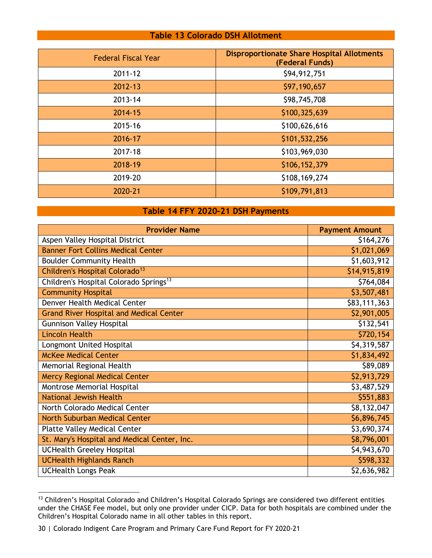#### **Table 13 Colorado DSH Allotment**

<span id="page-30-0"></span>

| <b>Federal Fiscal Year</b> | <b>Disproportionate Share Hospital Allotments</b><br>(Federal Funds) |
|----------------------------|----------------------------------------------------------------------|
| $2011 - 12$                | \$94,912,751                                                         |
| 2012-13                    | \$97,190,657                                                         |
| 2013-14                    | \$98,745,708                                                         |
| 2014-15                    | \$100,325,639                                                        |
| 2015-16                    | \$100,626,616                                                        |
| 2016-17                    | \$101,532,256                                                        |
| 2017-18                    | \$103,969,030                                                        |
| 2018-19                    | \$106,152,379                                                        |
| 2019-20                    | \$108,169,274                                                        |
| 2020-21                    | \$109,791,813                                                        |

#### **Table 14 FFY 2020-21 DSH Payments**

<span id="page-30-1"></span>

| <b>Provider Name</b>                               | <b>Payment Amount</b> |
|----------------------------------------------------|-----------------------|
| Aspen Valley Hospital District                     | \$164,276             |
| <b>Banner Fort Collins Medical Center</b>          | \$1,021,069           |
| <b>Boulder Community Health</b>                    | \$1,603,912           |
| Children's Hospital Colorado <sup>13</sup>         | \$14,915,819          |
| Children's Hospital Colorado Springs <sup>13</sup> | \$764,084             |
| <b>Community Hospital</b>                          | \$3,507,481           |
| Denver Health Medical Center                       | \$83,111,363          |
| <b>Grand River Hospital and Medical Center</b>     | \$2,901,005           |
| <b>Gunnison Valley Hospital</b>                    | \$132,541             |
| <b>Lincoln Health</b>                              | \$720,154             |
| Longmont United Hospital                           | \$4,319,587           |
| <b>McKee Medical Center</b>                        | \$1,834,492           |
| Memorial Regional Health                           | \$89,089              |
| <b>Mercy Regional Medical Center</b>               | \$2,913,729           |
| Montrose Memorial Hospital                         | \$3,487,529           |
| <b>National Jewish Health</b>                      | \$551,883             |
| North Colorado Medical Center                      | \$8,132,047           |
| North Suburban Medical Center                      | \$6,896,745           |
| <b>Platte Valley Medical Center</b>                | \$3,690,374           |
| St. Mary's Hospital and Medical Center, Inc.       | \$8,796,001           |
| <b>UCHealth Greeley Hospital</b>                   | \$4,943,670           |
| <b>UCHealth Highlands Ranch</b>                    | \$598,332             |
| <b>UCHealth Longs Peak</b>                         | \$2,636,982           |

<span id="page-30-2"></span> $^{13}$  Children's Hospital Colorado and Children's Hospital Colorado Springs are considered two different entities under the CHASE Fee model, but only one provider under CICP. Data for both hospitals are combined under the Children's Hospital Colorado name in all other tables in this report.

<sup>30</sup> | Colorado Indigent Care Program and Primary Care Fund Report for FY 2020-21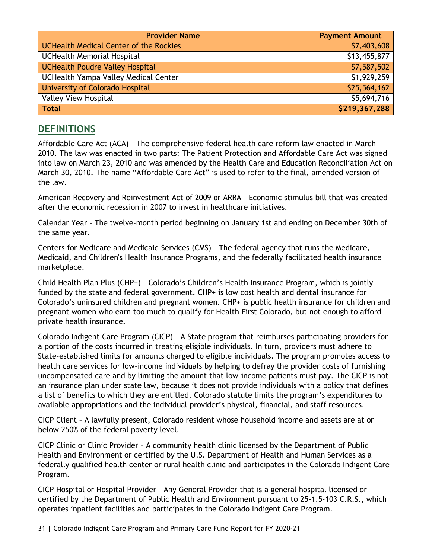| <b>Provider Name</b>                          | <b>Payment Amount</b> |
|-----------------------------------------------|-----------------------|
| <b>UCHealth Medical Center of the Rockies</b> | \$7,403,608           |
| <b>UCHealth Memorial Hospital</b>             | \$13,455,877          |
| UCHealth Poudre Valley Hospital               | \$7,587,502           |
| UCHealth Yampa Valley Medical Center          | \$1,929,259           |
| <b>University of Colorado Hospital</b>        | \$25,564,162          |
| <b>Valley View Hospital</b>                   | \$5,694,716           |
| <b>Total</b>                                  | \$219,367,288         |

### <span id="page-31-0"></span>**DEFINITIONS**

Affordable Care Act (ACA) – The comprehensive federal health care reform law enacted in March 2010. The law was enacted in two parts: The Patient Protection and Affordable Care Act was signed into law on March 23, 2010 and was amended by the Health Care and Education Reconciliation Act on March 30, 2010. The name "Affordable Care Act" is used to refer to the final, amended version of the law.

American Recovery and Reinvestment Act of 2009 or ARRA – Economic stimulus bill that was created after the economic recession in 2007 to invest in healthcare initiatives.

Calendar Year - The twelve-month period beginning on January 1st and ending on December 30th of the same year.

Centers for Medicare and Medicaid Services (CMS) – The federal agency that runs the Medicare, Medicaid, and Children's Health Insurance Programs, and the federally facilitated health insurance marketplace.

Child Health Plan Plus (CHP+) – Colorado's Children's Health Insurance Program, which is jointly funded by the state and federal government. CHP+ is low cost health and dental insurance for Colorado's uninsured children and pregnant women. CHP+ is public health insurance for children and pregnant women who earn too much to qualify for Health First Colorado, but not enough to afford private health insurance.

Colorado Indigent Care Program (CICP) – A State program that reimburses participating providers for a portion of the costs incurred in treating eligible individuals. In turn, providers must adhere to State-established limits for amounts charged to eligible individuals. The program promotes access to health care services for low-income individuals by helping to defray the provider costs of furnishing uncompensated care and by limiting the amount that low-income patients must pay. The CICP is not an insurance plan under state law, because it does not provide individuals with a policy that defines a list of benefits to which they are entitled. Colorado statute limits the program's expenditures to available appropriations and the individual provider's physical, financial, and staff resources.

CICP Client – A lawfully present, Colorado resident whose household income and assets are at or below 250% of the federal poverty level.

CICP Clinic or Clinic Provider – A community health clinic licensed by the Department of Public Health and Environment or certified by the U.S. Department of Health and Human Services as a federally qualified health center or rural health clinic and participates in the Colorado Indigent Care Program.

CICP Hospital or Hospital Provider – Any General Provider that is a general hospital licensed or certified by the Department of Public Health and Environment pursuant to 25-1.5-103 C.R.S., which operates inpatient facilities and participates in the Colorado Indigent Care Program.

31 | Colorado Indigent Care Program and Primary Care Fund Report for FY 2020-21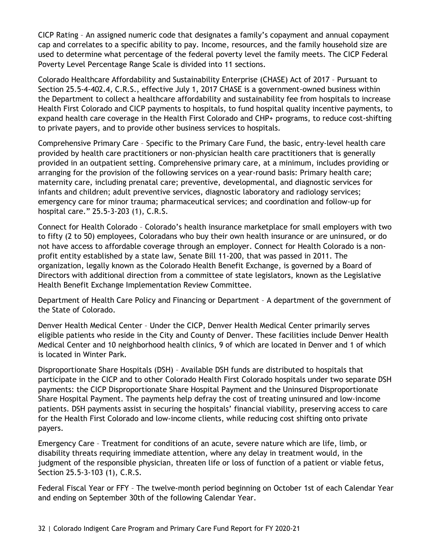CICP Rating – An assigned numeric code that designates a family's copayment and annual copayment cap and correlates to a specific ability to pay. Income, resources, and the family household size are used to determine what percentage of the federal poverty level the family meets. The CICP Federal Poverty Level Percentage Range Scale is divided into 11 sections.

Colorado Healthcare Affordability and Sustainability Enterprise (CHASE) Act of 2017 – Pursuant to Section 25.5-4-402.4, C.R.S., effective July 1, 2017 CHASE is a government-owned business within the Department to collect a healthcare affordability and sustainability fee from hospitals to increase Health First Colorado and CICP payments to hospitals, to fund hospital quality incentive payments, to expand health care coverage in the Health First Colorado and CHP+ programs, to reduce cost-shifting to private payers, and to provide other business services to hospitals.

Comprehensive Primary Care – Specific to the Primary Care Fund, the basic, entry-level health care provided by health care practitioners or non-physician health care practitioners that is generally provided in an outpatient setting. Comprehensive primary care, at a minimum, includes providing or arranging for the provision of the following services on a year-round basis: Primary health care; maternity care, including prenatal care; preventive, developmental, and diagnostic services for infants and children; adult preventive services, diagnostic laboratory and radiology services; emergency care for minor trauma; pharmaceutical services; and coordination and follow-up for hospital care." 25.5-3-203 (1), C.R.S.

Connect for Health Colorado – Colorado's health insurance marketplace for small employers with two to fifty (2 to 50) employees, Coloradans who buy their own health insurance or are uninsured, or do not have access to affordable coverage through an employer. Connect for Health Colorado is a nonprofit entity established by a state law, Senate Bill 11-200, that was passed in 2011. The organization, legally known as the Colorado Health Benefit Exchange, is governed by a Board of Directors with additional direction from a committee of state legislators, known as the Legislative Health Benefit Exchange Implementation Review Committee.

Department of Health Care Policy and Financing or Department – A department of the government of the State of Colorado.

Denver Health Medical Center – Under the CICP, Denver Health Medical Center primarily serves eligible patients who reside in the City and County of Denver. These facilities include Denver Health Medical Center and 10 neighborhood health clinics, 9 of which are located in Denver and 1 of which is located in Winter Park.

Disproportionate Share Hospitals (DSH) – Available DSH funds are distributed to hospitals that participate in the CICP and to other Colorado Health First Colorado hospitals under two separate DSH payments: the CICP Disproportionate Share Hospital Payment and the Uninsured Disproportionate Share Hospital Payment. The payments help defray the cost of treating uninsured and low-income patients. DSH payments assist in securing the hospitals' financial viability, preserving access to care for the Health First Colorado and low-income clients, while reducing cost shifting onto private payers.

Emergency Care – Treatment for conditions of an acute, severe nature which are life, limb, or disability threats requiring immediate attention, where any delay in treatment would, in the judgment of the responsible physician, threaten life or loss of function of a patient or viable fetus, Section 25.5-3-103 (1), C.R.S.

Federal Fiscal Year or FFY – The twelve-month period beginning on October 1st of each Calendar Year and ending on September 30th of the following Calendar Year.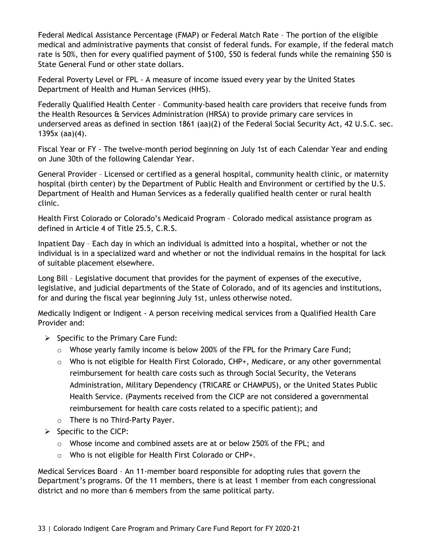Federal Medical Assistance Percentage (FMAP) or Federal Match Rate – The portion of the eligible medical and administrative payments that consist of federal funds. For example, if the federal match rate is 50%, then for every qualified payment of \$100, \$50 is federal funds while the remaining \$50 is State General Fund or other state dollars.

Federal Poverty Level or FPL - A measure of income issued every year by the United States Department of Health and Human Services (HHS).

Federally Qualified Health Center – Community-based health care providers that receive funds from the Health Resources & Services Administration (HRSA) to provide primary care services in underserved areas as defined in section 1861 (aa)(2) of the Federal Social Security Act, 42 U.S.C. sec. 1395x (aa)(4).

Fiscal Year or FY - The twelve-month period beginning on July 1st of each Calendar Year and ending on June 30th of the following Calendar Year.

General Provider – Licensed or certified as a general hospital, community health clinic, or maternity hospital (birth center) by the Department of Public Health and Environment or certified by the U.S. Department of Health and Human Services as a federally qualified health center or rural health clinic.

Health First Colorado or Colorado's Medicaid Program – Colorado medical assistance program as defined in Article 4 of Title 25.5, C.R.S.

Inpatient Day – Each day in which an individual is admitted into a hospital, whether or not the individual is in a specialized ward and whether or not the individual remains in the hospital for lack of suitable placement elsewhere.

Long Bill – Legislative document that provides for the payment of expenses of the executive, legislative, and judicial departments of the State of Colorado, and of its agencies and institutions, for and during the fiscal year beginning July 1st, unless otherwise noted.

Medically Indigent or Indigent - A person receiving medical services from a Qualified Health Care Provider and:

- $\triangleright$  Specific to the Primary Care Fund:
	- $\circ$  Whose yearly family income is below 200% of the FPL for the Primary Care Fund;
	- $\circ$  Who is not eligible for Health First Colorado, CHP+, Medicare, or any other governmental reimbursement for health care costs such as through Social Security, the Veterans Administration, Military Dependency (TRICARE or CHAMPUS), or the United States Public Health Service. (Payments received from the CICP are not considered a governmental reimbursement for health care costs related to a specific patient); and
	- o There is no Third-Party Payer.
- $\triangleright$  Specific to the CICP:
	- $\circ$  Whose income and combined assets are at or below 250% of the FPL; and
	- o Who is not eligible for Health First Colorado or CHP+.

Medical Services Board – An 11-member board responsible for adopting rules that govern the Department's programs. Of the 11 members, there is at least 1 member from each congressional district and no more than 6 members from the same political party.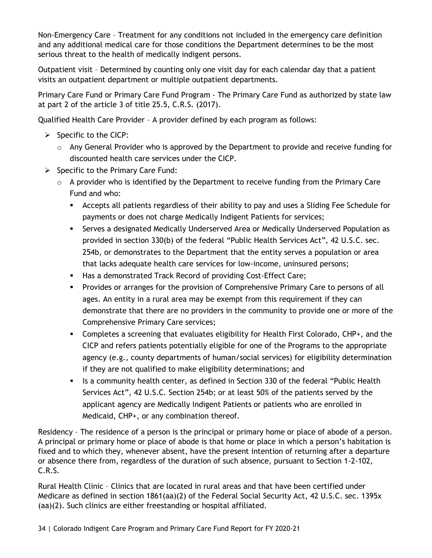Non-Emergency Care – Treatment for any conditions not included in the emergency care definition and any additional medical care for those conditions the Department determines to be the most serious threat to the health of medically indigent persons.

Outpatient visit – Determined by counting only one visit day for each calendar day that a patient visits an outpatient department or multiple outpatient departments.

Primary Care Fund or Primary Care Fund Program - The Primary Care Fund as authorized by state law at part 2 of the article 3 of title 25.5, C.R.S. (2017).

Qualified Health Care Provider – A provider defined by each program as follows:

- $\triangleright$  Specific to the CICP:
	- o Any General Provider who is approved by the Department to provide and receive funding for discounted health care services under the CICP.
- $\triangleright$  Specific to the Primary Care Fund:
	- o A provider who is identified by the Department to receive funding from the Primary Care Fund and who:
		- Accepts all patients regardless of their ability to pay and uses a Sliding Fee Schedule for payments or does not charge Medically Indigent Patients for services;
		- Serves a designated Medically Underserved Area or Medically Underserved Population as provided in section 330(b) of the federal "Public Health Services Act", 42 U.S.C. sec. 254b, or demonstrates to the Department that the entity serves a population or area that lacks adequate health care services for low-income, uninsured persons;
		- **Has a demonstrated Track Record of providing Cost-Effect Care;**
		- Provides or arranges for the provision of Comprehensive Primary Care to persons of all ages. An entity in a rural area may be exempt from this requirement if they can demonstrate that there are no providers in the community to provide one or more of the Comprehensive Primary Care services;
		- Completes a screening that evaluates eligibility for Health First Colorado, CHP+, and the CICP and refers patients potentially eligible for one of the Programs to the appropriate agency (e.g., county departments of human/social services) for eligibility determination if they are not qualified to make eligibility determinations; and
		- In Is a community health center, as defined in Section 330 of the federal "Public Health Services Act", 42 U.S.C. Section 254b; or at least 50% of the patients served by the applicant agency are Medically Indigent Patients or patients who are enrolled in Medicaid, CHP+, or any combination thereof.

Residency – The residence of a person is the principal or primary home or place of abode of a person. A principal or primary home or place of abode is that home or place in which a person's habitation is fixed and to which they, whenever absent, have the present intention of returning after a departure or absence there from, regardless of the duration of such absence, pursuant to Section 1-2-102, C.R.S.

Rural Health Clinic – Clinics that are located in rural areas and that have been certified under Medicare as defined in section 1861(aa)(2) of the Federal Social Security Act, 42 U.S.C. sec. 1395x (aa)(2). Such clinics are either freestanding or hospital affiliated.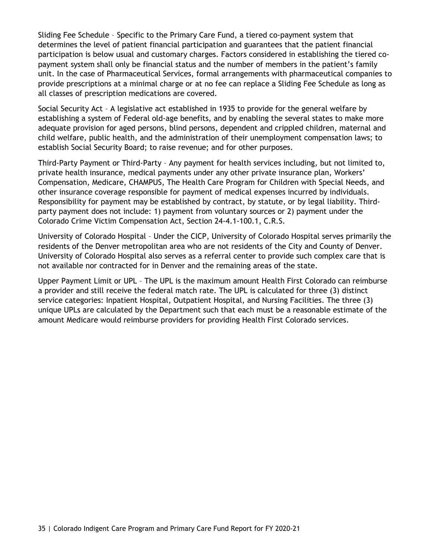Sliding Fee Schedule – Specific to the Primary Care Fund, a tiered co-payment system that determines the level of patient financial participation and guarantees that the patient financial participation is below usual and customary charges. Factors considered in establishing the tiered copayment system shall only be financial status and the number of members in the patient's family unit. In the case of Pharmaceutical Services, formal arrangements with pharmaceutical companies to provide prescriptions at a minimal charge or at no fee can replace a Sliding Fee Schedule as long as all classes of prescription medications are covered.

Social Security Act – A legislative act established in 1935 to provide for the general welfare by establishing a system of Federal old-age benefits, and by enabling the several states to make more adequate provision for aged persons, blind persons, dependent and crippled children, maternal and child welfare, public health, and the administration of their unemployment compensation laws; to establish Social Security Board; to raise revenue; and for other purposes.

Third-Party Payment or Third-Party – Any payment for health services including, but not limited to, private health insurance, medical payments under any other private insurance plan, Workers' Compensation, Medicare, CHAMPUS, The Health Care Program for Children with Special Needs, and other insurance coverage responsible for payment of medical expenses incurred by individuals. Responsibility for payment may be established by contract, by statute, or by legal liability. Thirdparty payment does not include: 1) payment from voluntary sources or 2) payment under the Colorado Crime Victim Compensation Act, Section 24-4.1-100.1, C.R.S.

University of Colorado Hospital – Under the CICP, University of Colorado Hospital serves primarily the residents of the Denver metropolitan area who are not residents of the City and County of Denver. University of Colorado Hospital also serves as a referral center to provide such complex care that is not available nor contracted for in Denver and the remaining areas of the state.

Upper Payment Limit or UPL – The UPL is the maximum amount Health First Colorado can reimburse a provider and still receive the federal match rate. The UPL is calculated for three (3) distinct service categories: Inpatient Hospital, Outpatient Hospital, and Nursing Facilities. The three (3) unique UPLs are calculated by the Department such that each must be a reasonable estimate of the amount Medicare would reimburse providers for providing Health First Colorado services.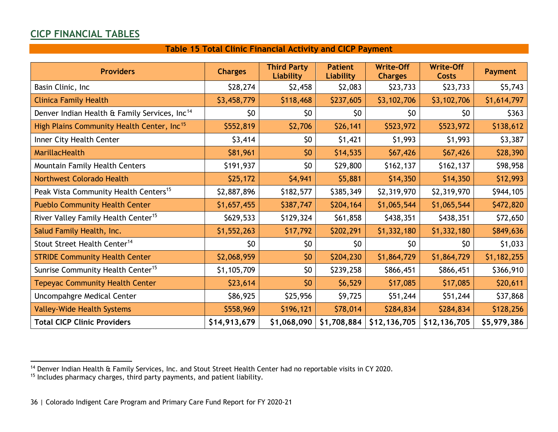### **CICP FINANCIAL TABLES**

### <span id="page-36-3"></span><span id="page-36-2"></span>**Table 15 Total Clinic Financial Activity and CICP Payment**

<span id="page-36-1"></span><span id="page-36-0"></span>

| <b>Providers</b>                                          | <b>Charges</b> | <b>Third Party</b><br>Liability | <b>Patient</b><br><b>Liability</b> | <b>Write-Off</b><br><b>Charges</b> | <b>Write-Off</b><br><b>Costs</b> | <b>Payment</b> |
|-----------------------------------------------------------|----------------|---------------------------------|------------------------------------|------------------------------------|----------------------------------|----------------|
| Basin Clinic, Inc                                         | \$28,274       | \$2,458                         | \$2,083                            | \$23,733                           | \$23,733                         | \$5,743        |
| <b>Clinica Family Health</b>                              | \$3,458,779    | \$118,468                       | \$237,605                          | \$3,102,706                        | \$3,102,706                      | \$1,614,797    |
| Denver Indian Health & Family Services, Inc <sup>14</sup> | \$0            | \$0                             | \$0                                | \$0                                | \$0                              | \$363          |
| High Plains Community Health Center, Inc <sup>15</sup>    | \$552,819      | \$2,706                         | \$26,141                           | \$523,972                          | \$523,972                        | \$138,612      |
| Inner City Health Center                                  | \$3,414        | \$0                             | \$1,421                            | \$1,993                            | \$1,993                          | \$3,387        |
| <b>MarillacHealth</b>                                     | \$81,961       | \$0                             | \$14,535                           | \$67,426                           | \$67,426                         | \$28,390       |
| Mountain Family Health Centers                            | \$191,937      | \$0                             | \$29,800                           | \$162,137                          | \$162,137                        | \$98,958       |
| <b>Northwest Colorado Health</b>                          | \$25,172       | \$4,941                         | \$5,881                            | \$14,350                           | \$14,350                         | \$12,993       |
| Peak Vista Community Health Centers <sup>15</sup>         | \$2,887,896    | \$182,577                       | \$385,349                          | \$2,319,970                        | \$2,319,970                      | \$944,105      |
| <b>Pueblo Community Health Center</b>                     | \$1,657,455    | \$387,747                       | \$204,164                          | \$1,065,544                        | \$1,065,544                      | \$472,820      |
| River Valley Family Health Center <sup>15</sup>           | \$629,533      | \$129,324                       | \$61,858                           | \$438,351                          | \$438,351                        | \$72,650       |
| Salud Family Health, Inc.                                 | \$1,552,263    | \$17,792                        | \$202,291                          | \$1,332,180                        | \$1,332,180                      | \$849,636      |
| Stout Street Health Center <sup>14</sup>                  | \$0            | \$0                             | \$0                                | \$0                                | \$0                              | \$1,033        |
| <b>STRIDE Community Health Center</b>                     | \$2,068,959    | \$0                             | \$204,230                          | \$1,864,729                        | \$1,864,729                      | \$1,182,255    |
| Sunrise Community Health Center <sup>15</sup>             | \$1,105,709    | \$0                             | \$239,258                          | \$866,451                          | \$866,451                        | \$366,910      |
| <b>Tepeyac Community Health Center</b>                    | \$23,614       | \$0                             | \$6,529                            | \$17,085                           | \$17,085                         | \$20,611       |
| Uncompahgre Medical Center                                | \$86,925       | \$25,956                        | \$9,725                            | \$51,244                           | \$51,244                         | \$37,868       |
| <b>Valley-Wide Health Systems</b>                         | \$558,969      | \$196,121                       | \$78,014                           | \$284,834                          | \$284,834                        | \$128,256      |
| <b>Total CICP Clinic Providers</b>                        | \$14,913,679   | \$1,068,090                     | \$1,708,884                        | \$12,136,705                       | \$12,136,705                     | \$5,979,386    |

<sup>&</sup>lt;sup>14</sup> Denver Indian Health & Family Services, Inc. and Stout Street Health Center had no reportable visits in CY 2020.

<sup>&</sup>lt;sup>15</sup> Includes pharmacy charges, third party payments, and patient liability.

<sup>36</sup> | Colorado Indigent Care Program and Primary Care Fund Report for FY 2020-21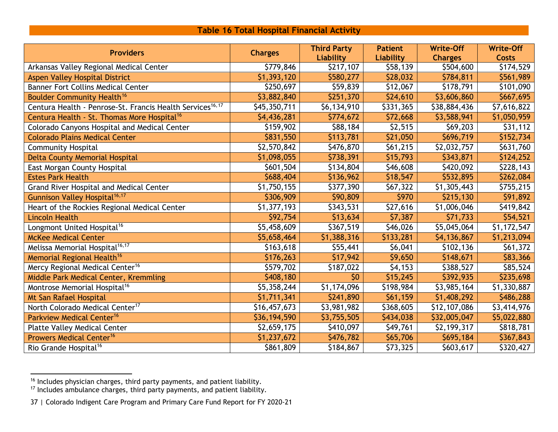### <span id="page-37-2"></span><span id="page-37-1"></span>**Table 16 Total Hospital Financial Activity**

<span id="page-37-0"></span>

| <b>Providers</b>                                                      | <b>Charges</b> | <b>Third Party</b> | <b>Patient</b> | <b>Write-Off</b> | <b>Write-Off</b> |
|-----------------------------------------------------------------------|----------------|--------------------|----------------|------------------|------------------|
|                                                                       |                | Liability          | Liability      | <b>Charges</b>   | <b>Costs</b>     |
| Arkansas Valley Regional Medical Center                               | \$779,846      | \$217,107          | \$58,139       | \$504,600        | \$174,529        |
| <b>Aspen Valley Hospital District</b>                                 | \$1,393,120    | \$580,277          | \$28,032       | \$784,811        | \$561,989        |
| <b>Banner Fort Collins Medical Center</b>                             | \$250,697      | \$59,839           | \$12,067       | \$178,791        | \$101,090        |
| <b>Boulder Community Health<sup>16</sup></b>                          | \$3,882,840    | \$251,370          | \$24,610       | \$3,606,860      | \$667,695        |
| Centura Health - Penrose-St. Francis Health Services <sup>16,17</sup> | \$45,350,711   | \$6,134,910        | \$331,365      | \$38,884,436     | \$7,616,822      |
| Centura Health - St. Thomas More Hospital <sup>16</sup>               | \$4,436,281    | \$774,672          | \$72,668       | \$3,588,941      | \$1,050,959      |
| Colorado Canyons Hospital and Medical Center                          | \$159,902      | \$88,184           | \$2,515        | \$69,203         | \$31,112         |
| <b>Colorado Plains Medical Center</b>                                 | \$831,550      | \$113,781          | \$21,050       | \$696,719        | \$152,734        |
| <b>Community Hospital</b>                                             | \$2,570,842    | \$476,870          | \$61,215       | \$2,032,757      | \$631,760        |
| <b>Delta County Memorial Hospital</b>                                 | \$1,098,055    | \$738,391          | \$15,793       | \$343,871        | \$124,252        |
| East Morgan County Hospital                                           | \$601,504      | \$134,804          | \$46,608       | \$420,092        | \$228,143        |
| <b>Estes Park Health</b>                                              | \$688,404      | \$136,962          | \$18,547       | \$532,895        | \$262,084        |
| Grand River Hospital and Medical Center                               | \$1,750,155    | \$377,390          | \$67,322       | \$1,305,443      | \$755,215        |
| Gunnison Valley Hospital <sup>16,17</sup>                             | \$306,909      | \$90,809           | \$970          | \$215,130        | \$91,892         |
| Heart of the Rockies Regional Medical Center                          | \$1,377,193    | \$343,531          | \$27,616       | \$1,006,046      | \$419,842        |
| <b>Lincoln Health</b>                                                 | \$92,754       | \$13,634           | \$7,387        | \$71,733         | \$54,521         |
| Longmont United Hospital <sup>16</sup>                                | \$5,458,609    | \$367,519          | \$46,026       | \$5,045,064      | \$1,172,547      |
| <b>McKee Medical Center</b>                                           | \$5,658,464    | \$1,388,316        | \$133,281      | \$4,136,867      | \$1,213,094      |
| Melissa Memorial Hospital <sup>16,17</sup>                            | \$163,618      | \$55,441           | \$6,041        | \$102,136        | \$61,372         |
| Memorial Regional Health <sup>16</sup>                                | \$176,263      | \$17,942           | \$9,650        | \$148,671        | \$83,366         |
| Mercy Regional Medical Center <sup>16</sup>                           | \$579,702      | \$187,022          | \$4,153        | \$388,527        | \$85,524         |
| Middle Park Medical Center, Kremmling                                 | \$408,180      | \$0                | \$15,245       | \$392,935        | \$235,698        |
| Montrose Memorial Hospital <sup>16</sup>                              | \$5,358,244    | \$1,174,096        | \$198,984      | \$3,985,164      | \$1,330,887      |
| Mt San Rafael Hospital                                                | \$1,711,341    | \$241,890          | \$61,159       | \$1,408,292      | \$486,288        |
| North Colorado Medical Center <sup>17</sup>                           | \$16,457,673   | \$3,981,982        | \$368,605      | \$12,107,086     | \$3,414,976      |
| Parkview Medical Center <sup>16</sup>                                 | \$36,194,590   | \$3,755,505        | \$434,038      | \$32,005,047     | \$5,022,880      |
| <b>Platte Valley Medical Center</b>                                   | \$2,659,175    | \$410,097          | \$49,761       | \$2,199,317      | \$818,781        |
| Prowers Medical Center <sup>16</sup>                                  | \$1,237,672    | \$476,782          | \$65,706       | \$695,184        | \$367,843        |
| Rio Grande Hospital <sup>16</sup>                                     | \$861,809      | \$184,867          | \$73,325       | \$603,617        | \$320,427        |

<sup>&</sup>lt;sup>16</sup> Includes physician charges, third party payments, and patient liability.

 $17$  Includes ambulance charges, third party payments, and patient liability.

<sup>37</sup> | Colorado Indigent Care Program and Primary Care Fund Report for FY 2020-21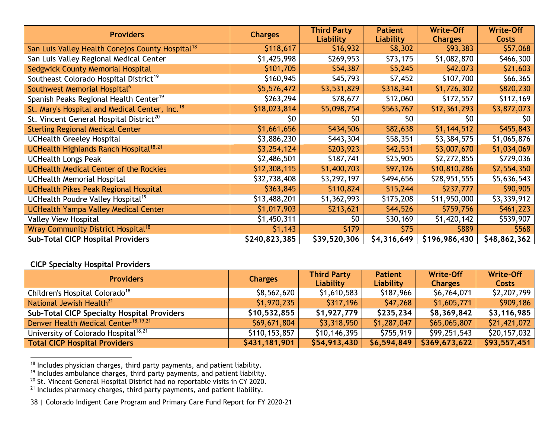<span id="page-38-3"></span><span id="page-38-2"></span><span id="page-38-1"></span><span id="page-38-0"></span>

| <b>Providers</b>                                             | <b>Charges</b> | <b>Third Party</b><br><b>Liability</b> | <b>Patient</b><br><b>Liability</b> | <b>Write-Off</b><br><b>Charges</b> | <b>Write-Off</b><br><b>Costs</b> |
|--------------------------------------------------------------|----------------|----------------------------------------|------------------------------------|------------------------------------|----------------------------------|
| San Luis Valley Health Conejos County Hospital <sup>18</sup> | \$118,617      | \$16,932                               | \$8,302                            | \$93,383                           | \$57,068                         |
| San Luis Valley Regional Medical Center                      | \$1,425,998    | \$269,953                              | \$73,175                           | \$1,082,870                        | \$466,300                        |
| Sedgwick County Memorial Hospital                            | \$101,705      | \$54,387                               | \$5,245                            | \$42,073                           | \$21,603                         |
| Southeast Colorado Hospital District <sup>19</sup>           | \$160,945      | \$45,793                               | \$7,452                            | \$107,700                          | \$66,365                         |
| Southwest Memorial Hospital <sup>6</sup>                     | \$5,576,472    | \$3,531,829                            | \$318,341                          | \$1,726,302                        | \$820,230                        |
| Spanish Peaks Regional Health Center <sup>19</sup>           | \$263,294      | \$78,677                               | \$12,060                           | \$172,557                          | \$112,169                        |
| St. Mary's Hospital and Medical Center, Inc. <sup>18</sup>   | \$18,023,814   | \$5,098,754                            | \$563,767                          | \$12,361,293                       | \$3,872,073                      |
| St. Vincent General Hospital District <sup>20</sup>          | \$0            | \$0                                    | \$0                                | \$0                                | \$0                              |
| <b>Sterling Regional Medical Center</b>                      | \$1,661,656    | \$434,506                              | \$82,638                           | \$1,144,512                        | \$455,843                        |
| <b>UCHealth Greeley Hospital</b>                             | \$3,886,230    | \$443,304                              | \$58,351                           | \$3,384,575                        | \$1,065,876                      |
| UCHealth Highlands Ranch Hospital <sup>18,21</sup>           | \$3,254,124    | \$203,923                              | \$42,531                           | \$3,007,670                        | \$1,034,069                      |
| <b>UCHealth Longs Peak</b>                                   | \$2,486,501    | \$187,741                              | \$25,905                           | \$2,272,855                        | \$729,036                        |
| <b>UCHealth Medical Center of the Rockies</b>                | \$12,308,115   | \$1,400,703                            | \$97,126                           | \$10,810,286                       | \$2,554,350                      |
| <b>UCHealth Memorial Hospital</b>                            | \$32,738,408   | \$3,292,197                            | \$494,656                          | \$28,951,555                       | \$5,636,543                      |
| <b>UCHealth Pikes Peak Regional Hospital</b>                 | \$363,845      | \$110,824                              | \$15,244                           | \$237,777                          | \$90,905                         |
| UCHealth Poudre Valley Hospital <sup>19</sup>                | \$13,488,201   | \$1,362,993                            | \$175,208                          | \$11,950,000                       | \$3,339,912                      |
| <b>UCHealth Yampa Valley Medical Center</b>                  | \$1,017,903    | \$213,621                              | \$44,526                           | \$759,756                          | \$461,223                        |
| Valley View Hospital                                         | \$1,450,311    | \$0                                    | \$30,169                           | \$1,420,142                        | \$539,907                        |
| Wray Community District Hospital <sup>18</sup>               | \$1,143        | \$179                                  | \$75                               | \$889                              | \$568                            |
| <b>Sub-Total CICP Hospital Providers</b>                     | \$240,823,385  | \$39,520,306                           | \$4,316,649                        | \$196,986,430                      | \$48,862,362                     |

#### **CICP Specialty Hospital Providers**

| <b>Providers</b>                                   | <b>Charges</b> | <b>Third Party</b><br>Liability | <b>Patient</b><br>Liability | Write-Off<br><b>Charges</b> | <b>Write-Off</b><br>Costs |
|----------------------------------------------------|----------------|---------------------------------|-----------------------------|-----------------------------|---------------------------|
| Children's Hospital Colorado <sup>18</sup>         | \$8,562,620    | \$1,610,583                     | \$187,966                   | \$6,764,071                 | \$2,207,799               |
| National Jewish Health <sup>21</sup>               | \$1,970,235    | \$317,196                       | \$47,268                    | \$1,605,771                 | \$909,186                 |
| <b>Sub-Total CICP Specialty Hospital Providers</b> | \$10,532,855   | \$1,927,779                     | \$235,234                   | \$8,369,842                 | \$3,116,985               |
| Denver Health Medical Center <sup>18,19,21</sup>   | \$69,671,804   | \$3,318,950                     | \$1,287,047                 | \$65,065,807                | \$21,421,072              |
| University of Colorado Hospital <sup>18,21</sup>   | \$110,153,857  | \$10,146,395                    | \$755,919                   | \$99,251,543                | \$20,157,032              |
| Total CICP Hospital Providers                      | \$431,181,901  | \$54,913,430                    | \$6,594,849                 | \$369,673,622               | \$93,557,451              |

 $18$  Includes physician charges, third party payments, and patient liability.

<sup>&</sup>lt;sup>19</sup> Includes ambulance charges, third party payments, and patient liability.

 $20$  St. Vincent General Hospital District had no reportable visits in CY 2020.

 $21$  Includes pharmacy charges, third party payments, and patient liability.

<sup>38</sup> | Colorado Indigent Care Program and Primary Care Fund Report for FY 2020-21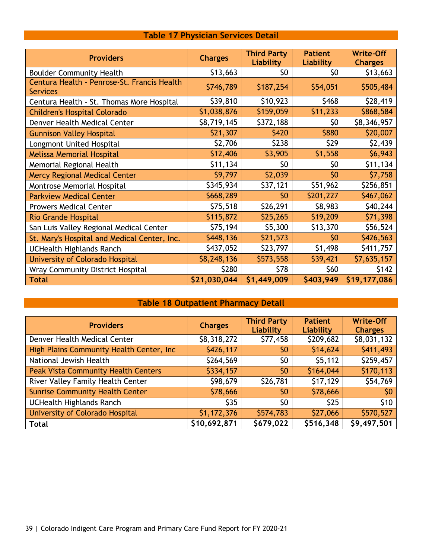|  | <b>Table 17 Physician Services Detail</b> |  |
|--|-------------------------------------------|--|
|  |                                           |  |

<span id="page-39-0"></span>

| <b>Providers</b>                                               | <b>Charges</b> | <b>Third Party</b><br>Liability | <b>Patient</b><br>Liability | <b>Write-Off</b><br><b>Charges</b> |
|----------------------------------------------------------------|----------------|---------------------------------|-----------------------------|------------------------------------|
| <b>Boulder Community Health</b>                                | \$13,663       | \$0                             | \$0                         | \$13,663                           |
| Centura Health - Penrose-St. Francis Health<br><b>Services</b> | \$746,789      | \$187,254                       | \$54,051                    | \$505,484                          |
| Centura Health - St. Thomas More Hospital                      | \$39,810       | \$10,923                        | \$468                       | \$28,419                           |
| <b>Children's Hospital Colorado</b>                            | \$1,038,876    | \$159,059                       | \$11,233                    | \$868,584                          |
| Denver Health Medical Center                                   | \$8,719,145    | \$372,188                       | \$0                         | \$8,346,957                        |
| <b>Gunnison Valley Hospital</b>                                | \$21,307       | \$420                           | \$880                       | \$20,007                           |
| Longmont United Hospital                                       | \$2,706        | \$238                           | \$29                        | \$2,439                            |
| <b>Melissa Memorial Hospital</b>                               | \$12,406       | \$3,905                         | \$1,558                     | \$6,943                            |
| Memorial Regional Health                                       | \$11,134       | \$0                             | \$0                         | \$11,134                           |
| <b>Mercy Regional Medical Center</b>                           | \$9,797        | \$2,039                         | \$0                         | \$7,758                            |
| Montrose Memorial Hospital                                     | \$345,934      | \$37,121                        | \$51,962                    | \$256,851                          |
| <b>Parkview Medical Center</b>                                 | \$668,289      | \$0                             | \$201,227                   | \$467,062                          |
| <b>Prowers Medical Center</b>                                  | \$75,518       | \$26,291                        | \$8,983                     | \$40,244                           |
| <b>Rio Grande Hospital</b>                                     | \$115,872      | \$25,265                        | \$19,209                    | \$71,398                           |
| San Luis Valley Regional Medical Center                        | \$75,194       | \$5,300                         | \$13,370                    | \$56,524                           |
| St. Mary's Hospital and Medical Center, Inc.                   | \$448,136      | \$21,573                        | \$0                         | \$426,563                          |
| <b>UCHealth Highlands Ranch</b>                                | \$437,052      | \$23,797                        | \$1,498                     | \$411,757                          |
| University of Colorado Hospital                                | \$8,248,136    | \$573,558                       | \$39,421                    | \$7,635,157                        |
| <b>Wray Community District Hospital</b>                        | \$280          | \$78                            | \$60                        | \$142                              |
| <b>Total</b>                                                   | \$21,030,044   | \$1,449,009                     | \$403,949                   | \$19,177,086                       |

### **Table 18 Outpatient Pharmacy Detail**

<span id="page-39-1"></span>

| <b>Providers</b>                           | <b>Charges</b> | <b>Third Party</b><br>Liability | <b>Patient</b><br>Liability | <b>Write-Off</b><br><b>Charges</b> |
|--------------------------------------------|----------------|---------------------------------|-----------------------------|------------------------------------|
| Denver Health Medical Center               | \$8,318,272    | \$77,458                        | \$209,682                   | \$8,031,132                        |
| High Plains Community Health Center, Inc   | \$426,117      | \$0                             | \$14,624                    | \$411,493                          |
| National Jewish Health                     | \$264,569      | \$0                             | \$5,112                     | \$259,457                          |
| <b>Peak Vista Community Health Centers</b> | \$334,157      | \$0                             | \$164,044                   | \$170,113                          |
| River Valley Family Health Center          | \$98,679       | \$26,781                        | \$17,129                    | \$54,769                           |
| <b>Sunrise Community Health Center</b>     | \$78,666       | \$0                             | \$78,666                    | \$0                                |
| <b>UCHealth Highlands Ranch</b>            | \$35           | \$0                             | \$25                        | \$10                               |
| University of Colorado Hospital            | \$1,172,376    | \$574,783                       | \$27,066                    | \$570,527                          |
| <b>Total</b>                               | \$10,692,871   | \$679,022                       | \$516,348                   | \$9,497,501                        |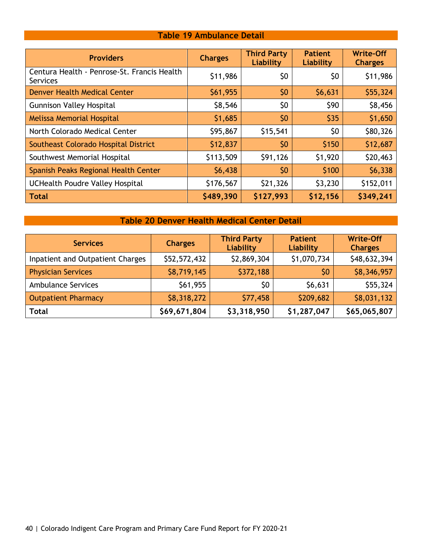#### **Table 19 Ambulance Detail**

<span id="page-40-0"></span>

| <b>Providers</b>                                               | <b>Charges</b> | <b>Third Party</b><br>Liability | <b>Patient</b><br>Liability | <b>Write-Off</b><br><b>Charges</b> |
|----------------------------------------------------------------|----------------|---------------------------------|-----------------------------|------------------------------------|
| Centura Health - Penrose-St. Francis Health<br><b>Services</b> | \$11,986       | \$0                             | \$0                         | \$11,986                           |
| Denver Health Medical Center                                   | \$61,955       | \$0                             | \$6,631                     | \$55,324                           |
| <b>Gunnison Valley Hospital</b>                                | \$8,546        | \$0                             | \$90                        | \$8,456                            |
| <b>Melissa Memorial Hospital</b>                               | \$1,685        | 50                              | \$35                        | \$1,650                            |
| North Colorado Medical Center                                  | \$95,867       | \$15,541                        | \$0                         | \$80,326                           |
| Southeast Colorado Hospital District                           | \$12,837       | 50                              | \$150                       | \$12,687                           |
| Southwest Memorial Hospital                                    | \$113,509      | \$91,126                        | \$1,920                     | \$20,463                           |
| Spanish Peaks Regional Health Center                           | \$6,438        | \$0                             | \$100                       | \$6,338                            |
| UCHealth Poudre Valley Hospital                                | \$176,567      | \$21,326                        | \$3,230                     | \$152,011                          |
| <b>Total</b>                                                   | \$489,390      | \$127,993                       | \$12,156                    | \$349,241                          |

#### **Table 20 Denver Health Medical Center Detail**

<span id="page-40-1"></span>

| <b>Services</b>                  | <b>Charges</b> | <b>Third Party</b><br>Liability | <b>Patient</b><br>Liability | <b>Write-Off</b><br><b>Charges</b> |
|----------------------------------|----------------|---------------------------------|-----------------------------|------------------------------------|
| Inpatient and Outpatient Charges | \$52,572,432   | \$2,869,304                     | \$1,070,734                 | \$48,632,394                       |
| <b>Physician Services</b>        | \$8,719,145    | \$372,188                       | \$0                         | \$8,346,957                        |
| <b>Ambulance Services</b>        | \$61,955       | \$0                             | \$6,631                     | \$55,324                           |
| <b>Outpatient Pharmacy</b>       | \$8,318,272    | \$77,458                        | \$209,682                   | \$8,031,132                        |
| <b>Total</b>                     | \$69,671,804   | \$3,318,950                     | \$1,287,047                 | \$65,065,807                       |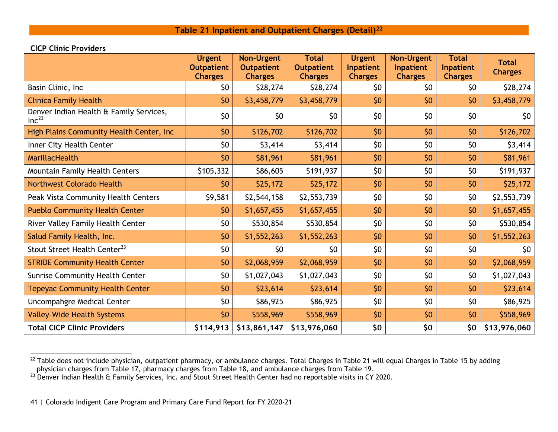#### <span id="page-41-2"></span><span id="page-41-1"></span>**Table 21 Inpatient and Outpatient Charges (Detail)[22](#page-41-1)**

#### **CICP Clinic Providers**

<span id="page-41-0"></span>

|                                                              | <b>Urgent</b><br><b>Outpatient</b><br><b>Charges</b> | <b>Non-Urgent</b><br><b>Outpatient</b><br><b>Charges</b> | <b>Total</b><br><b>Outpatient</b><br><b>Charges</b> | <b>Urgent</b><br>Inpatient<br><b>Charges</b> | <b>Non-Urgent</b><br>Inpatient<br><b>Charges</b> | <b>Total</b><br><b>Inpatient</b><br><b>Charges</b> | <b>Total</b><br><b>Charges</b> |
|--------------------------------------------------------------|------------------------------------------------------|----------------------------------------------------------|-----------------------------------------------------|----------------------------------------------|--------------------------------------------------|----------------------------------------------------|--------------------------------|
| Basin Clinic, Inc                                            | \$0                                                  | \$28,274                                                 | \$28,274                                            | \$0                                          | \$0                                              | \$0                                                | \$28,274                       |
| <b>Clinica Family Health</b>                                 | \$0                                                  | \$3,458,779                                              | \$3,458,779                                         | \$0                                          | \$0                                              | \$0                                                | \$3,458,779                    |
| Denver Indian Health & Family Services,<br>Inc <sup>23</sup> | \$0                                                  | \$0                                                      | \$0                                                 | \$0                                          | \$0                                              | \$0                                                | \$0                            |
| High Plains Community Health Center, Inc                     | \$0                                                  | \$126,702                                                | \$126,702                                           | \$0                                          | 50                                               | \$0                                                | \$126,702                      |
| Inner City Health Center                                     | \$0                                                  | \$3,414                                                  | \$3,414                                             | \$0                                          | \$0                                              | \$0                                                | \$3,414                        |
| <b>MarillacHealth</b>                                        | \$0                                                  | \$81,961                                                 | \$81,961                                            | \$0                                          | \$0                                              | \$0                                                | \$81,961                       |
| Mountain Family Health Centers                               | \$105,332                                            | \$86,605                                                 | \$191,937                                           | \$0                                          | \$0                                              | \$0                                                | \$191,937                      |
| <b>Northwest Colorado Health</b>                             | \$0                                                  | \$25,172                                                 | \$25,172                                            | \$0                                          | \$0                                              | \$0                                                | \$25,172                       |
| Peak Vista Community Health Centers                          | \$9,581                                              | \$2,544,158                                              | \$2,553,739                                         | \$0                                          | \$0                                              | \$0                                                | \$2,553,739                    |
| <b>Pueblo Community Health Center</b>                        | \$0                                                  | \$1,657,455                                              | \$1,657,455                                         | \$0                                          | \$0                                              | \$0                                                | \$1,657,455                    |
| River Valley Family Health Center                            | \$0                                                  | \$530,854                                                | \$530,854                                           | \$0                                          | \$0                                              | \$0                                                | \$530,854                      |
| Salud Family Health, Inc.                                    | \$0                                                  | \$1,552,263                                              | \$1,552,263                                         | \$0                                          | \$0                                              | \$0                                                | \$1,552,263                    |
| Stout Street Health Center <sup>23</sup>                     | \$0                                                  | \$0                                                      | \$0                                                 | \$0                                          | \$0                                              | \$0                                                | \$0                            |
| <b>STRIDE Community Health Center</b>                        | \$0                                                  | \$2,068,959                                              | \$2,068,959                                         | \$0                                          | \$0                                              | \$0                                                | \$2,068,959                    |
| Sunrise Community Health Center                              | \$0                                                  | \$1,027,043                                              | \$1,027,043                                         | \$0                                          | \$0                                              | \$0                                                | \$1,027,043                    |
| <b>Tepeyac Community Health Center</b>                       | \$0                                                  | \$23,614                                                 | \$23,614                                            | \$0                                          | \$0                                              | \$0                                                | \$23,614                       |
| Uncompahgre Medical Center                                   | \$0                                                  | \$86,925                                                 | \$86,925                                            | \$0                                          | \$0                                              | \$0                                                | \$86,925                       |
| <b>Valley-Wide Health Systems</b>                            | \$0                                                  | \$558,969                                                | \$558,969                                           | \$0                                          | \$0                                              | \$0                                                | \$558,969                      |
| <b>Total CICP Clinic Providers</b>                           | \$114,913                                            | \$13,861,147                                             | \$13,976,060                                        | \$0                                          | \$0                                              | \$0                                                | \$13,976,060                   |

 $^{22}$  Table does not include physician, outpatient pharmacy, or ambulance charges. Total Charges in Table 21 will equal Charges in Table 15 by adding physician charges from Table 17, pharmacy charges from Table 18, and ambulance charges from Table 19.

 $^{23}$  Denver Indian Health & Family Services, Inc. and Stout Street Health Center had no reportable visits in CY 2020.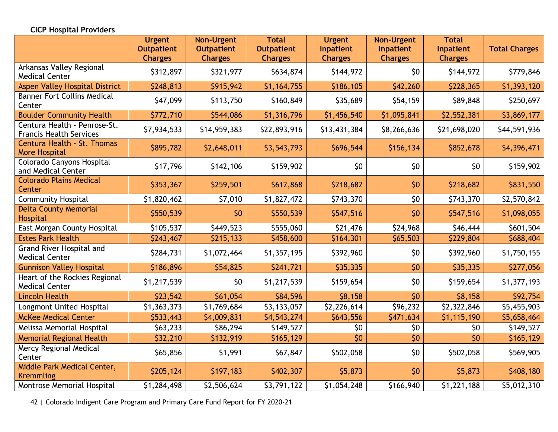#### **CICP Hospital Providers**

|                                                                | <b>Urgent</b><br><b>Outpatient</b><br><b>Charges</b> | <b>Non-Urgent</b><br><b>Outpatient</b><br><b>Charges</b> | <b>Total</b><br><b>Outpatient</b><br><b>Charges</b> | <b>Urgent</b><br>Inpatient<br><b>Charges</b> | <b>Non-Urgent</b><br>Inpatient<br><b>Charges</b> | <b>Total</b><br>Inpatient<br><b>Charges</b> | <b>Total Charges</b> |
|----------------------------------------------------------------|------------------------------------------------------|----------------------------------------------------------|-----------------------------------------------------|----------------------------------------------|--------------------------------------------------|---------------------------------------------|----------------------|
| Arkansas Valley Regional<br><b>Medical Center</b>              | \$312,897                                            | \$321,977                                                | \$634,874                                           | \$144,972                                    | \$0                                              | \$144,972                                   | \$779,846            |
| <b>Aspen Valley Hospital District</b>                          | \$248,813                                            | \$915,942                                                | \$1,164,755                                         | \$186,105                                    | \$42,260                                         | \$228,365                                   | \$1,393,120          |
| <b>Banner Fort Collins Medical</b><br>Center                   | \$47,099                                             | \$113,750                                                | \$160,849                                           | \$35,689                                     | \$54,159                                         | \$89,848                                    | \$250,697            |
| <b>Boulder Community Health</b>                                | \$772,710                                            | \$544,086                                                | \$1,316,796                                         | \$1,456,540                                  | \$1,095,841                                      | \$2,552,381                                 | \$3,869,177          |
| Centura Health - Penrose-St.<br><b>Francis Health Services</b> | \$7,934,533                                          | \$14,959,383                                             | \$22,893,916                                        | \$13,431,384                                 | \$8,266,636                                      | \$21,698,020                                | \$44,591,936         |
| Centura Health - St. Thomas<br><b>More Hospital</b>            | \$895,782                                            | \$2,648,011                                              | \$3,543,793                                         | \$696,544                                    | \$156,134                                        | \$852,678                                   | \$4,396,471          |
| Colorado Canyons Hospital<br>and Medical Center                | \$17,796                                             | \$142,106                                                | \$159,902                                           | \$0                                          | \$0                                              | \$0                                         | \$159,902            |
| <b>Colorado Plains Medical</b><br>Center                       | \$353,367                                            | \$259,501                                                | \$612,868                                           | \$218,682                                    | \$0                                              | \$218,682                                   | \$831,550            |
| <b>Community Hospital</b>                                      | \$1,820,462                                          | \$7,010                                                  | \$1,827,472                                         | \$743,370                                    | \$0                                              | \$743,370                                   | \$2,570,842          |
| <b>Delta County Memorial</b><br>Hospital                       | \$550,539                                            | \$0                                                      | \$550,539                                           | \$547,516                                    | \$0                                              | \$547,516                                   | \$1,098,055          |
| East Morgan County Hospital                                    | \$105,537                                            | \$449,523                                                | \$555,060                                           | \$21,476                                     | \$24,968                                         | \$46,444                                    | \$601,504            |
| <b>Estes Park Health</b>                                       | \$243,467                                            | \$215,133                                                | \$458,600                                           | \$164,301                                    | \$65,503                                         | \$229,804                                   | \$688,404            |
| Grand River Hospital and<br><b>Medical Center</b>              | \$284,731                                            | \$1,072,464                                              | \$1,357,195                                         | \$392,960                                    | \$0                                              | \$392,960                                   | \$1,750,155          |
| <b>Gunnison Valley Hospital</b>                                | \$186,896                                            | \$54,825                                                 | \$241,721                                           | \$35,335                                     | \$0                                              | \$35,335                                    | \$277,056            |
| Heart of the Rockies Regional<br><b>Medical Center</b>         | \$1,217,539                                          | \$0                                                      | \$1,217,539                                         | \$159,654                                    | \$0                                              | \$159,654                                   | \$1,377,193          |
| <b>Lincoln Health</b>                                          | \$23,542                                             | \$61,054                                                 | \$84,596                                            | \$8,158                                      | \$0                                              | \$8,158                                     | \$92,754             |
| Longmont United Hospital                                       | \$1,363,373                                          | \$1,769,684                                              | \$3,133,057                                         | \$2,226,614                                  | \$96,232                                         | \$2,322,846                                 | \$5,455,903          |
| <b>McKee Medical Center</b>                                    | \$533,443                                            | \$4,009,831                                              | \$4,543,274                                         | \$643,556                                    | \$471,634                                        | \$1,115,190                                 | \$5,658,464          |
| Melissa Memorial Hospital                                      | \$63,233                                             | \$86,294                                                 | \$149,527                                           | \$0                                          | \$0                                              | \$0                                         | \$149,527            |
| <b>Memorial Regional Health</b>                                | \$32,210                                             | \$132,919                                                | \$165,129                                           | \$0                                          | \$0                                              | \$0                                         | \$165,129            |
| Mercy Regional Medical<br>Center                               | \$65,856                                             | \$1,991                                                  | \$67,847                                            | \$502,058                                    | \$0                                              | \$502,058                                   | \$569,905            |
| Middle Park Medical Center,<br><b>Kremmling</b>                | \$205,124                                            | \$197,183                                                | \$402,307                                           | \$5,873                                      | \$0                                              | \$5,873                                     | \$408,180            |
| Montrose Memorial Hospital                                     | \$1,284,498                                          | \$2,506,624                                              | \$3,791,122                                         | \$1,054,248                                  | \$166,940                                        | \$1,221,188                                 | \$5,012,310          |

42 | Colorado Indigent Care Program and Primary Care Fund Report for FY 2020-21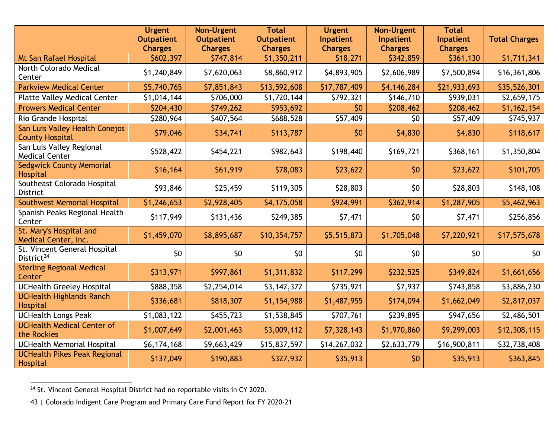<span id="page-43-0"></span>

|                                                          | <b>Urgent</b><br><b>Outpatient</b><br><b>Charges</b> | <b>Non-Urgent</b><br><b>Outpatient</b><br><b>Charges</b> | <b>Total</b><br><b>Outpatient</b><br><b>Charges</b> | <b>Urgent</b><br>Inpatient<br><b>Charges</b> | <b>Non-Urgent</b><br>Inpatient<br><b>Charges</b> | <b>Total</b><br>Inpatient<br><b>Charges</b> | <b>Total Charges</b> |
|----------------------------------------------------------|------------------------------------------------------|----------------------------------------------------------|-----------------------------------------------------|----------------------------------------------|--------------------------------------------------|---------------------------------------------|----------------------|
| Mt San Rafael Hospital                                   | \$602,397                                            | \$747,814                                                | \$1,350,211                                         | \$18,271                                     | \$342,859                                        | \$361,130                                   | \$1,711,341          |
| North Colorado Medical<br>Center                         | \$1,240,849                                          | \$7,620,063                                              | \$8,860,912                                         | \$4,893,905                                  | \$2,606,989                                      | \$7,500,894                                 | \$16,361,806         |
| <b>Parkview Medical Center</b>                           | \$5,740,765                                          | \$7,851,843                                              | \$13,592,608                                        | \$17,787,409                                 | \$4,146,284                                      | \$21,933,693                                | \$35,526,301         |
| <b>Platte Valley Medical Center</b>                      | \$1,014,144                                          | \$706,000                                                | \$1,720,144                                         | \$792,321                                    | \$146,710                                        | \$939,031                                   | \$2,659,175          |
| <b>Prowers Medical Center</b>                            | \$204,430                                            | \$749,262                                                | \$953,692                                           | \$0                                          | \$208,462                                        | \$208,462                                   | \$1,162,154          |
| Rio Grande Hospital                                      | \$280,964                                            | \$407,564                                                | \$688,528                                           | \$57,409                                     | \$0                                              | \$57,409                                    | \$745,937            |
| San Luis Valley Health Conejos<br><b>County Hospital</b> | \$79,046                                             | \$34,741                                                 | \$113,787                                           | \$0                                          | \$4,830                                          | \$4,830                                     | \$118,617            |
| San Luis Valley Regional<br><b>Medical Center</b>        | \$528,422                                            | \$454,221                                                | \$982,643                                           | \$198,440                                    | \$169,721                                        | \$368,161                                   | \$1,350,804          |
| <b>Sedgwick County Memorial</b><br>Hospital              | \$16,164                                             | \$61,919                                                 | \$78,083                                            | \$23,622                                     | \$0                                              | \$23,622                                    | \$101,705            |
| Southeast Colorado Hospital<br>District                  | \$93,846                                             | \$25,459                                                 | \$119,305                                           | \$28,803                                     | \$0                                              | \$28,803                                    | \$148,108            |
| Southwest Memorial Hospital                              | \$1,246,653                                          | \$2,928,405                                              | \$4,175,058                                         | \$924,991                                    | \$362,914                                        | \$1,287,905                                 | \$5,462,963          |
| Spanish Peaks Regional Health<br>Center                  | \$117,949                                            | \$131,436                                                | \$249,385                                           | \$7,471                                      | \$0                                              | \$7,471                                     | \$256,856            |
| St. Mary's Hospital and<br>Medical Center, Inc.          | \$1,459,070                                          | \$8,895,687                                              | \$10,354,757                                        | \$5,515,873                                  | \$1,705,048                                      | \$7,220,921                                 | \$17,575,678         |
| St. Vincent General Hospital<br>District <sup>24</sup>   | \$0                                                  | \$0                                                      | \$0                                                 | \$0                                          | \$0                                              | \$0                                         | \$0                  |
| <b>Sterling Regional Medical</b><br>Center               | \$313,971                                            | \$997,861                                                | \$1,311,832                                         | \$117,299                                    | \$232,525                                        | \$349,824                                   | \$1,661,656          |
| <b>UCHealth Greeley Hospital</b>                         | \$888,358                                            | \$2,254,014                                              | \$3,142,372                                         | \$735,921                                    | \$7,937                                          | \$743,858                                   | \$3,886,230          |
| <b>UCHealth Highlands Ranch</b><br>Hospital              | \$336,681                                            | \$818,307                                                | \$1,154,988                                         | \$1,487,955                                  | \$174,094                                        | \$1,662,049                                 | \$2,817,037          |
| <b>UCHealth Longs Peak</b>                               | \$1,083,122                                          | \$455,723                                                | \$1,538,845                                         | \$707,761                                    | \$239,895                                        | \$947,656                                   | \$2,486,501          |
| <b>UCHealth Medical Center of</b><br>the Rockies         | \$1,007,649                                          | \$2,001,463                                              | \$3,009,112                                         | \$7,328,143                                  | \$1,970,860                                      | \$9,299,003                                 | \$12,308,115         |
| <b>UCHealth Memorial Hospital</b>                        | \$6,174,168                                          | \$9,663,429                                              | \$15,837,597                                        | \$14,267,032                                 | \$2,633,779                                      | \$16,900,811                                | \$32,738,408         |
| <b>UCHealth Pikes Peak Regional</b><br>Hospital          | \$137,049                                            | \$190,883                                                | \$327,932                                           | \$35,913                                     | \$0                                              | \$35,913                                    | \$363,845            |

<sup>24</sup> St. Vincent General Hospital District had no reportable visits in CY 2020.

<sup>43</sup> | Colorado Indigent Care Program and Primary Care Fund Report for FY 2020-21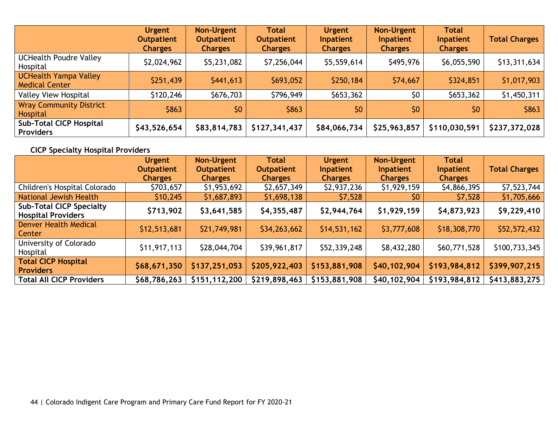|                                                       | <b>Urgent</b><br><b>Outpatient</b><br><b>Charges</b> | <b>Non-Urgent</b><br><b>Outpatient</b><br><b>Charges</b> | <b>Total</b><br><b>Outpatient</b><br><b>Charges</b> | <b>Urgent</b><br>Inpatient<br><b>Charges</b> | <b>Non-Urgent</b><br>Inpatient<br><b>Charges</b> | <b>Total</b><br>Inpatient<br><b>Charges</b> | <b>Total Charges</b> |
|-------------------------------------------------------|------------------------------------------------------|----------------------------------------------------------|-----------------------------------------------------|----------------------------------------------|--------------------------------------------------|---------------------------------------------|----------------------|
| <b>UCHealth Poudre Valley</b><br>Hospital             | \$2,024,962                                          | \$5,231,082                                              | \$7,256,044                                         | \$5,559,614                                  | \$495,976                                        | \$6,055,590                                 | \$13,311,634         |
| <b>UCHealth Yampa Valley</b><br><b>Medical Center</b> | \$251,439                                            | \$441,613                                                | \$693,052                                           | \$250,184                                    | \$74,667                                         | \$324,851                                   | \$1,017,903          |
| <b>Valley View Hospital</b>                           | \$120,246                                            | \$676,703                                                | \$796,949                                           | \$653,362                                    | \$0                                              | \$653,362                                   | \$1,450,311          |
| <b>Wray Community District</b><br>Hospital            | \$863                                                | \$0                                                      | \$863                                               | \$0                                          | \$0                                              | 50                                          | \$863                |
| <b>Sub-Total CICP Hospital</b><br><b>Providers</b>    | \$43,526,654                                         | \$83,814,783                                             | \$127,341,437                                       | \$84,066,734                                 | \$25,963,857                                     | \$110,030,591                               | \$237,372,028        |

### **CICP Specialty Hospital Providers**

|                                                              | <b>Urgent</b><br><b>Outpatient</b><br><b>Charges</b> | <b>Non-Urgent</b><br><b>Outpatient</b><br><b>Charges</b> | <b>Total</b><br><b>Outpatient</b><br><b>Charges</b> | <b>Urgent</b><br>Inpatient<br><b>Charges</b> | <b>Non-Urgent</b><br>Inpatient<br><b>Charges</b> | <b>Total</b><br>Inpatient<br><b>Charges</b> | <b>Total Charges</b> |
|--------------------------------------------------------------|------------------------------------------------------|----------------------------------------------------------|-----------------------------------------------------|----------------------------------------------|--------------------------------------------------|---------------------------------------------|----------------------|
| Children's Hospital Colorado                                 | \$703,657                                            | \$1,953,692                                              | \$2,657,349                                         | \$2,937,236                                  | \$1,929,159                                      | \$4,866,395                                 | \$7,523,744          |
| National Jewish Health                                       | \$10,245                                             | \$1,687,893                                              | \$1,698,138                                         | \$7,528                                      | \$0                                              | \$7,528                                     | \$1,705,666          |
| <b>Sub-Total CICP Specialty</b><br><b>Hospital Providers</b> | \$713,902                                            | \$3,641,585                                              | \$4,355,487                                         | \$2,944,764                                  | \$1,929,159                                      | \$4,873,923                                 | \$9,229,410          |
| <b>Denver Health Medical</b><br>Center                       | \$12,513,681                                         | \$21,749,981                                             | \$34,263,662                                        | \$14,531,162                                 | \$3,777,608                                      | \$18,308,770                                | \$52,572,432         |
| University of Colorado<br>Hospital                           | \$11,917,113                                         | \$28,044,704                                             | \$39,961,817                                        | \$52,339,248                                 | \$8,432,280                                      | \$60,771,528                                | \$100,733,345        |
| <b>Total CICP Hospital</b><br><b>Providers</b>               | \$68,671,350                                         | \$137,251,053                                            | \$205,922,403                                       | \$153,881,908                                | \$40,102,904                                     | \$193,984,812                               | \$399,907,215        |
| <b>Total All CICP Providers</b>                              | \$68,786,263                                         | \$151,112,200                                            | \$219,898,463                                       | \$153,881,908                                | \$40,102,904                                     | \$193,984,812                               | \$413,883,275        |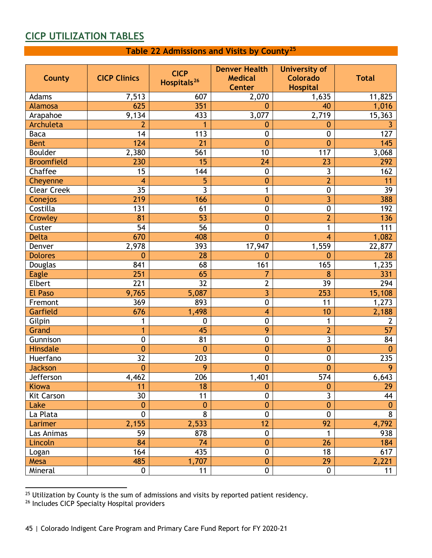### <span id="page-45-1"></span><span id="page-45-0"></span>**CICP UTILIZATION TABLES**

#### **Table 22 Admissions and Visits by County[25](#page-45-2)**

| <b>County</b>      | <b>CICP Clinics</b> | <b>CICP</b><br>Hospitals <sup>26</sup> | <b>Denver Health</b><br><b>Medical</b><br><b>Center</b> | <b>University of</b><br><b>Colorado</b><br><b>Hospital</b> | <b>Total</b>    |
|--------------------|---------------------|----------------------------------------|---------------------------------------------------------|------------------------------------------------------------|-----------------|
| Adams              | 7,513               | 607                                    | 2,070                                                   | 1,635                                                      | 11,825          |
| <b>Alamosa</b>     | 625                 | 351                                    | $\mathbf{0}$                                            | 40                                                         | 1,016           |
| Arapahoe           | 9,134               | 433                                    | 3,077                                                   | 2,719                                                      | 15,363          |
| Archuleta          | $\overline{2}$      | 1                                      | $\boldsymbol{0}$                                        | 0                                                          | 3               |
| <b>Baca</b>        | 14                  | 113                                    | $\boldsymbol{0}$                                        | $\mathbf 0$                                                | 127             |
| <b>Bent</b>        | 124                 | $\overline{21}$                        | $\mathbf{0}$                                            | $\mathbf{0}$                                               | 145             |
| <b>Boulder</b>     | 2,380               | 561                                    | 10                                                      | 117                                                        | 3,068           |
| <b>Broomfield</b>  | 230                 | 15                                     | 24                                                      | $\overline{23}$                                            | 292             |
| Chaffee            | $\overline{15}$     | 144                                    | $\boldsymbol{0}$                                        | $\overline{3}$                                             | 162             |
| Cheyenne           | $\overline{4}$      | 5                                      | $\mathbf{0}$                                            | $\overline{2}$                                             | 11              |
| <b>Clear Creek</b> | $\overline{35}$     | 3                                      | 1                                                       | $\pmb{0}$                                                  | 39              |
| Conejos            | 219                 | 166                                    | $\mathbf{0}$                                            | 3                                                          | 388             |
| Costilla           | 131                 | 61                                     | $\mathbf 0$                                             | $\pmb{0}$                                                  | 192             |
| Crowley            | 81                  | 53                                     | $\mathbf{0}$                                            | $\overline{2}$                                             | 136             |
| Custer             | 54                  | 56                                     | $\mathbf 0$                                             | 1                                                          | 111             |
| <b>Delta</b>       | 670                 | 408                                    | $\mathbf{0}$                                            | $\overline{4}$                                             | 1,082           |
| Denver             | 2,978               | 393                                    | 17,947                                                  | 1,559                                                      | 22,877          |
| <b>Dolores</b>     | $\mathbf{0}$        | 28                                     | $\mathbf 0$                                             | 0                                                          | 28              |
| Douglas            | 841                 | 68                                     | 161                                                     | 165                                                        | 1,235           |
| <b>Eagle</b>       | 251                 | 65                                     | 7                                                       | 8                                                          | 331             |
| <b>Elbert</b>      | $\overline{221}$    | $\overline{32}$                        | $\overline{2}$                                          | $\overline{39}$                                            | 294             |
| <b>El Paso</b>     | 9,765               | 5,087                                  | $\overline{3}$                                          | 253                                                        | 15,108          |
| Fremont            | 369                 | 893                                    | $\boldsymbol{0}$                                        | 11                                                         | 1,273           |
| Garfield           | 676                 | 1,498                                  | $\overline{4}$                                          | 10                                                         | 2,188           |
| Gilpin             | 1                   | $\pmb{0}$                              | $\mathbf 0$                                             | 1                                                          | $\overline{2}$  |
| Grand              | 1                   | 45                                     | $\overline{9}$                                          | $\overline{2}$                                             | $\overline{57}$ |
| Gunnison           | $\mathbf 0$         | 81                                     | $\mathbf 0$                                             | $\overline{3}$                                             | 84              |
| <b>Hinsdale</b>    | $\overline{0}$      | $\overline{0}$                         | $\mathbf{0}$                                            | $\mathbf{0}$                                               | $\mathbf{0}$    |
| Huerfano           | $\overline{32}$     | 203                                    | $\mathbf 0$                                             | $\mathbf 0$                                                | 235             |
| <b>Jackson</b>     | $\mathbf{0}$        | 9                                      | $\mathbf{0}$                                            | 0                                                          | 9               |
| Jefferson          | 4,462               | 206                                    | 1,401                                                   | 574                                                        | 6,643           |
| Kiowa              | 11                  | 18                                     | $\mathbf{0}$                                            | $\boldsymbol{0}$                                           | 29              |
| Kit Carson         | 30                  | 11                                     | $\mathbf 0$                                             | $\overline{3}$                                             | 44              |
| Lake               | $\mathbf{0}$        | $\mathbf 0$                            | $\mathbf{0}$                                            | $\mathbf{0}$                                               | $\mathbf{0}$    |
| La Plata           | $\mathbf 0$         | 8                                      | $\mathbf 0$                                             | $\mathbf 0$                                                | $\overline{8}$  |
| Larimer            | 2,155               | 2,533                                  | 12                                                      | 92                                                         | 4,792           |
| Las Animas         | 59                  | 878                                    | $\pmb{0}$                                               | 1                                                          | 938             |
| Lincoln            | 84                  | 74                                     | $\mathbf{0}$                                            | 26                                                         | 184             |
| Logan              | 164                 | 435                                    | $\boldsymbol{0}$                                        | 18                                                         | 617             |
| Mesa               | 485                 | 1,707                                  | $\mathbf{0}$                                            | 29                                                         | 2,221           |
| Mineral            | 0                   | 11                                     | $\mathbf 0$                                             | $\pmb{0}$                                                  | 11              |

<span id="page-45-2"></span> $25$  Utilization by County is the sum of admissions and visits by reported patient residency.

<span id="page-45-3"></span><sup>&</sup>lt;sup>26</sup> Includes CICP Specialty Hospital providers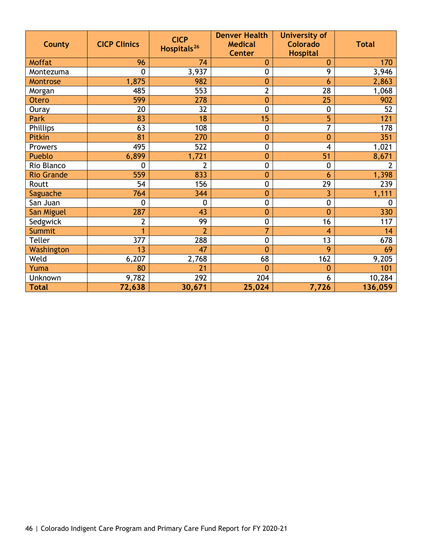| <b>County</b>     | <b>CICP Clinics</b> | <b>CICP</b><br>Hospitals <sup>26</sup> | <b>Denver Health</b><br><b>Medical</b><br><b>Center</b> | <b>University of</b><br><b>Colorado</b><br><b>Hospital</b> | <b>Total</b>     |
|-------------------|---------------------|----------------------------------------|---------------------------------------------------------|------------------------------------------------------------|------------------|
| <b>Moffat</b>     | 96                  | 74                                     | 0                                                       | 0                                                          | 170              |
| Montezuma         | $\mathbf 0$         | 3,937                                  | $\mathbf 0$                                             | 9                                                          | 3,946            |
| Montrose          | 1,875               | 982                                    | $\bf{0}$                                                | 6                                                          | 2,863            |
| Morgan            | 485                 | 553                                    | $\overline{2}$                                          | 28                                                         | 1,068            |
| Otero             | 599                 | 278                                    | $\bf{0}$                                                | 25                                                         | 902              |
| Ouray             | 20                  | 32                                     | $\mathbf 0$                                             | $\mathbf 0$                                                | 52               |
| Park              | 83                  | 18                                     | 15                                                      | 5                                                          | 121              |
| Phillips          | 63                  | 108                                    | $\mathbf 0$                                             | 7                                                          | $\overline{178}$ |
| Pitkin            | 81                  | 270                                    | $\mathbf{0}$                                            | $\overline{0}$                                             | 351              |
| Prowers           | 495                 | 522                                    | $\overline{0}$                                          | 4                                                          | 1,021            |
| Pueblo            | 6,899               | 1,721                                  | $\overline{0}$                                          | 51                                                         | 8,671            |
| Rio Blanco        | 0                   | $\overline{2}$                         | $\mathbf 0$                                             | $\mathbf 0$                                                | 2                |
| <b>Rio Grande</b> | 559                 | 833                                    | $\mathbf{0}$                                            | 6                                                          | 1,398            |
| Routt             | 54                  | 156                                    | $\mathbf 0$                                             | 29                                                         | 239              |
| Saguache          | 764                 | 344                                    | 0                                                       | 3                                                          | 1,111            |
| San Juan          | $\mathbf{0}$        | 0                                      | $\mathbf 0$                                             | 0                                                          | 0                |
| San Miguel        | 287                 | 43                                     | $\overline{0}$                                          | $\overline{0}$                                             | 330              |
| Sedgwick          | $\overline{2}$      | 99                                     | $\mathbf 0$                                             | 16                                                         | 117              |
| Summit            |                     | $\overline{2}$                         | $\overline{7}$                                          | 4                                                          | 14               |
| <b>Teller</b>     | 377                 | 288                                    | $\mathbf 0$                                             | 13                                                         | 678              |
| Washington        | 13                  | 47                                     | $\overline{0}$                                          | 9                                                          | 69               |
| Weld              | 6,207               | 2,768                                  | 68                                                      | 162                                                        | 9,205            |
| Yuma              | 80                  | 21                                     | $\overline{0}$                                          | 0                                                          | 101              |
| Unknown           | 9,782               | 292                                    | 204                                                     | 6                                                          | 10,284           |
| <b>Total</b>      | 72,638              | 30,671                                 | 25,024                                                  | 7,726                                                      | 136,059          |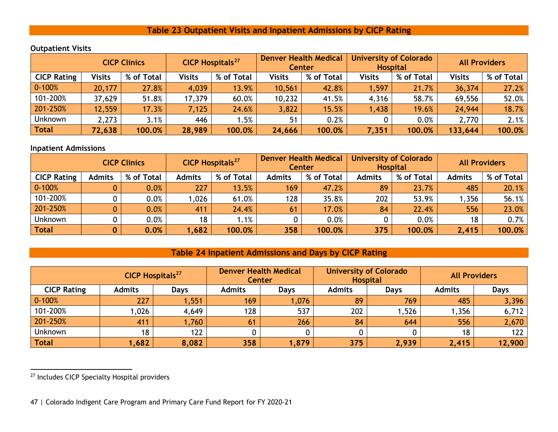#### <span id="page-47-2"></span>**Table 23 Outpatient Visits and Inpatient Admissions by CICP Rating**

|                    | <b>CICP Clinics</b> |            | <b>CICP Hospitals<sup>27</sup></b> |            | <b>Denver Health Medical</b><br><b>Center</b> |            | <b>University of Colorado</b><br><b>Hospital</b> |            | <b>All Providers</b> |            |
|--------------------|---------------------|------------|------------------------------------|------------|-----------------------------------------------|------------|--------------------------------------------------|------------|----------------------|------------|
| <b>CICP Rating</b> | Visits              | % of Total | <b>Visits</b>                      | % of Total | <b>Visits</b>                                 | % of Total | <b>Visits</b>                                    | % of Total | <b>Visits</b>        | % of Total |
| $0 - 100%$         | 20,177              | 27.8%      | 4,039                              | 13.9%      | 10,561                                        | 42.8%      | 1,597                                            | 21.7%      | 36,374               | 27.2%      |
| 101-200%           | 37,629              | 51.8%      | 17,379                             | 60.0%      | 10,232                                        | 41.5%      | 4,316                                            | 58.7%      | 69,556               | 52.0%      |
| 201-250%           | 12,559              | 17.3%      | 7,125                              | 24.6%      | 3,822                                         | 15.5%      | 1,438                                            | 19.6%      | 24,944               | 18.7%      |
| Unknown            | 2,273               | 3.1%       | 446                                | 1.5%       | 51                                            | 0.2%       |                                                  | 0.0%       | 2,770                | 2.1%       |
| <b>Total</b>       | 72,638              | 100.0%     | 28,989                             | 100.0%     | 24,666                                        | 100.0%     | 7,351                                            | 100.0%     | 133,644              | 100.0%     |
|                    |                     |            |                                    |            |                                               |            |                                                  |            |                      |            |

#### **Outpatient Visits**

#### **Inpatient Admissions**

<span id="page-47-0"></span>

|                    | <b>CICP Clinics</b> |            | <b>CICP Hospitals<sup>27</sup></b> |            | <b>Denver Health Medical</b><br><b>Center</b> |            | <b>University of Colorado</b><br><b>Hospital</b> |            | <b>All Providers</b> |            |
|--------------------|---------------------|------------|------------------------------------|------------|-----------------------------------------------|------------|--------------------------------------------------|------------|----------------------|------------|
| <b>CICP Rating</b> | <b>Admits</b>       | % of Total | <b>Admits</b>                      | % of Total | <b>Admits</b>                                 | % of Total | <b>Admits</b>                                    | % of Total | <b>Admits</b>        | % of Total |
| $0 - 100%$         |                     | 0.0%       | 227                                | 13.5%      | 169                                           | 47.2%      | 89                                               | 23.7%      | 485                  | 20.1%      |
| 101-200%           |                     | 0.0%       | 1,026                              | 61.0%      | 128                                           | 35.8%      | 202                                              | 53.9%      | , 356                | 56.1%      |
| 201-250%           |                     | 0.0%       | 411                                | 24.4%      | 61                                            | 17.0%      | 84                                               | 22.4%      | 556                  | 23.0%      |
| <b>Unknown</b>     |                     | 0.0%       | 18                                 | 1.1%       |                                               | 0.0%       |                                                  | 0.0%       | 18                   | 0.7%       |
| Total              | $\bf{0}$            | 0.0%       | 1,682                              | 100.0%     | 358                                           | 100.0%     | 375                                              | 100.0%     | 2,415                | 100.0%     |

#### **Table 24 Inpatient Admissions and Days by CICP Rating**

| <b>CICP Hospitals<sup>27</sup></b> |               | <b>Denver Health Medical</b><br><b>Center</b> |               |             | <b>University of Colorado</b><br><b>Hospital</b> | <b>All Providers</b> |               |             |
|------------------------------------|---------------|-----------------------------------------------|---------------|-------------|--------------------------------------------------|----------------------|---------------|-------------|
| <b>CICP Rating</b>                 | <b>Admits</b> | <b>Days</b>                                   | <b>Admits</b> | <b>Days</b> | <b>Admits</b>                                    | <b>Days</b>          | <b>Admits</b> | <b>Days</b> |
| $0 - 100%$                         | 227           | 1,551                                         | 169           | 1,076       | 89                                               | 769                  | 485           | 3,396       |
| 101-200%                           | 1,026         | 4,649                                         | 128           | 537         | 202                                              | ,526                 | ,356          | 6,712       |
| 201-250%                           | 411           | 1,760                                         | 61            | 266         | 84                                               | 644                  | 556           | 2,670       |
| <b>Unknown</b>                     | 18            | 122                                           |               |             |                                                  |                      | 18            | 122         |
| <b>Total</b>                       | 1,682         | 8,082                                         | 358           | 1,879       | 375                                              | 2,939                | 2,415         | 12,900      |

<span id="page-47-1"></span><sup>27</sup> Includes CICP Specialty Hospital providers

<sup>47 |</sup> Colorado Indigent Care Program and Primary Care Fund Report for FY 2020-21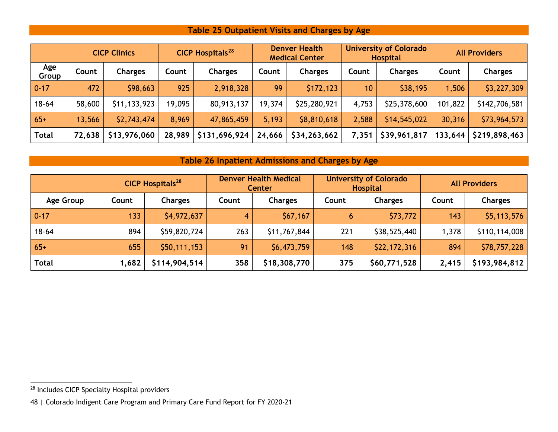### <span id="page-48-2"></span>**Table 25 Outpatient Visits and Charges by Age**

|              |        | <b>CICP Clinics</b> |        | <b>CICP Hospitals<sup>28</sup></b> | <b>Denver Health</b><br><b>Medical Center</b> |                | <b>University of Colorado</b><br><b>Hospital</b> |                | <b>All Providers</b> |                |
|--------------|--------|---------------------|--------|------------------------------------|-----------------------------------------------|----------------|--------------------------------------------------|----------------|----------------------|----------------|
| Age<br>Group | Count  | <b>Charges</b>      | Count  | <b>Charges</b>                     | Count                                         | <b>Charges</b> | Count                                            | <b>Charges</b> | Count                | <b>Charges</b> |
| $0 - 17$     | 472    | \$98,663            | 925    | 2,918,328                          | 99                                            | \$172,123      | 10                                               | \$38,195       | 1,506                | \$3,227,309    |
| $18 - 64$    | 58,600 | \$11,133,923        | 19,095 | 80,913,137                         | 19,374                                        | \$25,280,921   | 4,753                                            | \$25,378,600   | 101,822              | \$142,706,581  |
| $65+$        | 13,566 | \$2,743,474         | 8,969  | 47,865,459                         | 5,193                                         | \$8,810,618    | 2,588                                            | \$14,545,022   | 30,316               | \$73,964,573   |
| <b>Total</b> | 72,638 | \$13,976,060        | 28,989 | \$131,696,924                      | 24,666                                        | \$34,263,662   | 7,351                                            | \$39,961,817   | 133,644              | \$219,898,463  |

### **Table 26 Inpatient Admissions and Charges by Age**

<span id="page-48-1"></span><span id="page-48-0"></span>

| <b>CICP Hospitals<sup>28</sup></b> |       | <b>Denver Health Medical</b><br><b>Center</b> |       |                | <b>University of Colorado</b><br><b>Hospital</b> | <b>All Providers</b> |       |                |
|------------------------------------|-------|-----------------------------------------------|-------|----------------|--------------------------------------------------|----------------------|-------|----------------|
| Age Group                          | Count | <b>Charges</b>                                | Count | <b>Charges</b> | Count                                            | <b>Charges</b>       | Count | <b>Charges</b> |
| $0 - 17$                           | 133   | \$4,972,637                                   | 4     | \$67,167       | 6                                                | \$73,772             | 143   | \$5,113,576    |
| $18 - 64$                          | 894   | \$59,820,724                                  | 263   | \$11,767,844   | 221                                              | \$38,525,440         | 1,378 | \$110,114,008  |
| $65+$                              | 655   | \$50,111,153                                  | 91    | \$6,473,759    | 148                                              | \$22,172,316         | 894   | \$78,757,228   |
| <b>Total</b>                       | 1,682 | \$114,904,514                                 | 358   | \$18,308,770   | 375                                              | \$60,771,528         | 2,415 | \$193,984,812  |

<sup>28</sup> Includes CICP Specialty Hospital providers

<sup>48</sup> | Colorado Indigent Care Program and Primary Care Fund Report for FY 2020-21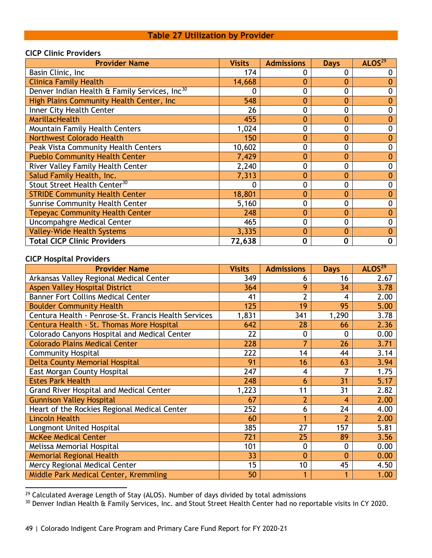#### **Table 27 Utilization by Provider**

#### <span id="page-49-0"></span>**CICP Clinic Providers**

| <b>Provider Name</b>                                      | <b>Visits</b> | <b>Admissions</b> | <b>Days</b>    | ALOS <sup>29</sup> |
|-----------------------------------------------------------|---------------|-------------------|----------------|--------------------|
| Basin Clinic, Inc                                         | 174           | 0                 | 0              |                    |
| <b>Clinica Family Health</b>                              | 14,668        | $\mathbf 0$       | 0              |                    |
| Denver Indian Health & Family Services, Inc <sup>30</sup> |               | 0                 | 0              |                    |
| High Plains Community Health Center, Inc.                 | 548           | $\mathbf 0$       | 0              |                    |
| Inner City Health Center                                  | 26            | 0                 | 0              |                    |
| MarillacHealth                                            | 455           | $\mathbf 0$       | 0              | 0                  |
| Mountain Family Health Centers                            | 1,024         | 0                 | 0              |                    |
| <b>Northwest Colorado Health</b>                          | 150           | $\mathbf{0}$      | $\mathbf{0}$   |                    |
| Peak Vista Community Health Centers                       | 10,602        | 0                 | $\mathbf 0$    |                    |
| <b>Pueblo Community Health Center</b>                     | 7,429         | $\mathbf 0$       | $\mathbf{0}$   |                    |
| River Valley Family Health Center                         | 2,240         | 0                 | 0              | 0                  |
| Salud Family Health, Inc.                                 | 7,313         | $\mathbf 0$       | $\mathbf{0}$   |                    |
| Stout Street Health Center <sup>30</sup>                  | 0             | 0                 | $\mathbf 0$    | 0                  |
| <b>STRIDE Community Health Center</b>                     | 18,801        | $\mathbf 0$       | $\mathbf{0}$   |                    |
| Sunrise Community Health Center                           | 5,160         | $\mathbf 0$       | 0              | 0                  |
| <b>Tepeyac Community Health Center</b>                    | 248           | $\mathbf 0$       | $\overline{0}$ |                    |
| Uncompahgre Medical Center                                | 465           | 0                 | $\mathbf 0$    | 0                  |
| <b>Valley-Wide Health Systems</b>                         | 3,335         | $\mathbf 0$       | $\mathbf 0$    |                    |
| <b>Total CICP Clinic Providers</b>                        | 72,638        | 0                 | 0              | 0                  |

#### **CICP Hospital Providers**

| <b>Provider Name</b>                                 | <b>Visits</b> | <b>Admissions</b>        | <b>Days</b>    | ALOS <sup>29</sup> |
|------------------------------------------------------|---------------|--------------------------|----------------|--------------------|
| Arkansas Valley Regional Medical Center              | 349           | 6                        | 16             | 2.67               |
| <b>Aspen Valley Hospital District</b>                | 364           | 9                        | 34             | 3.78               |
| <b>Banner Fort Collins Medical Center</b>            | 41            | $\overline{2}$           | 4              | 2.00               |
| <b>Boulder Community Health</b>                      | 125           | 19                       | 95             | 5.00               |
| Centura Health - Penrose-St. Francis Health Services | 1,831         | 341                      | 1,290          | 3.78               |
| Centura Health - St. Thomas More Hospital            | 642           | 28                       | 66             | 2.36               |
| Colorado Canyons Hospital and Medical Center         | 22            | $\mathbf 0$              | $\mathbf{0}$   | 0.00               |
| <b>Colorado Plains Medical Center</b>                | 228           | 7                        | 26             | 3.71               |
| <b>Community Hospital</b>                            | 222           | 14                       | 44             | 3.14               |
| <b>Delta County Memorial Hospital</b>                | 91            | 16                       | 63             | 3.94               |
| East Morgan County Hospital                          | 247           | $\overline{\mathcal{A}}$ | 7              | 1.75               |
| <b>Estes Park Health</b>                             | 248           | 6                        | 31             | 5.17               |
| Grand River Hospital and Medical Center              | 1,223         | 11                       | 31             | 2.82               |
| <b>Gunnison Valley Hospital</b>                      | 67            | $\overline{2}$           | 4              | 2.00               |
| Heart of the Rockies Regional Medical Center         | 252           | 6                        | 24             | 4.00               |
| <b>Lincoln Health</b>                                | 60            | 1                        | $\overline{2}$ | 2.00               |
| Longmont United Hospital                             | 385           | 27                       | 157            | 5.81               |
| <b>McKee Medical Center</b>                          | 721           | 25                       | 89             | 3.56               |
| Melissa Memorial Hospital                            | 101           | $\mathbf 0$              | $\mathbf 0$    | 0.00               |
| <b>Memorial Regional Health</b>                      | 33            | $\mathbf{0}$             | $\mathbf 0$    | 0.00               |
| Mercy Regional Medical Center                        | 15            | 10                       | 45             | 4.50               |
| Middle Park Medical Center, Kremmling                | 50            | 1                        |                | 1.00               |

<span id="page-49-1"></span><sup>29</sup> Calculated Average Length of Stay (ALOS). Number of days divided by total admissions

<span id="page-49-2"></span><sup>30</sup> Denver Indian Health & Family Services, Inc. and Stout Street Health Center had no reportable visits in CY 2020.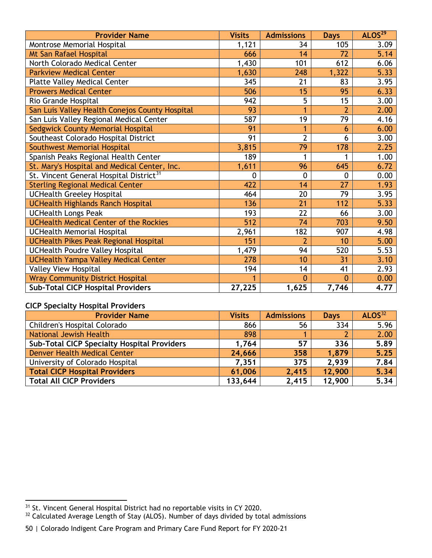| <b>Provider Name</b>                                | <b>Visits</b> | <b>Admissions</b> | <b>Days</b>    | ALOS <sup>29</sup> |
|-----------------------------------------------------|---------------|-------------------|----------------|--------------------|
| Montrose Memorial Hospital                          | 1,121         | 34                | 105            | 3.09               |
| Mt San Rafael Hospital                              | 666           | 14                | 72             | 5.14               |
| North Colorado Medical Center                       | 1,430         | 101               | 612            | 6.06               |
| <b>Parkview Medical Center</b>                      | 1,630         | 248               | 1,322          | 5.33               |
| <b>Platte Valley Medical Center</b>                 | 345           | 21                | 83             | 3.95               |
| <b>Prowers Medical Center</b>                       | 506           | 15                | 95             | 6.33               |
| Rio Grande Hospital                                 | 942           | $\overline{5}$    | 15             | 3.00               |
| San Luis Valley Health Conejos County Hospital      | 93            | 1                 | $\overline{2}$ | 2.00               |
| San Luis Valley Regional Medical Center             | 587           | 19                | 79             | 4.16               |
| Sedgwick County Memorial Hospital                   | 91            | 1                 | 6              | 6.00               |
| Southeast Colorado Hospital District                | 91            | $\overline{2}$    | 6              | 3.00               |
| Southwest Memorial Hospital                         | 3,815         | 79                | 178            | 2.25               |
| Spanish Peaks Regional Health Center                | 189           | 1                 | 1              | 1.00               |
| St. Mary's Hospital and Medical Center, Inc.        | 1,611         | 96                | 645            | 6.72               |
| St. Vincent General Hospital District <sup>31</sup> | $\mathbf 0$   | $\mathbf 0$       | $\mathbf{0}$   | 0.00               |
| <b>Sterling Regional Medical Center</b>             | 422           | 14                | 27             | 1.93               |
| <b>UCHealth Greeley Hospital</b>                    | 464           | 20                | 79             | 3.95               |
| <b>UCHealth Highlands Ranch Hospital</b>            | 136           | 21                | 112            | 5.33               |
| <b>UCHealth Longs Peak</b>                          | 193           | 22                | 66             | 3.00               |
| <b>UCHealth Medical Center of the Rockies</b>       | 512           | 74                | 703            | 9.50               |
| UCHealth Memorial Hospital                          | 2,961         | 182               | 907            | 4.98               |
| <b>UCHealth Pikes Peak Regional Hospital</b>        | 151           | $\overline{2}$    | 10             | 5.00               |
| <b>UCHealth Poudre Valley Hospital</b>              | 1,479         | 94                | 520            | 5.53               |
| <b>UCHealth Yampa Valley Medical Center</b>         | 278           | 10                | 31             | 3.10               |
| <b>Valley View Hospital</b>                         | 194           | 14                | 41             | 2.93               |
| <b>Wray Community District Hospital</b>             | 1             | $\overline{0}$    | $\mathbf{0}$   | 0.00               |
| <b>Sub-Total CICP Hospital Providers</b>            | 27,225        | 1,625             | 7,746          | 4.77               |

#### **CICP Specialty Hospital Providers**

| <b>Provider Name</b>                               | <b>Visits</b> | <b>Admissions</b> | <b>Days</b> | ALOS <sup>32</sup> |
|----------------------------------------------------|---------------|-------------------|-------------|--------------------|
| Children's Hospital Colorado                       | 866           | 56                | 334         | 5.96               |
| National Jewish Health                             | 898           |                   |             | 2.00               |
| <b>Sub-Total CICP Specialty Hospital Providers</b> | 1,764         | 57                | 336         | 5.89               |
| Denver Health Medical Center                       | 24,666        | 358               | 1.879       | 5.25               |
| University of Colorado Hospital                    | 7,351         | 375               | 2,939       | 7.84               |
| <b>Total CICP Hospital Providers</b>               | 61,006        | 2,415             | 12,900      | 5.34               |
| <b>Total All CICP Providers</b>                    | 133,644       | 2,415             | 12,900      | 5.34               |

<span id="page-50-0"></span><sup>&</sup>lt;sup>31</sup> St. Vincent General Hospital District had no reportable visits in CY 2020.

<span id="page-50-1"></span> $32$  Calculated Average Length of Stay (ALOS). Number of days divided by total admissions

<sup>50</sup> | Colorado Indigent Care Program and Primary Care Fund Report for FY 2020-21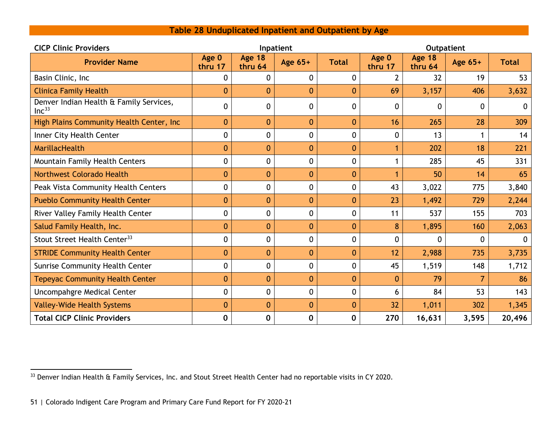<span id="page-51-1"></span>

| Table 28 Unduplicated Inpatient and Outpatient by Age |  |  |  |  |
|-------------------------------------------------------|--|--|--|--|
|-------------------------------------------------------|--|--|--|--|

<span id="page-51-0"></span>

| <b>CICP Clinic Providers</b>                                 |                  |                          | Inpatient      |              |                  |                          |         |              |
|--------------------------------------------------------------|------------------|--------------------------|----------------|--------------|------------------|--------------------------|---------|--------------|
| <b>Provider Name</b>                                         | Age 0<br>thru 17 | <b>Age 18</b><br>thru 64 | Age 65+        | <b>Total</b> | Age 0<br>thru 17 | <b>Age 18</b><br>thru 64 | Age 65+ | <b>Total</b> |
| Basin Clinic, Inc.                                           | $\mathbf{0}$     | $\Omega$                 | 0              | $\mathbf 0$  | $\mathcal{P}$    | 32                       | 19      | 53           |
| <b>Clinica Family Health</b>                                 | $\mathbf{0}$     | $\Omega$                 | $\mathbf{0}$   | $\mathbf{0}$ | 69               | 3,157                    | 406     | 3,632        |
| Denver Indian Health & Family Services,<br>Inc <sup>33</sup> | $\mathbf 0$      | 0                        | 0              | 0            | 0                | 0                        | 0       | $\mathbf{0}$ |
| High Plains Community Health Center, Inc.                    | $\mathbf{0}$     | $\mathbf 0$              | $\mathbf{0}$   | $\mathbf{0}$ | 16               | 265                      | 28      | 309          |
| Inner City Health Center                                     | $\mathbf 0$      | $\overline{0}$           | 0              | $\mathbf 0$  | $\mathbf 0$      | 13                       |         | 14           |
| MarillacHealth                                               | $\mathbf{0}$     | $\overline{0}$           | $\overline{0}$ | $\mathbf{0}$ |                  | 202                      | 18      | 221          |
| Mountain Family Health Centers                               | $\mathbf 0$      | 0                        | 0              | $\mathbf 0$  |                  | 285                      | 45      | 331          |
| <b>Northwest Colorado Health</b>                             | $\mathbf{0}$     | $\overline{0}$           | $\overline{0}$ | $\mathbf{0}$ |                  | 50                       | 14      | 65           |
| Peak Vista Community Health Centers                          | $\mathbf 0$      | $\mathbf 0$              | 0              | $\mathbf 0$  | 43               | 3,022                    | 775     | 3,840        |
| <b>Pueblo Community Health Center</b>                        | $\mathbf{0}$     | $\mathbf 0$              | $\overline{0}$ | $\mathbf{0}$ | 23               | 1,492                    | 729     | 2,244        |
| River Valley Family Health Center                            | $\mathbf 0$      | $\mathbf 0$              | 0              | $\mathbf 0$  | 11               | 537                      | 155     | 703          |
| Salud Family Health, Inc.                                    | $\mathbf{0}$     | $\mathbf 0$              | $\overline{0}$ | $\mathbf{0}$ | 8                | 1,895                    | 160     | 2,063        |
| Stout Street Health Center <sup>33</sup>                     | $\mathbf 0$      | 0                        | 0              | $\mathbf 0$  | 0                | 0                        | 0       | 0            |
| <b>STRIDE Community Health Center</b>                        | $\boldsymbol{0}$ | $\mathbf{0}$             | $\mathbf{0}$   | $\mathbf{0}$ | 12               | 2,988                    | 735     | 3,735        |
| Sunrise Community Health Center                              | $\mathbf 0$      | 0                        | 0              | $\mathbf{0}$ | 45               | 1,519                    | 148     | 1,712        |
| <b>Tepeyac Community Health Center</b>                       | $\mathbf{0}$     | $\mathbf 0$              | $\mathbf{0}$   | $\mathbf{0}$ | $\mathbf 0$      | 79                       | 7       | 86           |
| Uncompahgre Medical Center                                   | $\mathbf 0$      | 0                        | 0              | $\mathbf 0$  | 6                | 84                       | 53      | 143          |
| <b>Valley-Wide Health Systems</b>                            | $\mathbf{0}$     | $\mathbf{0}$             | $\mathbf{0}$   | $\mathbf{0}$ | 32               | 1,011                    | 302     | 1,345        |
| <b>Total CICP Clinic Providers</b>                           | 0                | $\bf{0}$                 | 0              | $\mathbf 0$  | 270              | 16,631                   | 3,595   | 20,496       |

<sup>&</sup>lt;sup>33</sup> Denver Indian Health & Family Services, Inc. and Stout Street Health Center had no reportable visits in CY 2020.

<sup>51</sup> | Colorado Indigent Care Program and Primary Care Fund Report for FY 2020-21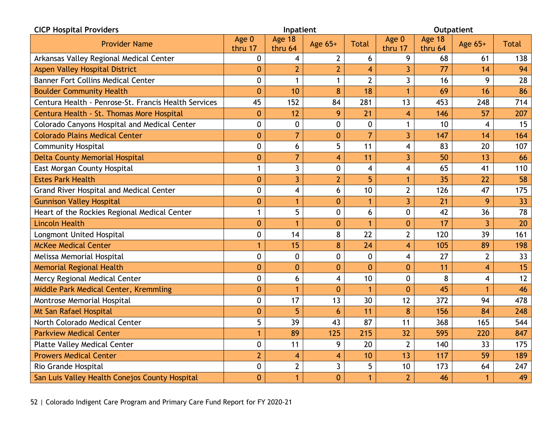| <b>CICP Hospital Providers</b>                       |                  | Inpatient               |                |                |                         |                   | <b>Outpatient</b>       |              |
|------------------------------------------------------|------------------|-------------------------|----------------|----------------|-------------------------|-------------------|-------------------------|--------------|
| <b>Provider Name</b>                                 | Age 0<br>thru 17 | Age 18<br>thru 64       | Age 65+        | <b>Total</b>   | Age 0<br>thru 17        | Age 18<br>thru 64 | Age 65+                 | <b>Total</b> |
| Arkansas Valley Regional Medical Center              | $\mathbf 0$      | $\overline{\mathbf{4}}$ | $\overline{2}$ | 6              | 9                       | 68                | 61                      | 138          |
| Aspen Valley Hospital District                       | 0                | $\overline{2}$          | $\overline{2}$ | $\overline{4}$ | $\overline{3}$          | 77                | 14                      | 94           |
| <b>Banner Fort Collins Medical Center</b>            | 0                | $\mathbf{1}$            | $\mathbf{1}$   | $\overline{2}$ | $\overline{3}$          | 16                | 9                       | 28           |
| <b>Boulder Community Health</b>                      | $\overline{0}$   | 10                      | 8              | 18             | $\overline{1}$          | 69                | 16                      | 86           |
| Centura Health - Penrose-St. Francis Health Services | 45               | 152                     | 84             | 281            | 13                      | 453               | 248                     | 714          |
| Centura Health - St. Thomas More Hospital            | $\mathbf{0}$     | 12                      | 9              | 21             | $\overline{\mathbf{4}}$ | 146               | 57                      | 207          |
| Colorado Canyons Hospital and Medical Center         | 0                | $\mathbf 0$             | 0              | $\mathbf 0$    | $\mathbf{1}$            | 10                | 4                       | 15           |
| <b>Colorado Plains Medical Center</b>                | $\mathbf{0}$     | $\overline{7}$          | $\overline{0}$ | $\overline{7}$ | $\overline{3}$          | 147               | 14                      | 164          |
| <b>Community Hospital</b>                            | 0                | 6                       | 5              | 11             | $\overline{\mathbf{4}}$ | 83                | 20                      | 107          |
| <b>Delta County Memorial Hospital</b>                | 0                | $\overline{7}$          | 4              | 11             | $\overline{3}$          | 50                | 13                      | 66           |
| East Morgan County Hospital                          | 1                | $\overline{3}$          | 0              | 4              | $\overline{\mathbf{4}}$ | 65                | 41                      | 110          |
| <b>Estes Park Health</b>                             | $\mathbf{0}$     | 3                       | $\overline{2}$ | 5              | $\mathbf{1}$            | 35                | 22                      | 58           |
| <b>Grand River Hospital and Medical Center</b>       | 0                | $\overline{\mathbf{4}}$ | 6              | 10             | $\overline{2}$          | 126               | 47                      | 175          |
| <b>Gunnison Valley Hospital</b>                      | $\bf{0}$         | $\overline{1}$          | $\overline{0}$ | $\mathbf{1}$   | 3                       | 21                | 9                       | 33           |
| Heart of the Rockies Regional Medical Center         | $\mathbf{1}$     | 5                       | 0              | 6              | $\mathbf 0$             | 42                | 36                      | 78           |
| <b>Lincoln Health</b>                                | $\overline{0}$   |                         | 0              | $\mathbf{1}$   | $\mathbf{0}$            | 17                | $\overline{3}$          | 20           |
| Longmont United Hospital                             | 0                | 14                      | 8              | 22             | $\overline{2}$          | 120               | 39                      | 161          |
| <b>McKee Medical Center</b>                          | $\mathbf{1}$     | 15                      | 8              | 24             | $\overline{4}$          | 105               | 89                      | 198          |
| Melissa Memorial Hospital                            | 0                | $\mathbf 0$             | 0              | $\mathbf 0$    | $\overline{\mathbf{4}}$ | 27                | $\overline{2}$          | 33           |
| <b>Memorial Regional Health</b>                      | $\overline{0}$   | $\mathbf{0}$            | $\mathbf{0}$   | $\overline{0}$ | $\mathbf{0}$            | 11                | $\overline{4}$          | 15           |
| Mercy Regional Medical Center                        | 0                | 6                       | 4              | 10             | $\mathbf 0$             | 8                 | $\overline{\mathbf{4}}$ | 12           |
| Middle Park Medical Center, Kremmling                | $\overline{0}$   | 1                       | $\mathbf{0}$   | $\mathbf{1}$   | $\mathbf{0}$            | 45                | $\mathbf{1}$            | 46           |
| Montrose Memorial Hospital                           | 0                | 17                      | 13             | 30             | 12                      | 372               | 94                      | 478          |
| Mt San Rafael Hospital                               | $\mathbf{0}$     | 5                       | 6              | 11             | 8                       | 156               | 84                      | 248          |
| North Colorado Medical Center                        | 5                | 39                      | 43             | 87             | 11                      | 368               | 165                     | 544          |
| <b>Parkview Medical Center</b>                       | 1                | 89                      | 125            | 215            | 32                      | 595               | 220                     | 847          |
| <b>Platte Valley Medical Center</b>                  | 0                | 11                      | 9              | 20             | $\overline{2}$          | 140               | 33                      | 175          |
| <b>Prowers Medical Center</b>                        | $\overline{2}$   | $\overline{4}$          | 4              | 10             | 13                      | 117               | 59                      | 189          |
| Rio Grande Hospital                                  | 0                | $\overline{2}$          | 3              | 5              | 10                      | 173               | 64                      | 247          |
| San Luis Valley Health Conejos County Hospital       | $\overline{0}$   | 1                       | $\mathbf{0}$   | 1              | $\overline{2}$          | 46                | 1                       | 49           |

52 | Colorado Indigent Care Program and Primary Care Fund Report for FY 2020-21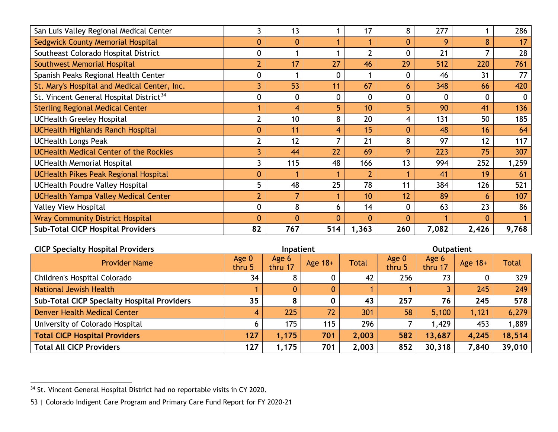<span id="page-53-0"></span>

| San Luis Valley Regional Medical Center             |                  | 13       |             | 17             | 8            | 277   |          | 286   |
|-----------------------------------------------------|------------------|----------|-------------|----------------|--------------|-------|----------|-------|
| Sedgwick County Memorial Hospital                   | $\mathbf{0}$     | $\Omega$ |             |                | 0            | 9     | 8        | 17    |
| Southeast Colorado Hospital District                | 0                |          |             | $\overline{2}$ | $\mathbf 0$  | 21    | 7        | 28    |
| Southwest Memorial Hospital                         | $\overline{2}$   | 17       | 27          | 46             | 29           | 512   | 220      | 761   |
| Spanish Peaks Regional Health Center                | $\boldsymbol{0}$ |          | 0           |                | $\mathbf 0$  | 46    | 31       | 77    |
| St. Mary's Hospital and Medical Center, Inc.        | 3                | 53       | 11          | 67             | 6            | 348   | 66       | 420   |
| St. Vincent General Hospital District <sup>34</sup> | $\mathbf 0$      |          | $\mathbf 0$ | $\mathbf 0$    | 0            | 0     | 0        | 0     |
| <b>Sterling Regional Medical Center</b>             |                  |          | 5           | 10             | 5            | 90    | 41       | 136   |
| <b>UCHealth Greeley Hospital</b>                    | $\overline{2}$   | 10       | 8           | 20             | 4            | 131   | 50       | 185   |
| <b>UCHealth Highlands Ranch Hospital</b>            | $\mathbf{0}$     | 11       | 4           | 15             | $\mathbf{0}$ | 48    | 16       | 64    |
| <b>UCHealth Longs Peak</b>                          | $\overline{2}$   | 12       | 7           | 21             | 8            | 97    | 12       | 117   |
| <b>UCHealth Medical Center of the Rockies</b>       | 3                | 44       | 22          | 69             | 9            | 223   | 75       | 307   |
| <b>UCHealth Memorial Hospital</b>                   | 3                | 115      | 48          | 166            | 13           | 994   | 252      | 1,259 |
| <b>UCHealth Pikes Peak Regional Hospital</b>        | $\mathbf{0}$     |          |             | $\overline{2}$ |              | 41    | 19       | 61    |
| <b>UCHealth Poudre Valley Hospital</b>              | 5                | 48       | 25          | 78             | 11           | 384   | 126      | 521   |
| <b>UCHealth Yampa Valley Medical Center</b>         | $\overline{2}$   |          |             | 10             | 12           | 89    | 6        | 107   |
| <b>Valley View Hospital</b>                         | $\mathbf 0$      | 8        | 6           | 14             | $\mathbf 0$  | 63    | 23       | 86    |
| <b>Wray Community District Hospital</b>             | $\mathbf{0}$     |          | 0           | $\Omega$       | $\Omega$     |       | $\Omega$ |       |
| <b>Sub-Total CICP Hospital Providers</b>            | 82               | 767      | 514         | 1,363          | 260          | 7,082 | 2,426    | 9,768 |

| <b>CICP Specialty Hospital Providers</b>           |                 | Inpatient        |           |              |                 | <b>Outpatient</b> |           |              |
|----------------------------------------------------|-----------------|------------------|-----------|--------------|-----------------|-------------------|-----------|--------------|
| <b>Provider Name</b>                               | Age 0<br>thru 5 | Age 6<br>thru 17 | Age $18+$ | <b>Total</b> | Age 0<br>thru 5 | Age 6<br>thru 17  | Age $18+$ | <b>Total</b> |
| Children's Hospital Colorado                       | 34              | 8                |           | 42           | 256             | 73                |           | 329          |
| National Jewish Health                             |                 | 0                | 0         |              |                 |                   | 245       | 249          |
| <b>Sub-Total CICP Specialty Hospital Providers</b> | 35              | 8                |           | 43           | 257             | 76                | 245       | 578          |
| <b>Denver Health Medical Center</b>                | 4               | 225              | 72        | 301          | 58              | 5,100             | 1,121     | 6,279        |
| University of Colorado Hospital                    | 6               | 175              | 115       | 296          |                 | 1.429             | 453       | 1,889        |
| <b>Total CICP Hospital Providers</b>               | 127             | 1,175            | 701       | 2,003        | 582             | 13,687            | 4,245     | 18,514       |
| <b>Total All CICP Providers</b>                    | 127             | 1,175            | 701       | 2,003        | 852             | 30,318            | 7,840     | 39,010       |

<sup>&</sup>lt;sup>34</sup> St. Vincent General Hospital District had no reportable visits in CY 2020.

<sup>53</sup> | Colorado Indigent Care Program and Primary Care Fund Report for FY 2020-21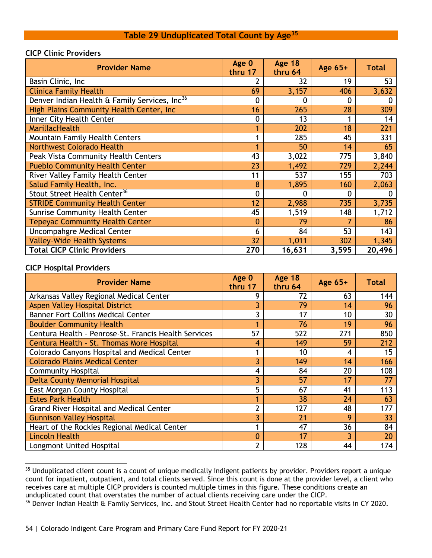| <b>Provider Name</b>                                      | Age 0<br>thru 17 | <b>Age 18</b><br>thru 64 | Age $65+$ | <b>Total</b> |
|-----------------------------------------------------------|------------------|--------------------------|-----------|--------------|
| Basin Clinic, Inc.                                        |                  | 32                       | 19        | 53           |
| <b>Clinica Family Health</b>                              | 69               | 3,157                    | 406       | 3,632        |
| Denver Indian Health & Family Services, Inc <sup>36</sup> | $\mathbf 0$      | 0                        | 0         | 0            |
| High Plains Community Health Center, Inc.                 | 16               | 265                      | 28        | 309          |
| Inner City Health Center                                  | 0                | 13                       |           | 14           |
| <b>MarillacHealth</b>                                     |                  | 202                      | 18        | 221          |
| <b>Mountain Family Health Centers</b>                     |                  | 285                      | 45        | 331          |
| <b>Northwest Colorado Health</b>                          |                  | 50                       | 14        | 65           |
| Peak Vista Community Health Centers                       | 43               | 3,022                    | 775       | 3,840        |
| <b>Pueblo Community Health Center</b>                     | 23               | 1,492                    | 729       | 2,244        |
| River Valley Family Health Center                         | 11               | 537                      | 155       | 703          |
| Salud Family Health, Inc.                                 | 8                | 1,895                    | 160       | 2,063        |
| Stout Street Health Center <sup>36</sup>                  | $\mathbf 0$      | 0                        | 0         | 0            |
| <b>STRIDE Community Health Center</b>                     | 12               | 2,988                    | 735       | 3,735        |
| <b>Sunrise Community Health Center</b>                    | 45               | 1,519                    | 148       | 1,712        |
| <b>Tepeyac Community Health Center</b>                    | 0                | 79                       |           | 86           |
| Uncompahgre Medical Center                                | 6                | 84                       | 53        | 143          |
| <b>Valley-Wide Health Systems</b>                         | 32               | 1,011                    | 302       | 1,345        |
| <b>Total CICP Clinic Providers</b>                        | 270              | 16,631                   | 3,595     | 20,496       |

#### **Table 29 Unduplicated Total Count by Age[35](#page-54-1)**

#### <span id="page-54-0"></span>**CICP Clinic Providers**

#### **CICP Hospital Providers**

| <b>Provider Name</b>                                 | Age 0<br>thru 17 | <b>Age 18</b><br>thru 64 | Age 65+ | <b>Total</b> |
|------------------------------------------------------|------------------|--------------------------|---------|--------------|
| Arkansas Valley Regional Medical Center              | 9                | 72                       | 63      | 144          |
| Aspen Valley Hospital District                       |                  | 79                       | 14      | 96           |
| <b>Banner Fort Collins Medical Center</b>            |                  | 17                       | 10      | 30           |
| <b>Boulder Community Health</b>                      |                  | 76                       | 19      | 96           |
| Centura Health - Penrose-St. Francis Health Services | 57               | 522                      | 271     | 850          |
| Centura Health - St. Thomas More Hospital            | 4                | 149                      | 59      | 212          |
| Colorado Canyons Hospital and Medical Center         |                  | 10                       | 4       | 15           |
| <b>Colorado Plains Medical Center</b>                | 3                | 149                      | 14      | 166          |
| <b>Community Hospital</b>                            | 4                | 84                       | 20      | 108          |
| <b>Delta County Memorial Hospital</b>                | 3                | 57                       | 17      | 77           |
| East Morgan County Hospital                          | 5                | 67                       | 41      | 113          |
| <b>Estes Park Health</b>                             |                  | 38                       | 24      | 63           |
| Grand River Hospital and Medical Center              | 2                | 127                      | 48      | 177          |
| <b>Gunnison Valley Hospital</b>                      | ٦                | 21                       | 9       | 33           |
| Heart of the Rockies Regional Medical Center         |                  | 47                       | 36      | 84           |
| <b>Lincoln Health</b>                                | 0                | 17                       | ٦       | 20           |
| Longmont United Hospital                             | $\mathcal{P}$    | 128                      | 44      | 174          |

<span id="page-54-1"></span><sup>&</sup>lt;sup>35</sup> Unduplicated client count is a count of unique medically indigent patients by provider. Providers report a unique count for inpatient, outpatient, and total clients served. Since this count is done at the provider level, a client who receives care at multiple CICP providers is counted multiple times in this figure. These conditions create an unduplicated count that overstates the number of actual clients receiving care under the CICP.

<span id="page-54-2"></span><sup>&</sup>lt;sup>36</sup> Denver Indian Health & Family Services, Inc. and Stout Street Health Center had no reportable visits in CY 2020.